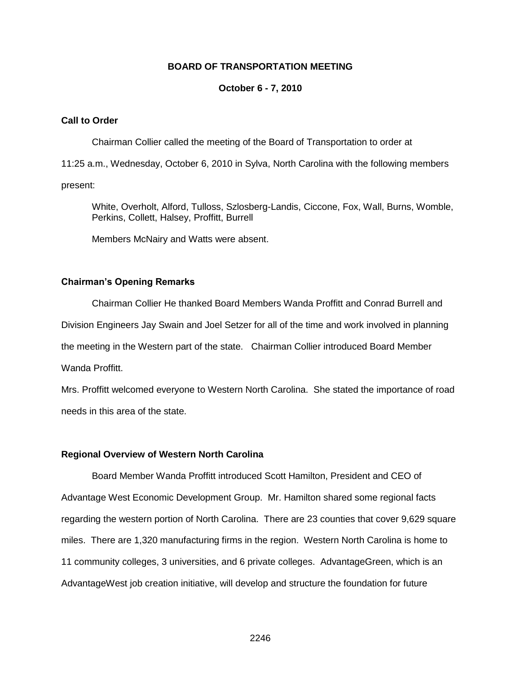#### **BOARD OF TRANSPORTATION MEETING**

#### **October 6 - 7, 2010**

#### **Call to Order**

Chairman Collier called the meeting of the Board of Transportation to order at

11:25 a.m., Wednesday, October 6, 2010 in Sylva, North Carolina with the following members

present:

White, Overholt, Alford, Tulloss, Szlosberg-Landis, Ciccone, Fox, Wall, Burns, Womble, Perkins, Collett, Halsey, Proffitt, Burrell

Members McNairy and Watts were absent.

#### **Chairman's Opening Remarks**

Chairman Collier He thanked Board Members Wanda Proffitt and Conrad Burrell and Division Engineers Jay Swain and Joel Setzer for all of the time and work involved in planning the meeting in the Western part of the state. Chairman Collier introduced Board Member Wanda Proffitt.

Mrs. Proffitt welcomed everyone to Western North Carolina. She stated the importance of road needs in this area of the state.

#### **Regional Overview of Western North Carolina**

Board Member Wanda Proffitt introduced Scott Hamilton, President and CEO of Advantage West Economic Development Group. Mr. Hamilton shared some regional facts regarding the western portion of North Carolina. There are 23 counties that cover 9,629 square miles. There are 1,320 manufacturing firms in the region. Western North Carolina is home to 11 community colleges, 3 universities, and 6 private colleges. AdvantageGreen, which is an AdvantageWest job creation initiative, will develop and structure the foundation for future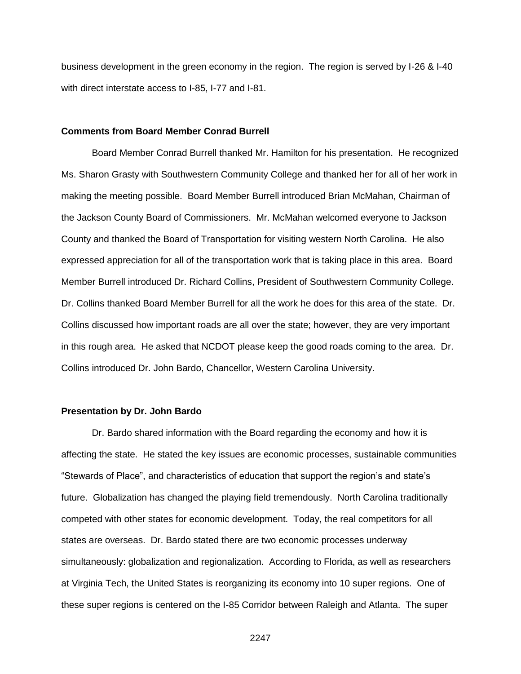business development in the green economy in the region. The region is served by I-26 & I-40 with direct interstate access to I-85, I-77 and I-81.

#### **Comments from Board Member Conrad Burrell**

Board Member Conrad Burrell thanked Mr. Hamilton for his presentation. He recognized Ms. Sharon Grasty with Southwestern Community College and thanked her for all of her work in making the meeting possible. Board Member Burrell introduced Brian McMahan, Chairman of the Jackson County Board of Commissioners. Mr. McMahan welcomed everyone to Jackson County and thanked the Board of Transportation for visiting western North Carolina. He also expressed appreciation for all of the transportation work that is taking place in this area. Board Member Burrell introduced Dr. Richard Collins, President of Southwestern Community College. Dr. Collins thanked Board Member Burrell for all the work he does for this area of the state. Dr. Collins discussed how important roads are all over the state; however, they are very important in this rough area. He asked that NCDOT please keep the good roads coming to the area. Dr. Collins introduced Dr. John Bardo, Chancellor, Western Carolina University.

#### **Presentation by Dr. John Bardo**

Dr. Bardo shared information with the Board regarding the economy and how it is affecting the state. He stated the key issues are economic processes, sustainable communities "Stewards of Place", and characteristics of education that support the region's and state's future. Globalization has changed the playing field tremendously. North Carolina traditionally competed with other states for economic development. Today, the real competitors for all states are overseas. Dr. Bardo stated there are two economic processes underway simultaneously: globalization and regionalization. According to Florida, as well as researchers at Virginia Tech, the United States is reorganizing its economy into 10 super regions. One of these super regions is centered on the I-85 Corridor between Raleigh and Atlanta. The super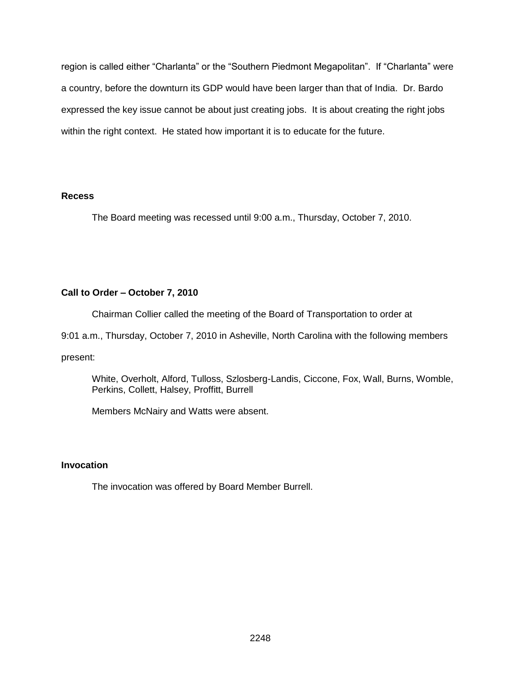region is called either "Charlanta" or the "Southern Piedmont Megapolitan". If "Charlanta" were a country, before the downturn its GDP would have been larger than that of India. Dr. Bardo expressed the key issue cannot be about just creating jobs. It is about creating the right jobs within the right context. He stated how important it is to educate for the future.

#### **Recess**

The Board meeting was recessed until 9:00 a.m., Thursday, October 7, 2010.

# **Call to Order – October 7, 2010**

Chairman Collier called the meeting of the Board of Transportation to order at

9:01 a.m., Thursday, October 7, 2010 in Asheville, North Carolina with the following members

present:

White, Overholt, Alford, Tulloss, Szlosberg-Landis, Ciccone, Fox, Wall, Burns, Womble, Perkins, Collett, Halsey, Proffitt, Burrell

Members McNairy and Watts were absent.

# **Invocation**

The invocation was offered by Board Member Burrell.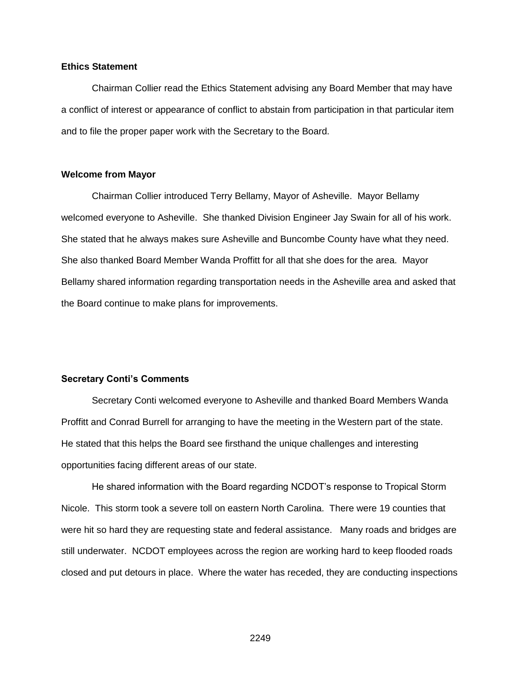#### **Ethics Statement**

Chairman Collier read the Ethics Statement advising any Board Member that may have a conflict of interest or appearance of conflict to abstain from participation in that particular item and to file the proper paper work with the Secretary to the Board.

#### **Welcome from Mayor**

Chairman Collier introduced Terry Bellamy, Mayor of Asheville. Mayor Bellamy welcomed everyone to Asheville. She thanked Division Engineer Jay Swain for all of his work. She stated that he always makes sure Asheville and Buncombe County have what they need. She also thanked Board Member Wanda Proffitt for all that she does for the area. Mayor Bellamy shared information regarding transportation needs in the Asheville area and asked that the Board continue to make plans for improvements.

#### **Secretary Conti's Comments**

Secretary Conti welcomed everyone to Asheville and thanked Board Members Wanda Proffitt and Conrad Burrell for arranging to have the meeting in the Western part of the state. He stated that this helps the Board see firsthand the unique challenges and interesting opportunities facing different areas of our state.

He shared information with the Board regarding NCDOT's response to Tropical Storm Nicole. This storm took a severe toll on eastern North Carolina. There were 19 counties that were hit so hard they are requesting state and federal assistance. Many roads and bridges are still underwater. NCDOT employees across the region are working hard to keep flooded roads closed and put detours in place. Where the water has receded, they are conducting inspections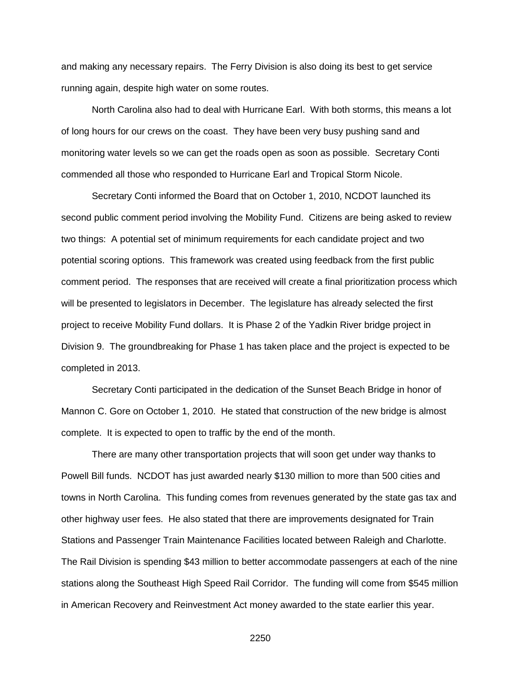and making any necessary repairs. The Ferry Division is also doing its best to get service running again, despite high water on some routes.

North Carolina also had to deal with Hurricane Earl. With both storms, this means a lot of long hours for our crews on the coast. They have been very busy pushing sand and monitoring water levels so we can get the roads open as soon as possible. Secretary Conti commended all those who responded to Hurricane Earl and Tropical Storm Nicole.

Secretary Conti informed the Board that on October 1, 2010, NCDOT launched its second public comment period involving the Mobility Fund. Citizens are being asked to review two things: A potential set of minimum requirements for each candidate project and two potential scoring options. This framework was created using feedback from the first public comment period. The responses that are received will create a final prioritization process which will be presented to legislators in December. The legislature has already selected the first project to receive Mobility Fund dollars. It is Phase 2 of the Yadkin River bridge project in Division 9. The groundbreaking for Phase 1 has taken place and the project is expected to be completed in 2013.

Secretary Conti participated in the dedication of the Sunset Beach Bridge in honor of Mannon C. Gore on October 1, 2010. He stated that construction of the new bridge is almost complete. It is expected to open to traffic by the end of the month.

There are many other transportation projects that will soon get under way thanks to Powell Bill funds. NCDOT has just awarded nearly \$130 million to more than 500 cities and towns in North Carolina. This funding comes from revenues generated by the state gas tax and other highway user fees. He also stated that there are improvements designated for Train Stations and Passenger Train Maintenance Facilities located between Raleigh and Charlotte. The Rail Division is spending \$43 million to better accommodate passengers at each of the nine stations along the Southeast High Speed Rail Corridor. The funding will come from \$545 million in American Recovery and Reinvestment Act money awarded to the state earlier this year.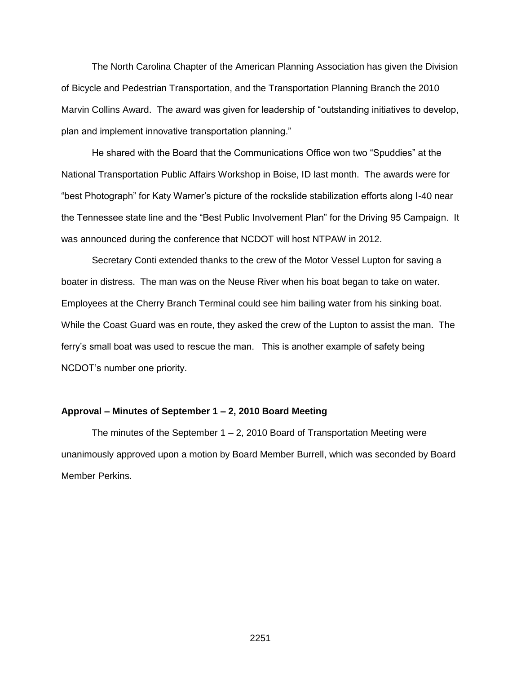The North Carolina Chapter of the American Planning Association has given the Division of Bicycle and Pedestrian Transportation, and the Transportation Planning Branch the 2010 Marvin Collins Award. The award was given for leadership of "outstanding initiatives to develop, plan and implement innovative transportation planning."

He shared with the Board that the Communications Office won two "Spuddies" at the National Transportation Public Affairs Workshop in Boise, ID last month. The awards were for "best Photograph" for Katy Warner's picture of the rockslide stabilization efforts along I-40 near the Tennessee state line and the "Best Public Involvement Plan" for the Driving 95 Campaign. It was announced during the conference that NCDOT will host NTPAW in 2012.

Secretary Conti extended thanks to the crew of the Motor Vessel Lupton for saving a boater in distress. The man was on the Neuse River when his boat began to take on water. Employees at the Cherry Branch Terminal could see him bailing water from his sinking boat. While the Coast Guard was en route, they asked the crew of the Lupton to assist the man. The ferry's small boat was used to rescue the man. This is another example of safety being NCDOT's number one priority.

#### **Approval – Minutes of September 1 – 2, 2010 Board Meeting**

The minutes of the September  $1 - 2$ , 2010 Board of Transportation Meeting were unanimously approved upon a motion by Board Member Burrell, which was seconded by Board Member Perkins.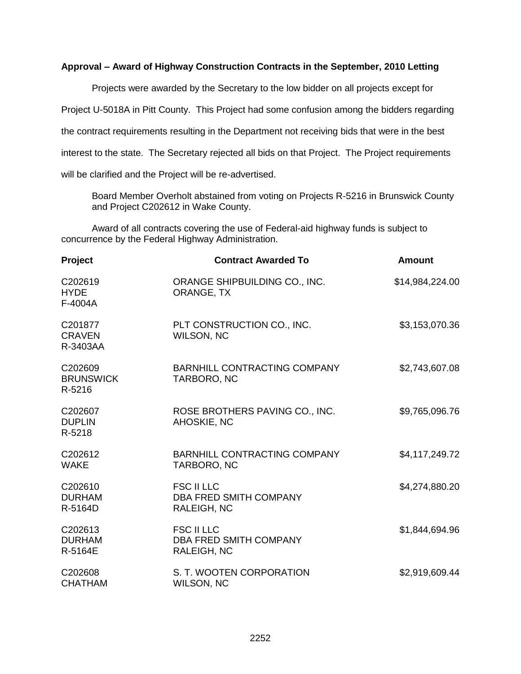### **Approval – Award of Highway Construction Contracts in the September, 2010 Letting**

Projects were awarded by the Secretary to the low bidder on all projects except for Project U-5018A in Pitt County. This Project had some confusion among the bidders regarding the contract requirements resulting in the Department not receiving bids that were in the best interest to the state. The Secretary rejected all bids on that Project. The Project requirements will be clarified and the Project will be re-advertised.

Board Member Overholt abstained from voting on Projects R-5216 in Brunswick County and Project C202612 in Wake County.

Award of all contracts covering the use of Federal-aid highway funds is subject to concurrence by the Federal Highway Administration.

| <b>Project</b>                        | <b>Contract Awarded To</b>                                        | <b>Amount</b>   |
|---------------------------------------|-------------------------------------------------------------------|-----------------|
| C202619<br><b>HYDE</b><br>F-4004A     | ORANGE SHIPBUILDING CO., INC.<br>ORANGE, TX                       | \$14,984,224.00 |
| C201877<br><b>CRAVEN</b><br>R-3403AA  | PLT CONSTRUCTION CO., INC.<br><b>WILSON, NC</b>                   | \$3,153,070.36  |
| C202609<br><b>BRUNSWICK</b><br>R-5216 | <b>BARNHILL CONTRACTING COMPANY</b><br>TARBORO, NC                | \$2,743,607.08  |
| C202607<br><b>DUPLIN</b><br>R-5218    | ROSE BROTHERS PAVING CO., INC.<br>AHOSKIE, NC                     | \$9,765,096.76  |
| C202612<br><b>WAKE</b>                | <b>BARNHILL CONTRACTING COMPANY</b><br>TARBORO, NC                | \$4,117,249.72  |
| C202610<br><b>DURHAM</b><br>R-5164D   | <b>FSC II LLC</b><br>DBA FRED SMITH COMPANY<br><b>RALEIGH, NC</b> | \$4,274,880.20  |
| C202613<br><b>DURHAM</b><br>R-5164E   | <b>FSC II LLC</b><br><b>DBA FRED SMITH COMPANY</b><br>RALEIGH, NC | \$1,844,694.96  |
| C202608<br><b>CHATHAM</b>             | S. T. WOOTEN CORPORATION<br><b>WILSON, NC</b>                     | \$2,919,609.44  |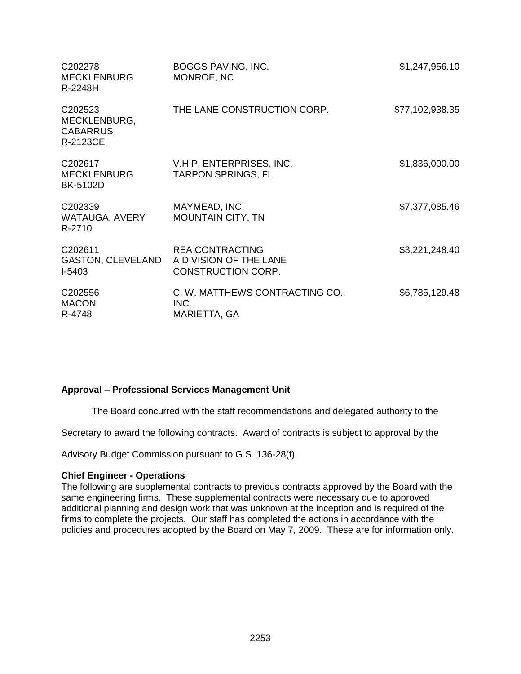| C <sub>202278</sub><br><b>MECKLENBURG</b><br>R-2248H        | <b>BOGGS PAVING, INC.</b><br>MONROE, NC                                       | \$1,247,956.10  |
|-------------------------------------------------------------|-------------------------------------------------------------------------------|-----------------|
| C202523<br>MECKLENBURG,<br><b>CABARRUS</b><br>R-2123CE      | THE LANE CONSTRUCTION CORP.                                                   | \$77,102,938.35 |
| C202617<br><b>MECKLENBURG</b><br><b>BK-5102D</b>            | V.H.P. ENTERPRISES, INC.<br><b>TARPON SPRINGS, FL</b>                         | \$1,836,000.00  |
| C202339<br>WATAUGA, AVERY<br>R-2710                         | MAYMEAD, INC.<br><b>MOUNTAIN CITY, TN</b>                                     | \$7,377,085.46  |
| C <sub>202611</sub><br><b>GASTON, CLEVELAND</b><br>$I-5403$ | <b>REA CONTRACTING</b><br>A DIVISION OF THE LANE<br><b>CONSTRUCTION CORP.</b> | \$3,221,248.40  |
| C202556<br><b>MACON</b><br>R-4748                           | C. W. MATTHEWS CONTRACTING CO.,<br>INC.<br>MARIETTA, GA                       | \$6,785,129.48  |

### **Approval – Professional Services Management Unit**

The Board concurred with the staff recommendations and delegated authority to the

Secretary to award the following contracts. Award of contracts is subject to approval by the

Advisory Budget Commission pursuant to G.S. 136-28(f).

#### **Chief Engineer - Operations**

The following are supplemental contracts to previous contracts approved by the Board with the same engineering firms. These supplemental contracts were necessary due to approved additional planning and design work that was unknown at the inception and is required of the firms to complete the projects. Our staff has completed the actions in accordance with the policies and procedures adopted by the Board on May 7, 2009. These are for information only.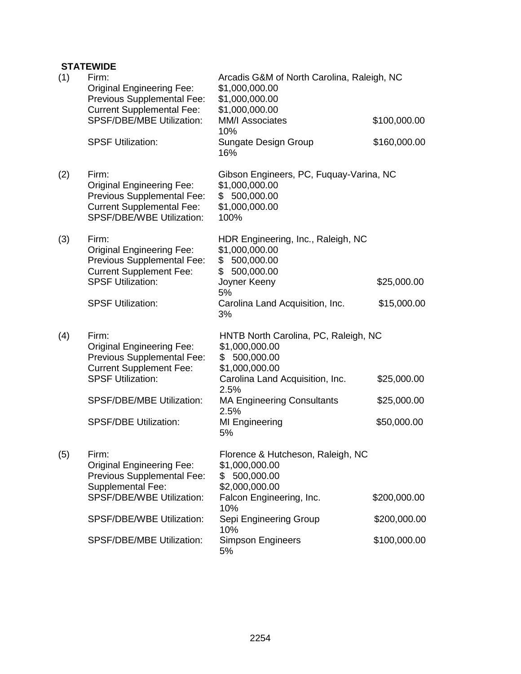# **STATEWIDE**

| (1) | Firm:<br><b>Original Engineering Fee:</b><br>Previous Supplemental Fee:<br><b>Current Supplemental Fee:</b>                                     | Arcadis G&M of North Carolina, Raleigh, NC<br>\$1,000,000.00<br>\$1,000,000.00<br>\$1,000,000.00     |              |
|-----|-------------------------------------------------------------------------------------------------------------------------------------------------|------------------------------------------------------------------------------------------------------|--------------|
|     | <b>SPSF/DBE/MBE Utilization:</b>                                                                                                                | <b>MM/I Associates</b><br>10%                                                                        | \$100,000.00 |
|     | <b>SPSF Utilization:</b>                                                                                                                        | Sungate Design Group<br>16%                                                                          | \$160,000.00 |
| (2) | Firm:<br><b>Original Engineering Fee:</b><br>Previous Supplemental Fee:<br><b>Current Supplemental Fee:</b><br><b>SPSF/DBE/WBE Utilization:</b> | Gibson Engineers, PC, Fuquay-Varina, NC<br>\$1,000,000.00<br>\$500,000.00<br>\$1,000,000.00<br>100%  |              |
| (3) | Firm:<br><b>Original Engineering Fee:</b><br>Previous Supplemental Fee:<br><b>Current Supplement Fee:</b><br><b>SPSF Utilization:</b>           | HDR Engineering, Inc., Raleigh, NC<br>\$1,000,000.00<br>\$500,000.00<br>\$500,000.00<br>Joyner Keeny | \$25,000.00  |
|     | <b>SPSF Utilization:</b>                                                                                                                        | 5%<br>Carolina Land Acquisition, Inc.<br>3%                                                          | \$15,000.00  |
| (4) | Firm:<br><b>Original Engineering Fee:</b><br>Previous Supplemental Fee:<br><b>Current Supplement Fee:</b>                                       | HNTB North Carolina, PC, Raleigh, NC<br>\$1,000,000.00<br>\$500,000.00<br>\$1,000,000.00             |              |
|     | <b>SPSF Utilization:</b>                                                                                                                        | Carolina Land Acquisition, Inc.<br>2.5%                                                              | \$25,000.00  |
|     | SPSF/DBE/MBE Utilization:                                                                                                                       | <b>MA Engineering Consultants</b><br>2.5%                                                            | \$25,000.00  |
|     | <b>SPSF/DBE Utilization:</b>                                                                                                                    | MI Engineering<br>5%                                                                                 | \$50,000.00  |
| (5) | Firm:<br><b>Original Engineering Fee:</b><br><b>Previous Supplemental Fee:</b><br>Supplemental Fee:                                             | Florence & Hutcheson, Raleigh, NC<br>\$1,000,000.00<br>500,000.00<br>\$<br>\$2,000,000.00            |              |
|     | SPSF/DBE/WBE Utilization:                                                                                                                       | Falcon Engineering, Inc.<br>10%                                                                      | \$200,000.00 |
|     | SPSF/DBE/WBE Utilization:                                                                                                                       | Sepi Engineering Group<br>10%                                                                        | \$200,000.00 |
|     | <b>SPSF/DBE/MBE Utilization:</b>                                                                                                                | <b>Simpson Engineers</b><br>5%                                                                       | \$100,000.00 |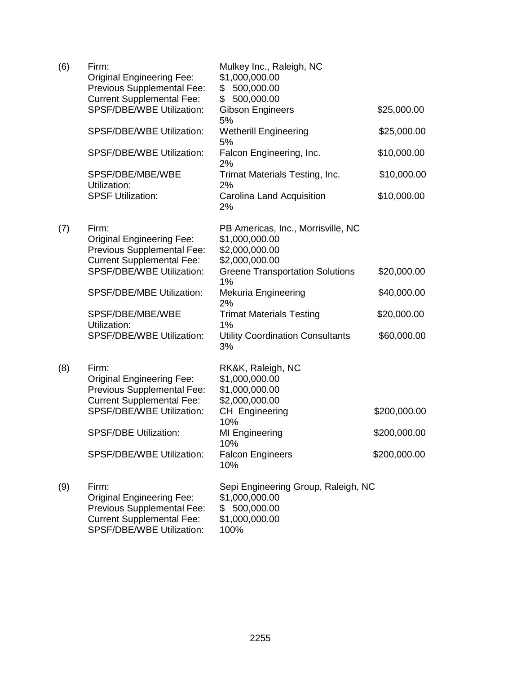| (6) | Firm:<br><b>Original Engineering Fee:</b><br>Previous Supplemental Fee:                                                                  | Mulkey Inc., Raleigh, NC<br>\$1,000,000.00<br>\$500,000.00                                      |              |
|-----|------------------------------------------------------------------------------------------------------------------------------------------|-------------------------------------------------------------------------------------------------|--------------|
|     | <b>Current Supplemental Fee:</b><br>SPSF/DBE/WBE Utilization:                                                                            | \$<br>500,000.00<br><b>Gibson Engineers</b><br>5%                                               | \$25,000.00  |
|     | SPSF/DBE/WBE Utilization:                                                                                                                | <b>Wetherill Engineering</b><br>5%                                                              | \$25,000.00  |
|     | SPSF/DBE/WBE Utilization:                                                                                                                | Falcon Engineering, Inc.<br>2%                                                                  | \$10,000.00  |
|     | SPSF/DBE/MBE/WBE<br>Utilization:                                                                                                         | Trimat Materials Testing, Inc.<br>2%                                                            | \$10,000.00  |
|     | <b>SPSF Utilization:</b>                                                                                                                 | Carolina Land Acquisition<br>2%                                                                 | \$10,000.00  |
| (7) | Firm:<br><b>Original Engineering Fee:</b><br>Previous Supplemental Fee:<br><b>Current Supplemental Fee:</b>                              | PB Americas, Inc., Morrisville, NC<br>\$1,000,000.00<br>\$2,000,000.00<br>\$2,000,000.00        |              |
|     | <b>SPSF/DBE/WBE Utilization:</b>                                                                                                         | <b>Greene Transportation Solutions</b><br>1%                                                    | \$20,000.00  |
|     | SPSF/DBE/MBE Utilization:                                                                                                                | <b>Mekuria Engineering</b><br>2%                                                                | \$40,000.00  |
|     | SPSF/DBE/MBE/WBE<br>Utilization:                                                                                                         | <b>Trimat Materials Testing</b><br>1%                                                           | \$20,000.00  |
|     | <b>SPSF/DBE/WBE Utilization:</b>                                                                                                         | <b>Utility Coordination Consultants</b><br>3%                                                   | \$60,000.00  |
| (8) | Firm:<br><b>Original Engineering Fee:</b><br>Previous Supplemental Fee:<br><b>Current Supplemental Fee:</b>                              | RK&K, Raleigh, NC<br>\$1,000,000.00<br>\$1,000,000.00<br>\$2,000,000.00                         |              |
|     | <b>SPSF/DBE/WBE Utilization:</b>                                                                                                         | CH Engineering<br>10%                                                                           | \$200,000.00 |
|     | <b>SPSF/DBE Utilization:</b>                                                                                                             | <b>MI Engineering</b><br>10%                                                                    | \$200,000.00 |
|     | <b>SPSF/DBE/WBE Utilization:</b>                                                                                                         | <b>Falcon Engineers</b><br>10%                                                                  | \$200,000.00 |
| (9) | Firm:<br><b>Original Engineering Fee:</b><br>Previous Supplemental Fee:<br><b>Current Supplemental Fee:</b><br>SPSF/DBE/WBE Utilization: | Sepi Engineering Group, Raleigh, NC<br>\$1,000,000.00<br>\$500,000.00<br>\$1,000,000.00<br>100% |              |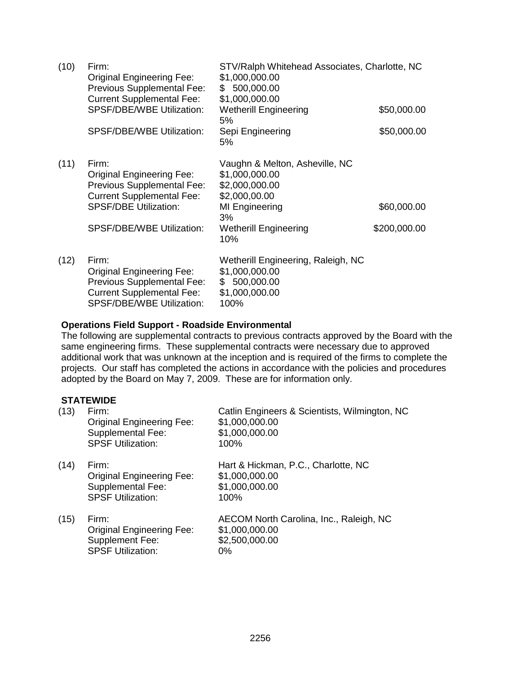| (10) | Firm:<br><b>Original Engineering Fee:</b><br>Previous Supplemental Fee:<br><b>Current Supplemental Fee:</b>                                                                     | STV/Ralph Whitehead Associates, Charlotte, NC<br>\$1,000,000.00<br>500,000.00<br>\$<br>\$1,000,000.00                                              |                             |
|------|---------------------------------------------------------------------------------------------------------------------------------------------------------------------------------|----------------------------------------------------------------------------------------------------------------------------------------------------|-----------------------------|
|      | <b>SPSF/DBE/WBE Utilization:</b>                                                                                                                                                | <b>Wetherill Engineering</b><br>5%                                                                                                                 | \$50,000.00                 |
|      | <b>SPSF/DBE/WBE Utilization:</b>                                                                                                                                                | Sepi Engineering<br>5%                                                                                                                             | \$50,000.00                 |
| (11) | Firm:<br><b>Original Engineering Fee:</b><br>Previous Supplemental Fee:<br><b>Current Supplemental Fee:</b><br><b>SPSF/DBE Utilization:</b><br><b>SPSF/DBE/WBE Utilization:</b> | Vaughn & Melton, Asheville, NC<br>\$1,000,000.00<br>\$2,000,000.00<br>\$2,000,00.00<br>MI Engineering<br>3%<br><b>Wetherill Engineering</b><br>10% | \$60,000.00<br>\$200,000.00 |
| (12) | Firm:<br><b>Original Engineering Fee:</b><br><b>Previous Supplemental Fee:</b><br><b>Current Supplemental Fee:</b><br><b>SPSF/DBE/WBE Utilization:</b>                          | Wetherill Engineering, Raleigh, NC<br>\$1,000,000.00<br>\$500,000.00<br>\$1,000,000.00<br>100%                                                     |                             |

### **Operations Field Support - Roadside Environmental**

The following are supplemental contracts to previous contracts approved by the Board with the same engineering firms. These supplemental contracts were necessary due to approved additional work that was unknown at the inception and is required of the firms to complete the projects. Our staff has completed the actions in accordance with the policies and procedures adopted by the Board on May 7, 2009. These are for information only.

### **STATEWIDE**

| (13) | Firm:<br><b>Original Engineering Fee:</b><br><b>Supplemental Fee:</b><br><b>SPSF Utilization:</b> | Catlin Engineers & Scientists, Wilmington, NC<br>\$1,000,000.00<br>\$1,000,000.00<br>100% |
|------|---------------------------------------------------------------------------------------------------|-------------------------------------------------------------------------------------------|
| (14) | Firm:<br><b>Original Engineering Fee:</b><br>Supplemental Fee:<br><b>SPSF Utilization:</b>        | Hart & Hickman, P.C., Charlotte, NC<br>\$1,000,000.00<br>\$1,000,000.00<br>100%           |
| (15) | Firm:<br><b>Original Engineering Fee:</b><br>Supplement Fee:<br><b>SPSF Utilization:</b>          | AECOM North Carolina, Inc., Raleigh, NC<br>\$1,000,000.00<br>\$2,500,000.00<br>0%         |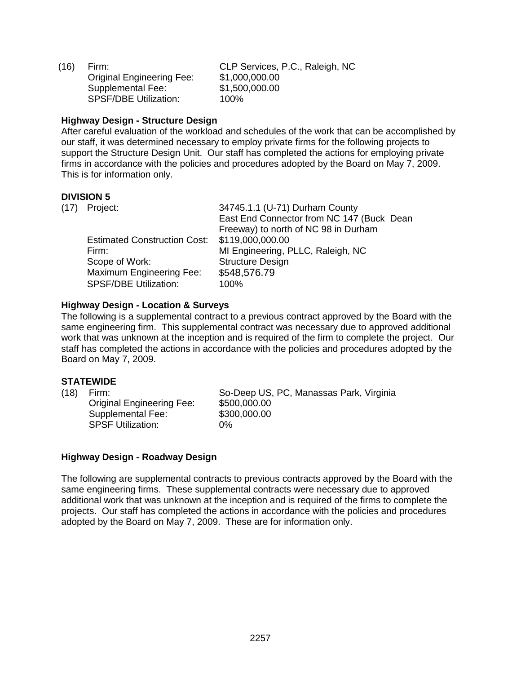(16) Firm: CLP Services, P.C., Raleigh, NC Original Engineering Fee: \$1,000,000.00 Supplemental Fee: \$1,500,000.00 SPSF/DBE Utilization: 100%

### **Highway Design - Structure Design**

After careful evaluation of the workload and schedules of the work that can be accomplished by our staff, it was determined necessary to employ private firms for the following projects to support the Structure Design Unit. Our staff has completed the actions for employing private firms in accordance with the policies and procedures adopted by the Board on May 7, 2009. This is for information only.

### **DIVISION 5**

| (17) Project:                       | 34745.1.1 (U-71) Durham County            |
|-------------------------------------|-------------------------------------------|
|                                     | East End Connector from NC 147 (Buck Dean |
|                                     | Freeway) to north of NC 98 in Durham      |
| <b>Estimated Construction Cost:</b> | \$119,000,000.00                          |
| Firm:                               | MI Engineering, PLLC, Raleigh, NC         |
| Scope of Work:                      | <b>Structure Design</b>                   |
| Maximum Engineering Fee:            | \$548,576.79                              |
| <b>SPSF/DBE Utilization:</b>        | 100%                                      |
|                                     |                                           |

### **Highway Design - Location & Surveys**

The following is a supplemental contract to a previous contract approved by the Board with the same engineering firm. This supplemental contract was necessary due to approved additional work that was unknown at the inception and is required of the firm to complete the project. Our staff has completed the actions in accordance with the policies and procedures adopted by the Board on May 7, 2009.

### **STATEWIDE**

Original Engineering Fee: \$500,000.00 Supplemental Fee: \$300,000.00 SPSF Utilization: 0%

(18) Firm: So-Deep US, PC, Manassas Park, Virginia

#### **Highway Design - Roadway Design**

The following are supplemental contracts to previous contracts approved by the Board with the same engineering firms. These supplemental contracts were necessary due to approved additional work that was unknown at the inception and is required of the firms to complete the projects. Our staff has completed the actions in accordance with the policies and procedures adopted by the Board on May 7, 2009. These are for information only.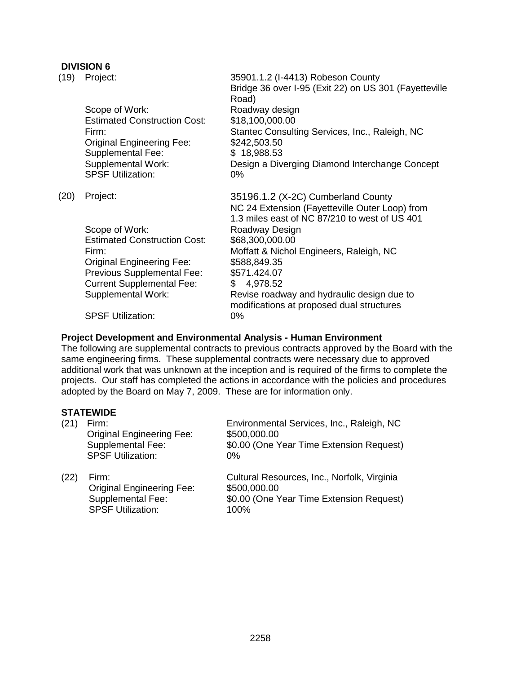### **DIVISION 6**

| (19) | Project:                                                                                                                                                                                                                                  | 35901.1.2 (I-4413) Robeson County<br>Bridge 36 over I-95 (Exit 22) on US 301 (Fayetteville<br>Road)                                                                                                                                                                                                                                                                      |
|------|-------------------------------------------------------------------------------------------------------------------------------------------------------------------------------------------------------------------------------------------|--------------------------------------------------------------------------------------------------------------------------------------------------------------------------------------------------------------------------------------------------------------------------------------------------------------------------------------------------------------------------|
|      | Scope of Work:<br><b>Estimated Construction Cost:</b><br>Firm:<br><b>Original Engineering Fee:</b><br><b>Supplemental Fee:</b><br><b>Supplemental Work:</b><br><b>SPSF Utilization:</b>                                                   | Roadway design<br>\$18,100,000.00<br>Stantec Consulting Services, Inc., Raleigh, NC<br>\$242,503.50<br>\$18,988.53<br>Design a Diverging Diamond Interchange Concept<br>0%                                                                                                                                                                                               |
| (20) | Project:<br>Scope of Work:<br><b>Estimated Construction Cost:</b><br>Firm:<br><b>Original Engineering Fee:</b><br>Previous Supplemental Fee:<br><b>Current Supplemental Fee:</b><br><b>Supplemental Work:</b><br><b>SPSF Utilization:</b> | 35196.1.2 (X-2C) Cumberland County<br>NC 24 Extension (Fayetteville Outer Loop) from<br>1.3 miles east of NC 87/210 to west of US 401<br>Roadway Design<br>\$68,300,000.00<br>Moffatt & Nichol Engineers, Raleigh, NC<br>\$588,849.35<br>\$571.424.07<br>4,978.52<br>\$<br>Revise roadway and hydraulic design due to<br>modifications at proposed dual structures<br>0% |

### **Project Development and Environmental Analysis - Human Environment**

The following are supplemental contracts to previous contracts approved by the Board with the same engineering firms. These supplemental contracts were necessary due to approved additional work that was unknown at the inception and is required of the firms to complete the projects. Our staff has completed the actions in accordance with the policies and procedures adopted by the Board on May 7, 2009. These are for information only.

### **STATEWIDE**

| (21) | Firm:<br><b>Original Engineering Fee:</b><br><b>Supplemental Fee:</b><br><b>SPSF Utilization:</b> | Environmental Services, Inc., Raleigh, NC<br>\$500,000.00<br>\$0.00 (One Year Time Extension Request)<br>$0\%$ |
|------|---------------------------------------------------------------------------------------------------|----------------------------------------------------------------------------------------------------------------|
| (22) | Firm:<br><b>Original Engineering Fee:</b><br>Supplemental Fee:                                    | Cultural Resources, Inc., Norfolk, Virginia<br>\$500,000.00<br>\$0.00 (One Year Time Extension Request)        |

SPSF Utilization: 100%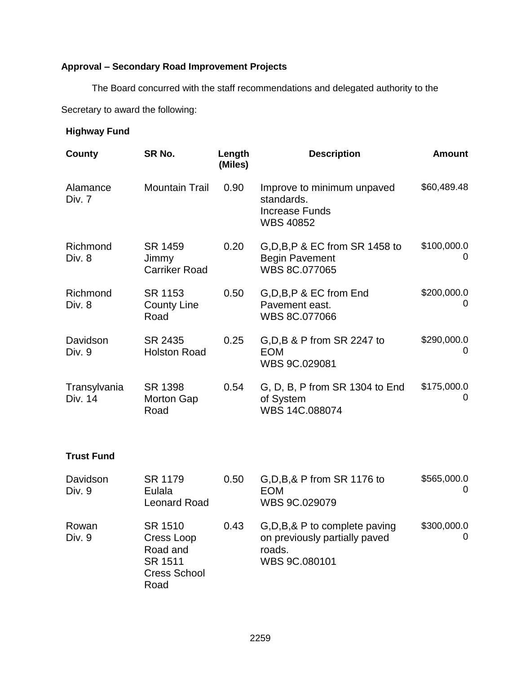# **Approval – Secondary Road Improvement Projects**

The Board concurred with the staff recommendations and delegated authority to the

Secretary to award the following:

### **Highway Fund**

| County                  | SR No.                                   | Length<br>(Miles) | <b>Description</b>                                                                    | <b>Amount</b>    |
|-------------------------|------------------------------------------|-------------------|---------------------------------------------------------------------------------------|------------------|
| Alamance<br>Div. 7      | <b>Mountain Trail</b>                    | 0.90              | Improve to minimum unpaved<br>standards.<br><b>Increase Funds</b><br><b>WBS 40852</b> | \$60,489.48      |
| Richmond<br>Div. 8      | SR 1459<br>Jimmy<br><b>Carriker Road</b> | 0.20              | $G.D.B.P$ & EC from SR 1458 to<br><b>Begin Pavement</b><br>WBS 8C.077065              | \$100,000.0<br>0 |
| Richmond<br>Div. 8      | SR 1153<br><b>County Line</b><br>Road    | 0.50              | G, D, B, P & EC from End<br>Pavement east.<br>WBS 8C.077066                           | \$200,000.0<br>0 |
| Davidson<br>Div. 9      | SR 2435<br><b>Holston Road</b>           | 0.25              | G, D, B & P from SR 2247 to<br><b>EOM</b><br>WBS 9C.029081                            | \$290,000.0<br>0 |
| Transylvania<br>Div. 14 | SR 1398<br><b>Morton Gap</b><br>Road     | 0.54              | G, D, B, P from SR 1304 to End<br>of System<br>WBS 14C.088074                         | \$175,000.0<br>0 |

# **Trust Fund**

| Davidson<br>Div. 9 | SR 1179<br>Eulala<br><b>Leonard Road</b>                                    | 0.50 | G, D, B, & P from SR 1176 to<br><b>EOM</b><br>WBS 9C.029079                                 | \$565,000.0<br>0        |
|--------------------|-----------------------------------------------------------------------------|------|---------------------------------------------------------------------------------------------|-------------------------|
| Rowan<br>Div. 9    | SR 1510<br>Cress Loop<br>Road and<br>SR 1511<br><b>Cress School</b><br>Road | 0.43 | G, D, B, & P to complete paving<br>on previously partially paved<br>roads.<br>WBS 9C.080101 | \$300,000.0<br>$\Omega$ |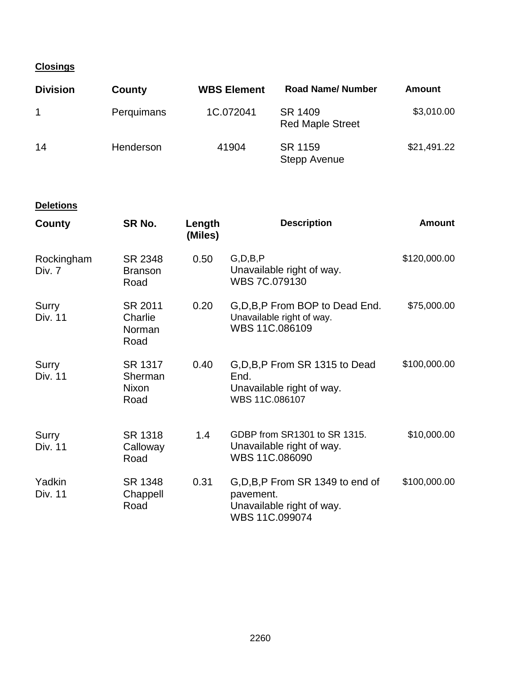# **Closings**

| <b>Division</b> | County     | <b>WBS Element</b> | <b>Road Name/ Number</b>           | Amount      |
|-----------------|------------|--------------------|------------------------------------|-------------|
|                 | Perquimans | 1C.072041          | SR 1409<br><b>Red Maple Street</b> | \$3,010.00  |
| 14              | Henderson  | 41904              | SR 1159<br><b>Stepp Avenue</b>     | \$21,491.22 |

### **Deletions**

| County                   | SR No.                               | Length<br>(Miles) | <b>Description</b>                                                                            | <b>Amount</b> |
|--------------------------|--------------------------------------|-------------------|-----------------------------------------------------------------------------------------------|---------------|
| Rockingham<br>Div. 7     | SR 2348<br><b>Branson</b><br>Road    | 0.50              | G, D, B, P<br>Unavailable right of way.<br>WBS 7C.079130                                      | \$120,000.00  |
| Surry<br>Div. 11         | SR 2011<br>Charlie<br>Norman<br>Road | 0.20              | G, D, B, P From BOP to Dead End.<br>Unavailable right of way.<br>WBS 11C.086109               | \$75,000.00   |
| Surry<br>Div. 11         | SR 1317<br>Sherman<br>Nixon<br>Road  | 0.40              | G, D, B, P From SR 1315 to Dead<br>End.<br>Unavailable right of way.<br>WBS 11C.086107        | \$100,000.00  |
| Surry<br>Div. 11         | SR 1318<br>Calloway<br>Road          | 1.4               | GDBP from SR1301 to SR 1315.<br>Unavailable right of way.<br>WBS 11C.086090                   | \$10,000.00   |
| Yadkin<br><b>Div. 11</b> | SR 1348<br>Chappell<br>Road          | 0.31              | G, D, B, P From SR 1349 to end of<br>pavement.<br>Unavailable right of way.<br>WBS 11C.099074 | \$100,000.00  |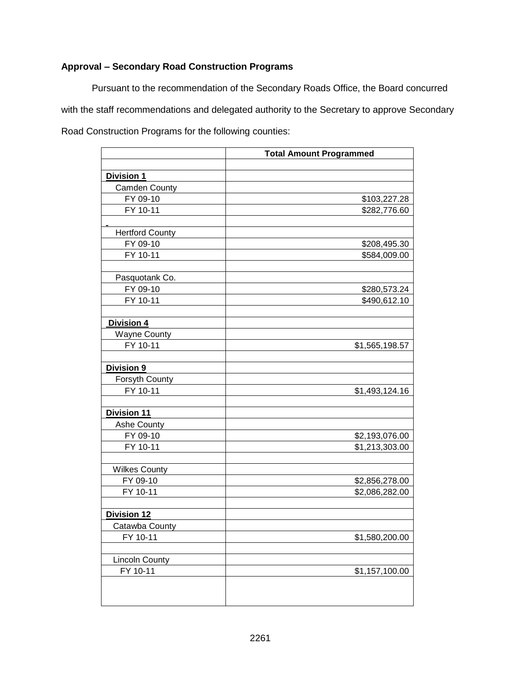# **Approval – Secondary Road Construction Programs**

Pursuant to the recommendation of the Secondary Roads Office, the Board concurred with the staff recommendations and delegated authority to the Secretary to approve Secondary Road Construction Programs for the following counties:

|                        | <b>Total Amount Programmed</b> |
|------------------------|--------------------------------|
|                        |                                |
| Division 1             |                                |
| <b>Camden County</b>   |                                |
| FY 09-10               | \$103,227.28                   |
| FY 10-11               | \$282,776.60                   |
|                        |                                |
| <b>Hertford County</b> |                                |
| FY 09-10               | \$208,495.30                   |
| FY 10-11               | \$584,009.00                   |
|                        |                                |
| Pasquotank Co.         |                                |
| FY 09-10               | \$280,573.24                   |
| FY 10-11               | \$490,612.10                   |
|                        |                                |
| Division 4             |                                |
| <b>Wayne County</b>    |                                |
| FY 10-11               | \$1,565,198.57                 |
|                        |                                |
| Division 9             |                                |
| Forsyth County         |                                |
| FY 10-11               | \$1,493,124.16                 |
|                        |                                |
| Division 11            |                                |
| Ashe County            |                                |
| FY 09-10               | \$2,193,076.00                 |
| FY 10-11               | \$1,213,303.00                 |
|                        |                                |
| <b>Wilkes County</b>   |                                |
| FY 09-10               | \$2,856,278.00                 |
| FY 10-11               | \$2,086,282.00                 |
|                        |                                |
| <b>Division 12</b>     |                                |
| Catawba County         |                                |
| FY 10-11               | \$1,580,200.00                 |
|                        |                                |
| <b>Lincoln</b> County  |                                |
| FY 10-11               | \$1,157,100.00                 |
|                        |                                |
|                        |                                |
|                        |                                |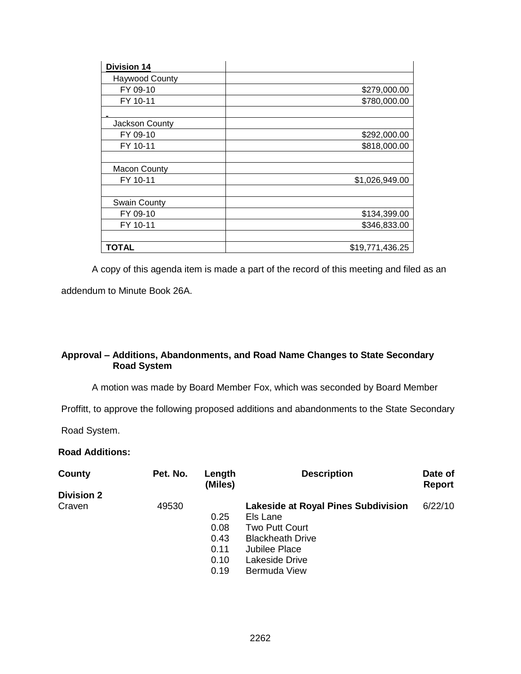| <b>Division 14</b>    |                 |
|-----------------------|-----------------|
| <b>Haywood County</b> |                 |
| FY 09-10              | \$279,000.00    |
| FY 10-11              | \$780,000.00    |
|                       |                 |
| Jackson County        |                 |
| FY 09-10              | \$292,000.00    |
| FY 10-11              | \$818,000.00    |
|                       |                 |
| <b>Macon County</b>   |                 |
| FY 10-11              | \$1,026,949.00  |
|                       |                 |
| <b>Swain County</b>   |                 |
| FY 09-10              | \$134,399.00    |
| FY 10-11              | \$346,833.00    |
|                       |                 |
| TOTAL                 | \$19,771,436.25 |

A copy of this agenda item is made a part of the record of this meeting and filed as an

addendum to Minute Book 26A.

### **Approval – Additions, Abandonments, and Road Name Changes to State Secondary Road System**

A motion was made by Board Member Fox, which was seconded by Board Member

Proffitt, to approve the following proposed additions and abandonments to the State Secondary

Road System.

### **Road Additions:**

| County            | Pet. No. | Length<br>(Miles) | <b>Description</b>                         | Date of<br><b>Report</b> |
|-------------------|----------|-------------------|--------------------------------------------|--------------------------|
| <b>Division 2</b> |          |                   |                                            |                          |
| Craven            | 49530    |                   | <b>Lakeside at Royal Pines Subdivision</b> | 6/22/10                  |
|                   |          | 0.25              | Els Lane                                   |                          |
|                   |          | 0.08              | <b>Two Putt Court</b>                      |                          |
|                   |          | 0.43              | <b>Blackheath Drive</b>                    |                          |
|                   |          | 0.11              | Jubilee Place                              |                          |
|                   |          | 0.10              | Lakeside Drive                             |                          |
|                   |          | 0.19              | <b>Bermuda View</b>                        |                          |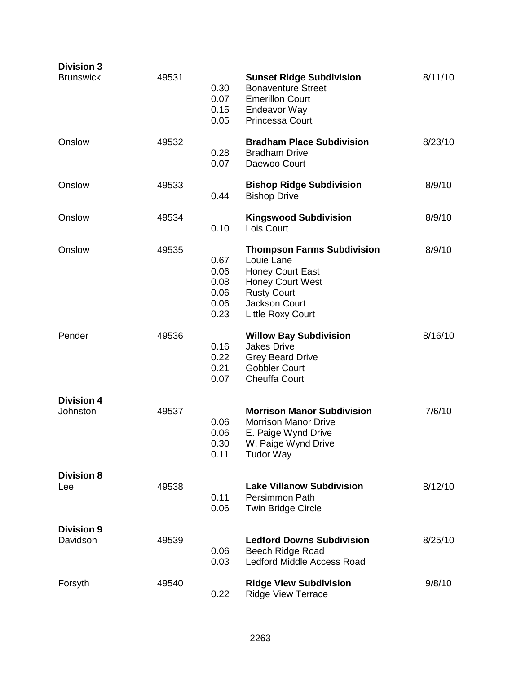| <b>Division 3</b><br><b>Brunswick</b> | 49531 | 0.30<br>0.07<br>0.15<br>0.05                 | <b>Sunset Ridge Subdivision</b><br><b>Bonaventure Street</b><br><b>Emerillon Court</b><br>Endeavor Way<br><b>Princessa Court</b>                                  | 8/11/10 |
|---------------------------------------|-------|----------------------------------------------|-------------------------------------------------------------------------------------------------------------------------------------------------------------------|---------|
| Onslow                                | 49532 | 0.28<br>0.07                                 | <b>Bradham Place Subdivision</b><br><b>Bradham Drive</b><br>Daewoo Court                                                                                          | 8/23/10 |
| Onslow                                | 49533 | 0.44                                         | <b>Bishop Ridge Subdivision</b><br><b>Bishop Drive</b>                                                                                                            | 8/9/10  |
| Onslow                                | 49534 | 0.10                                         | <b>Kingswood Subdivision</b><br>Lois Court                                                                                                                        | 8/9/10  |
| Onslow                                | 49535 | 0.67<br>0.06<br>0.08<br>0.06<br>0.06<br>0.23 | <b>Thompson Farms Subdivision</b><br>Louie Lane<br><b>Honey Court East</b><br><b>Honey Court West</b><br><b>Rusty Court</b><br>Jackson Court<br>Little Roxy Court | 8/9/10  |
| Pender                                | 49536 | 0.16<br>0.22<br>0.21<br>0.07                 | <b>Willow Bay Subdivision</b><br><b>Jakes Drive</b><br><b>Grey Beard Drive</b><br><b>Gobbler Court</b><br><b>Cheuffa Court</b>                                    | 8/16/10 |
| <b>Division 4</b><br>Johnston         | 49537 | 0.06<br>0.06<br>0.30<br>0.11                 | <b>Morrison Manor Subdivision</b><br><b>Morrison Manor Drive</b><br>E. Paige Wynd Drive<br>W. Paige Wynd Drive<br><b>Tudor Way</b>                                | 7/6/10  |
| <b>Division 8</b><br>Lee              | 49538 | 0.11<br>0.06                                 | <b>Lake Villanow Subdivision</b><br>Persimmon Path<br><b>Twin Bridge Circle</b>                                                                                   | 8/12/10 |
| <b>Division 9</b><br>Davidson         | 49539 | 0.06<br>0.03                                 | <b>Ledford Downs Subdivision</b><br>Beech Ridge Road<br>Ledford Middle Access Road                                                                                | 8/25/10 |
| Forsyth                               | 49540 | 0.22                                         | <b>Ridge View Subdivision</b><br><b>Ridge View Terrace</b>                                                                                                        | 9/8/10  |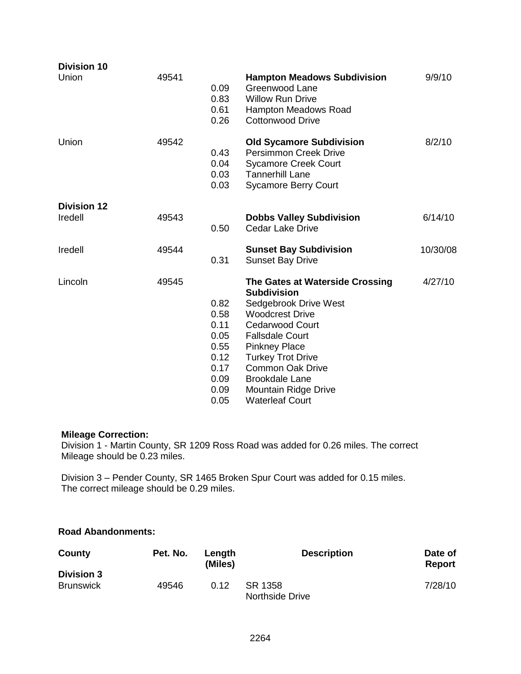| <b>Division 10</b> |       |                                                                              |                                                                                                                                                                                                                                                                                                                               |          |
|--------------------|-------|------------------------------------------------------------------------------|-------------------------------------------------------------------------------------------------------------------------------------------------------------------------------------------------------------------------------------------------------------------------------------------------------------------------------|----------|
| Union              | 49541 | 0.09<br>0.83<br>0.61<br>0.26                                                 | <b>Hampton Meadows Subdivision</b><br>Greenwood Lane<br><b>Willow Run Drive</b><br><b>Hampton Meadows Road</b><br><b>Cottonwood Drive</b>                                                                                                                                                                                     | 9/9/10   |
| Union              | 49542 | 0.43<br>0.04<br>0.03<br>0.03                                                 | <b>Old Sycamore Subdivision</b><br><b>Persimmon Creek Drive</b><br><b>Sycamore Creek Court</b><br><b>Tannerhill Lane</b><br><b>Sycamore Berry Court</b>                                                                                                                                                                       | 8/2/10   |
| <b>Division 12</b> |       |                                                                              |                                                                                                                                                                                                                                                                                                                               |          |
| Iredell            | 49543 | 0.50                                                                         | <b>Dobbs Valley Subdivision</b><br>Cedar Lake Drive                                                                                                                                                                                                                                                                           | 6/14/10  |
| Iredell            | 49544 | 0.31                                                                         | <b>Sunset Bay Subdivision</b><br><b>Sunset Bay Drive</b>                                                                                                                                                                                                                                                                      | 10/30/08 |
| Lincoln            | 49545 | 0.82<br>0.58<br>0.11<br>0.05<br>0.55<br>0.12<br>0.17<br>0.09<br>0.09<br>0.05 | The Gates at Waterside Crossing<br><b>Subdivision</b><br>Sedgebrook Drive West<br><b>Woodcrest Drive</b><br><b>Cedarwood Court</b><br><b>Fallsdale Court</b><br><b>Pinkney Place</b><br><b>Turkey Trot Drive</b><br><b>Common Oak Drive</b><br><b>Brookdale Lane</b><br><b>Mountain Ridge Drive</b><br><b>Waterleaf Court</b> | 4/27/10  |

# **Mileage Correction:**

Division 1 - Martin County, SR 1209 Ross Road was added for 0.26 miles. The correct Mileage should be 0.23 miles.

Division 3 – Pender County, SR 1465 Broken Spur Court was added for 0.15 miles. The correct mileage should be 0.29 miles.

# **Road Abandonments:**

| County                                | Pet. No. | Length<br>(Miles) | <b>Description</b>         | Date of<br>Report |
|---------------------------------------|----------|-------------------|----------------------------|-------------------|
| <b>Division 3</b><br><b>Brunswick</b> | 49546    | 0.12              | SR 1358<br>Northside Drive | 7/28/10           |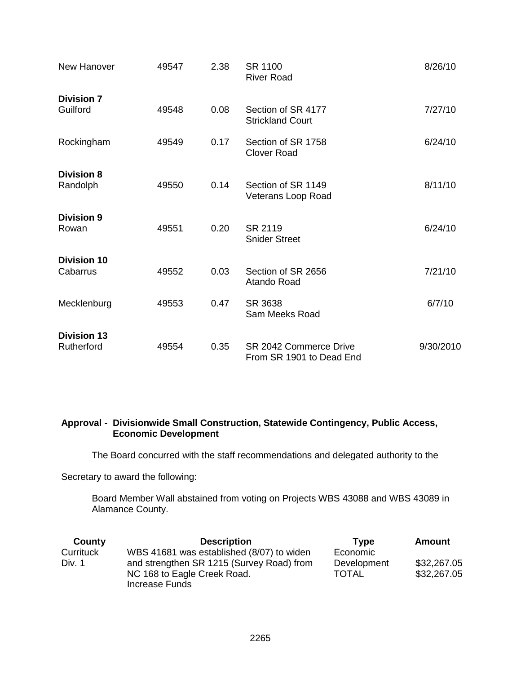| New Hanover                      | 49547 | 2.38 | SR 1100<br><b>River Road</b>                       | 8/26/10   |
|----------------------------------|-------|------|----------------------------------------------------|-----------|
| <b>Division 7</b><br>Guilford    | 49548 | 0.08 | Section of SR 4177<br><b>Strickland Court</b>      | 7/27/10   |
| Rockingham                       | 49549 | 0.17 | Section of SR 1758<br><b>Clover Road</b>           | 6/24/10   |
| <b>Division 8</b><br>Randolph    | 49550 | 0.14 | Section of SR 1149<br>Veterans Loop Road           | 8/11/10   |
| <b>Division 9</b><br>Rowan       | 49551 | 0.20 | SR 2119<br><b>Snider Street</b>                    | 6/24/10   |
| <b>Division 10</b><br>Cabarrus   | 49552 | 0.03 | Section of SR 2656<br>Atando Road                  | 7/21/10   |
| Mecklenburg                      | 49553 | 0.47 | SR 3638<br>Sam Meeks Road                          | 6/7/10    |
| <b>Division 13</b><br>Rutherford | 49554 | 0.35 | SR 2042 Commerce Drive<br>From SR 1901 to Dead End | 9/30/2010 |

### **Approval - Divisionwide Small Construction, Statewide Contingency, Public Access, Economic Development**

The Board concurred with the staff recommendations and delegated authority to the

Secretary to award the following:

Board Member Wall abstained from voting on Projects WBS 43088 and WBS 43089 in Alamance County.

| County    | <b>Description</b>                        | Type         | Amount      |
|-----------|-------------------------------------------|--------------|-------------|
| Currituck | WBS 41681 was established (8/07) to widen | Economic     |             |
| Div. 1    | and strengthen SR 1215 (Survey Road) from | Development  | \$32,267.05 |
|           | NC 168 to Eagle Creek Road.               | <b>TOTAL</b> | \$32,267.05 |
|           | Increase Funds                            |              |             |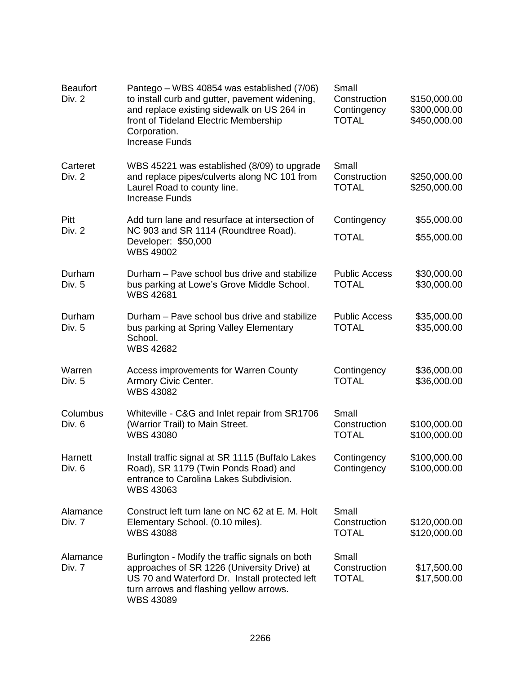| <b>Beaufort</b><br>Div. 2 | Pantego – WBS 40854 was established (7/06)<br>to install curb and gutter, pavement widening,<br>and replace existing sidewalk on US 264 in<br>front of Tideland Electric Membership<br>Corporation.<br><b>Increase Funds</b> | Small<br>Construction<br>Contingency<br><b>TOTAL</b> | \$150,000.00<br>\$300,000.00<br>\$450,000.00 |
|---------------------------|------------------------------------------------------------------------------------------------------------------------------------------------------------------------------------------------------------------------------|------------------------------------------------------|----------------------------------------------|
| Carteret<br>Div. 2        | WBS 45221 was established (8/09) to upgrade<br>and replace pipes/culverts along NC 101 from<br>Laurel Road to county line.<br><b>Increase Funds</b>                                                                          | Small<br>Construction<br><b>TOTAL</b>                | \$250,000.00<br>\$250,000.00                 |
| Pitt                      | Add turn lane and resurface at intersection of                                                                                                                                                                               | Contingency                                          | \$55,000.00                                  |
| Div. 2                    | NC 903 and SR 1114 (Roundtree Road).<br>Developer: \$50,000<br><b>WBS 49002</b>                                                                                                                                              | <b>TOTAL</b>                                         | \$55,000.00                                  |
| Durham<br>Div. 5          | Durham – Pave school bus drive and stabilize<br>bus parking at Lowe's Grove Middle School.<br><b>WBS 42681</b>                                                                                                               | <b>Public Access</b><br><b>TOTAL</b>                 | \$30,000.00<br>\$30,000.00                   |
| Durham<br>Div. 5          | Durham - Pave school bus drive and stabilize<br>bus parking at Spring Valley Elementary<br>School.<br><b>WBS 42682</b>                                                                                                       | <b>Public Access</b><br><b>TOTAL</b>                 | \$35,000.00<br>\$35,000.00                   |
| Warren<br>Div. 5          | Access improvements for Warren County<br>Armory Civic Center.<br><b>WBS 43082</b>                                                                                                                                            | Contingency<br><b>TOTAL</b>                          | \$36,000.00<br>\$36,000.00                   |
| Columbus<br>Div. 6        | Whiteville - C&G and Inlet repair from SR1706<br>(Warrior Trail) to Main Street.<br><b>WBS 43080</b>                                                                                                                         | Small<br>Construction<br><b>TOTAL</b>                | \$100,000.00<br>\$100,000.00                 |
| Harnett<br>Div. 6         | Install traffic signal at SR 1115 (Buffalo Lakes<br>Road), SR 1179 (Twin Ponds Road) and<br>entrance to Carolina Lakes Subdivision.<br><b>WBS 43063</b>                                                                      | Contingency<br>Contingency                           | \$100,000.00<br>\$100,000.00                 |
| Alamance<br>Div. 7        | Construct left turn lane on NC 62 at E. M. Holt<br>Elementary School. (0.10 miles).<br><b>WBS 43088</b>                                                                                                                      | Small<br>Construction<br><b>TOTAL</b>                | \$120,000.00<br>\$120,000.00                 |
| Alamance<br>Div. 7        | Burlington - Modify the traffic signals on both<br>approaches of SR 1226 (University Drive) at<br>US 70 and Waterford Dr. Install protected left<br>turn arrows and flashing yellow arrows.<br><b>WBS 43089</b>              | Small<br>Construction<br><b>TOTAL</b>                | \$17,500.00<br>\$17,500.00                   |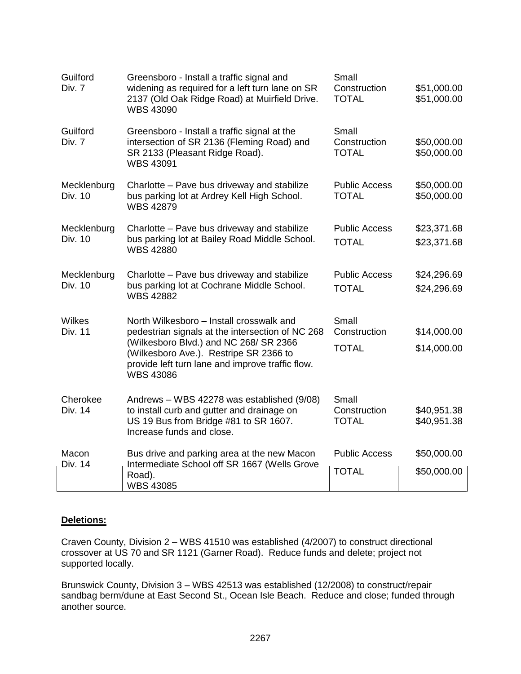| Guilford<br>Div. 7     | Greensboro - Install a traffic signal and<br>widening as required for a left turn lane on SR<br>2137 (Old Oak Ridge Road) at Muirfield Drive.<br><b>WBS 43090</b>                                                                                        | Small<br>Construction<br><b>TOTAL</b> | \$51,000.00<br>\$51,000.00 |
|------------------------|----------------------------------------------------------------------------------------------------------------------------------------------------------------------------------------------------------------------------------------------------------|---------------------------------------|----------------------------|
| Guilford<br>Div. 7     | Greensboro - Install a traffic signal at the<br>intersection of SR 2136 (Fleming Road) and<br>SR 2133 (Pleasant Ridge Road).<br><b>WBS 43091</b>                                                                                                         | Small<br>Construction<br><b>TOTAL</b> | \$50,000.00<br>\$50,000.00 |
| Mecklenburg<br>Div. 10 | Charlotte - Pave bus driveway and stabilize<br>bus parking lot at Ardrey Kell High School.<br><b>WBS 42879</b>                                                                                                                                           | <b>Public Access</b><br><b>TOTAL</b>  | \$50,000.00<br>\$50,000.00 |
| Mecklenburg<br>Div. 10 | Charlotte - Pave bus driveway and stabilize<br>bus parking lot at Bailey Road Middle School.<br><b>WBS 42880</b>                                                                                                                                         | <b>Public Access</b><br><b>TOTAL</b>  | \$23,371.68<br>\$23,371.68 |
| Mecklenburg<br>Div. 10 | Charlotte - Pave bus driveway and stabilize<br>bus parking lot at Cochrane Middle School.<br><b>WBS 42882</b>                                                                                                                                            | <b>Public Access</b><br><b>TOTAL</b>  | \$24,296.69<br>\$24,296.69 |
| Wilkes<br>Div. 11      | North Wilkesboro - Install crosswalk and<br>pedestrian signals at the intersection of NC 268<br>(Wilkesboro Blvd.) and NC 268/ SR 2366<br>(Wilkesboro Ave.). Restripe SR 2366 to<br>provide left turn lane and improve traffic flow.<br><b>WBS 43086</b> | Small<br>Construction<br><b>TOTAL</b> | \$14,000.00<br>\$14,000.00 |
| Cherokee<br>Div. 14    | Andrews - WBS 42278 was established (9/08)<br>to install curb and gutter and drainage on<br>US 19 Bus from Bridge #81 to SR 1607.<br>Increase funds and close.                                                                                           | Small<br>Construction<br><b>TOTAL</b> | \$40,951.38<br>\$40,951.38 |
| Macon<br>Div. 14       | Bus drive and parking area at the new Macon<br>Intermediate School off SR 1667 (Wells Grove<br>Road).<br><b>WBS 43085</b>                                                                                                                                | <b>Public Access</b><br><b>TOTAL</b>  | \$50,000.00<br>\$50,000.00 |

### **Deletions:**

Craven County, Division 2 – WBS 41510 was established (4/2007) to construct directional crossover at US 70 and SR 1121 (Garner Road). Reduce funds and delete; project not supported locally.

Brunswick County, Division 3 – WBS 42513 was established (12/2008) to construct/repair sandbag berm/dune at East Second St., Ocean Isle Beach. Reduce and close; funded through another source.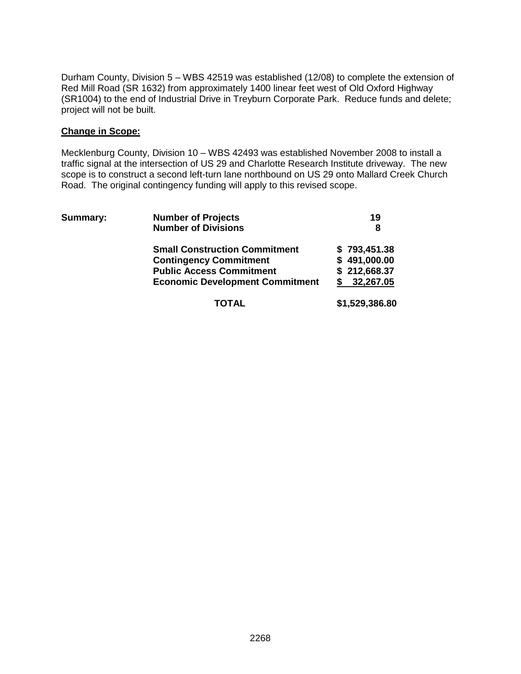Durham County, Division 5 – WBS 42519 was established (12/08) to complete the extension of Red Mill Road (SR 1632) from approximately 1400 linear feet west of Old Oxford Highway (SR1004) to the end of Industrial Drive in Treyburn Corporate Park. Reduce funds and delete; project will not be built.

### **Change in Scope:**

Mecklenburg County, Division 10 – WBS 42493 was established November 2008 to install a traffic signal at the intersection of US 29 and Charlotte Research Institute driveway. The new scope is to construct a second left-turn lane northbound on US 29 onto Mallard Creek Church Road. The original contingency funding will apply to this revised scope.

| <b>Summary:</b> | <b>Number of Projects</b>              | 19             |
|-----------------|----------------------------------------|----------------|
|                 | <b>Number of Divisions</b>             | 8              |
|                 | <b>Small Construction Commitment</b>   | \$793,451.38   |
|                 | <b>Contingency Commitment</b>          | \$491,000.00   |
|                 | <b>Public Access Commitment</b>        | \$212,668.37   |
|                 | <b>Economic Development Commitment</b> | 32,267.05      |
|                 | TOTAL                                  | \$1,529,386.80 |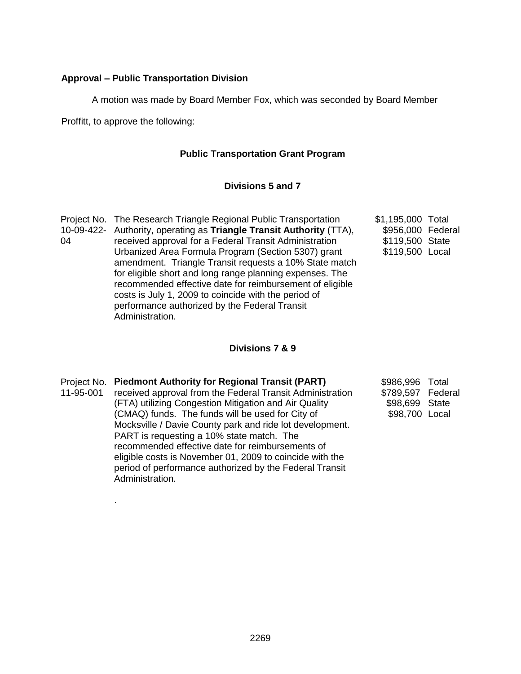### **Approval – Public Transportation Division**

A motion was made by Board Member Fox, which was seconded by Board Member

Proffitt, to approve the following:

### **Public Transportation Grant Program**

### **Divisions 5 and 7**

|    | Project No. The Research Triangle Regional Public Transportation     | \$1,195,000 Total |  |
|----|----------------------------------------------------------------------|-------------------|--|
|    | 10-09-422- Authority, operating as Triangle Transit Authority (TTA), | \$956,000 Federal |  |
| 04 | received approval for a Federal Transit Administration               | \$119,500 State   |  |
|    | Urbanized Area Formula Program (Section 5307) grant                  | \$119,500 Local   |  |
|    | amendment. Triangle Transit requests a 10% State match               |                   |  |
|    | for eligible short and long range planning expenses. The             |                   |  |
|    | recommended effective date for reimbursement of eligible             |                   |  |
|    | costs is July 1, 2009 to coincide with the period of                 |                   |  |
|    | performance authorized by the Federal Transit                        |                   |  |
|    | Administration.                                                      |                   |  |

### **Divisions 7 & 9**

| 11-95-001 | Project No. Piedmont Authority for Regional Transit (PART)<br>received approval from the Federal Transit Administration<br>(FTA) utilizing Congestion Mitigation and Air Quality<br>(CMAQ) funds. The funds will be used for City of<br>Mocksville / Davie County park and ride lot development.<br>PART is requesting a 10% state match. The<br>recommended effective date for reimbursements of<br>eligible costs is November 01, 2009 to coincide with the | \$986,996 Total<br>\$789,597 Federal<br>\$98,699 State<br>\$98,700 Local |  |
|-----------|---------------------------------------------------------------------------------------------------------------------------------------------------------------------------------------------------------------------------------------------------------------------------------------------------------------------------------------------------------------------------------------------------------------------------------------------------------------|--------------------------------------------------------------------------|--|
|           |                                                                                                                                                                                                                                                                                                                                                                                                                                                               |                                                                          |  |

period of performance authorized by the Federal Transit

Administration.

.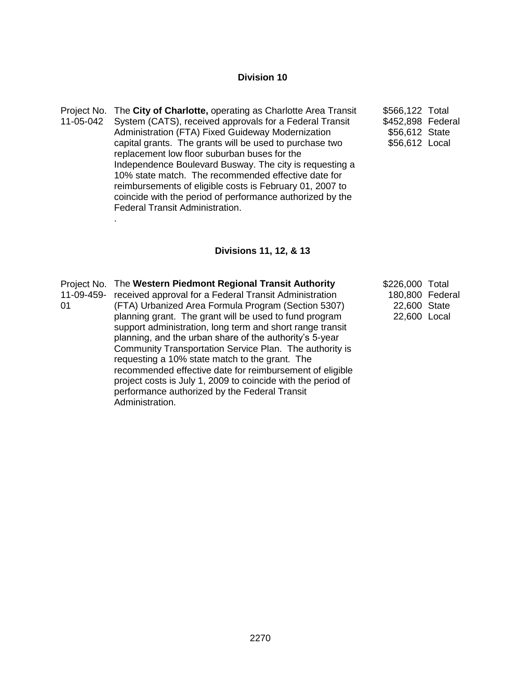### **Division 10**

- Project No. The **City of Charlotte,** operating as Charlotte Area Transit 11-05-042 System (CATS), received approvals for a Federal Transit Administration (FTA) Fixed Guideway Modernization capital grants. The grants will be used to purchase two replacement low floor suburban buses for the Independence Boulevard Busway. The city is requesting a 10% state match. The recommended effective date for reimbursements of eligible costs is February 01, 2007 to coincide with the period of performance authorized by the Federal Transit Administration. .
- \$566,122 Total \$452,898 Federal \$56,612 State \$56,612 Local

#### **Divisions 11, 12, & 13**

| 11-09-459-<br>01 | Project No. The Western Piedmont Regional Transit Authority<br>received approval for a Federal Transit Administration<br>(FTA) Urbanized Area Formula Program (Section 5307)<br>planning grant. The grant will be used to fund program<br>support administration, long term and short range transit<br>planning, and the urban share of the authority's 5-year<br>Community Transportation Service Plan. The authority is<br>requesting a 10% state match to the grant. The<br>recommended effective date for reimbursement of eligible<br>project costs is July 1, 2009 to coincide with the period of<br>performance authorized by the Federal Transit | \$226,000 Total<br>22,600 State<br>22,600 Local | 180,800 Federal |
|------------------|----------------------------------------------------------------------------------------------------------------------------------------------------------------------------------------------------------------------------------------------------------------------------------------------------------------------------------------------------------------------------------------------------------------------------------------------------------------------------------------------------------------------------------------------------------------------------------------------------------------------------------------------------------|-------------------------------------------------|-----------------|
|                  | Administration.                                                                                                                                                                                                                                                                                                                                                                                                                                                                                                                                                                                                                                          |                                                 |                 |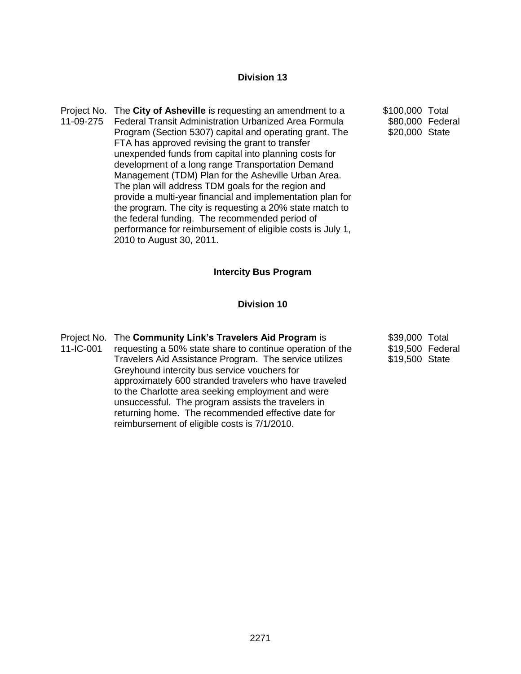### **Division 13**

Project No. The **City of Asheville** is requesting an amendment to a 11-09-275 Federal Transit Administration Urbanized Area Formula Program (Section 5307) capital and operating grant. The FTA has approved revising the grant to transfer unexpended funds from capital into planning costs for development of a long range Transportation Demand Management (TDM) Plan for the Asheville Urban Area. The plan will address TDM goals for the region and provide a multi-year financial and implementation plan for the program. The city is requesting a 20% state match to the federal funding. The recommended period of performance for reimbursement of eligible costs is July 1, 2010 to August 30, 2011.

\$100,000 Total \$80,000 Federal \$20,000 State

#### **Intercity Bus Program**

#### **Division 10**

|           | Project No. The Community Link's Travelers Aid Program is | \$39,000 Total   |
|-----------|-----------------------------------------------------------|------------------|
| 11-IC-001 | requesting a 50% state share to continue operation of the | \$19,500 Federal |
|           | Travelers Aid Assistance Program. The service utilizes    | \$19,500 State   |
|           | Greyhound intercity bus service vouchers for              |                  |
|           | approximately 600 stranded travelers who have traveled    |                  |
|           | to the Charlotte area seeking employment and were         |                  |

unsuccessful. The program assists the travelers in returning home. The recommended effective date for

reimbursement of eligible costs is 7/1/2010.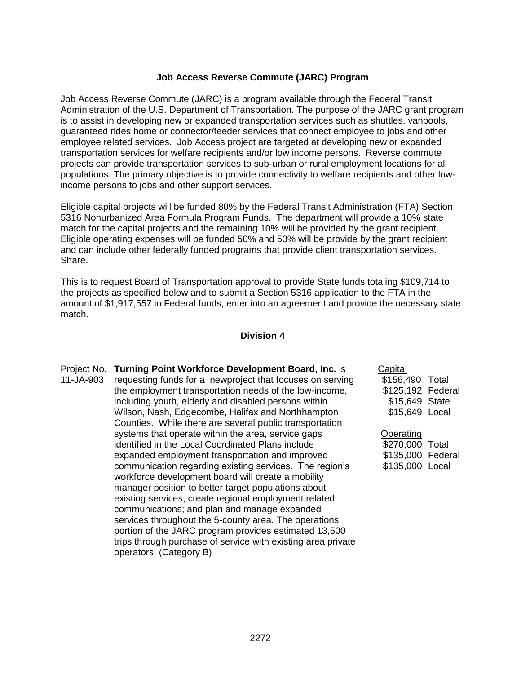### **Job Access Reverse Commute (JARC) Program**

Job Access Reverse Commute (JARC) is a program available through the Federal Transit Administration of the U.S. Department of Transportation. The purpose of the JARC grant program is to assist in developing new or expanded transportation services such as shuttles, vanpools, guaranteed rides home or connector/feeder services that connect employee to jobs and other employee related services. Job Access project are targeted at developing new or expanded transportation services for welfare recipients and/or low income persons. Reverse commute projects can provide transportation services to sub-urban or rural employment locations for all populations. The primary objective is to provide connectivity to welfare recipients and other lowincome persons to jobs and other support services.

Eligible capital projects will be funded 80% by the Federal Transit Administration (FTA) Section 5316 Nonurbanized Area Formula Program Funds. The department will provide a 10% state match for the capital projects and the remaining 10% will be provided by the grant recipient. Eligible operating expenses will be funded 50% and 50% will be provide by the grant recipient and can include other federally funded programs that provide client transportation services. Share.

This is to request Board of Transportation approval to provide State funds totaling \$109,714 to the projects as specified below and to submit a Section 5316 application to the FTA in the amount of \$1,917,557 in Federal funds, enter into an agreement and provide the necessary state match.

#### **Division 4**

Project No. **Turning Point Workforce Development Board, Inc.** is 11-JA-903 requesting funds for a newproject that focuses on serving the employment transportation needs of the low-income, including youth, elderly and disabled persons within Wilson, Nash, Edgecombe, Halifax and Northhampton Counties. While there are several public transportation systems that operate within the area, service gaps identified in the Local Coordinated Plans include expanded employment transportation and improved communication regarding existing services. The region's workforce development board will create a mobility manager position to better target populations about existing services; create regional employment related communications; and plan and manage expanded services throughout the 5-county area. The operations portion of the JARC program provides estimated 13,500 trips through purchase of service with existing area private operators. (Category B)

| Capital           |  |
|-------------------|--|
| \$156,490 Total   |  |
| \$125,192 Federal |  |
| \$15,649 State    |  |
| \$15,649 Local    |  |
|                   |  |

**Operating** \$270,000 Total \$135,000 Federal \$135,000 Local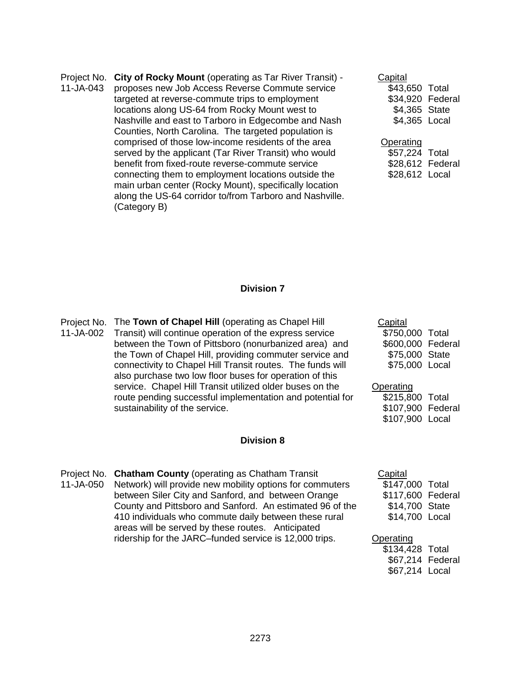Project No. **City of Rocky Mount** (operating as Tar River Transit) -

11-JA-043 proposes new Job Access Reverse Commute service targeted at reverse-commute trips to employment locations along US-64 from Rocky Mount west to Nashville and east to Tarboro in Edgecombe and Nash Counties, North Carolina. The targeted population is comprised of those low-income residents of the area served by the applicant (Tar River Transit) who would benefit from fixed-route reverse-commute service connecting them to employment locations outside the main urban center (Rocky Mount), specifically location along the US-64 corridor to/from Tarboro and Nashville. (Category B)

| Capital          |  |
|------------------|--|
| \$43,650 Total   |  |
| \$34,920 Federal |  |
| \$4,365 State    |  |
| \$4,365 Local    |  |
|                  |  |

## **Operating**

| \$57,224 Total   |  |
|------------------|--|
| \$28,612 Federal |  |
| \$28,612 Local   |  |

#### **Division 7**

Project No. The **Town of Chapel Hill** (operating as Chapel Hill 11-JA-002 Transit) will continue operation of the express service between the Town of Pittsboro (nonurbanized area) and the Town of Chapel Hill, providing commuter service and connectivity to Chapel Hill Transit routes. The funds will also purchase two low floor buses for operation of this service. Chapel Hill Transit utilized older buses on the route pending successful implementation and potential for sustainability of the service.

#### **Division 8**

Project No. **Chatham County** (operating as Chatham Transit 11-JA-050 Network) will provide new mobility options for commuters between Siler City and Sanford, and between Orange County and Pittsboro and Sanford. An estimated 96 of the 410 individuals who commute daily between these rural areas will be served by these routes. Anticipated ridership for the JARC–funded service is 12,000 trips.

| \$750,000 Total   |
|-------------------|
| \$600,000 Federal |
| \$75,000 State    |
| \$75,000 Local    |
|                   |

#### **Operating** \$215,800 Total \$107,900 Federal \$107,900 Local

| Capital         |         |
|-----------------|---------|
| \$147,000 Total |         |
| \$117,600       | Federal |
| \$14,700        | State   |
| \$14,700        | Local   |
|                 |         |

# **Operating** \$134,428 Total

\$67,214 Federal \$67,214 Local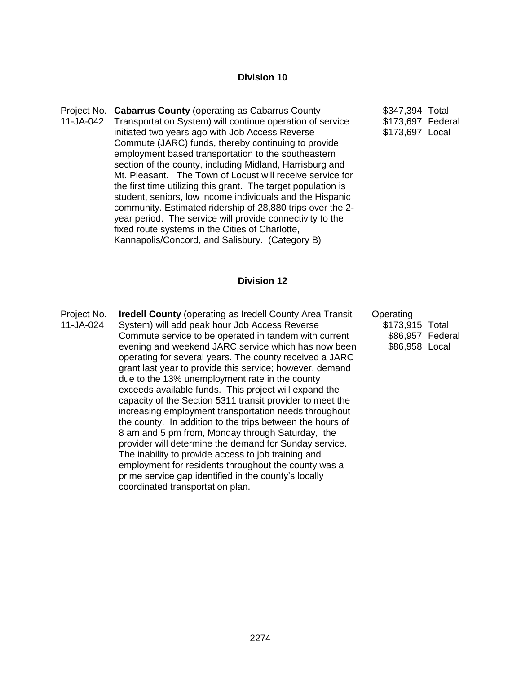#### **Division 10**

- Project No. **Cabarrus County** (operating as Cabarrus County 11-JA-042 Transportation System) will continue operation of service initiated two years ago with Job Access Reverse Commute (JARC) funds, thereby continuing to provide employment based transportation to the southeastern section of the county, including Midland, Harrisburg and Mt. Pleasant. The Town of Locust will receive service for the first time utilizing this grant. The target population is student, seniors, low income individuals and the Hispanic community. Estimated ridership of 28,880 trips over the 2 year period. The service will provide connectivity to the fixed route systems in the Cities of Charlotte, Kannapolis/Concord, and Salisbury. (Category B)
- \$347,394 Total \$173,697 Federal \$173,697 Local

**Operating** 

\$173,915 Total \$86,957 Federal \$86,958 Local

#### **Division 12**

Project No. 11-JA-024 **Iredell County** (operating as Iredell County Area Transit System) will add peak hour Job Access Reverse Commute service to be operated in tandem with current evening and weekend JARC service which has now been operating for several years. The county received a JARC grant last year to provide this service; however, demand due to the 13% unemployment rate in the county exceeds available funds. This project will expand the capacity of the Section 5311 transit provider to meet the increasing employment transportation needs throughout the county. In addition to the trips between the hours of 8 am and 5 pm from, Monday through Saturday, the provider will determine the demand for Sunday service. The inability to provide access to job training and employment for residents throughout the county was a prime service gap identified in the county's locally coordinated transportation plan.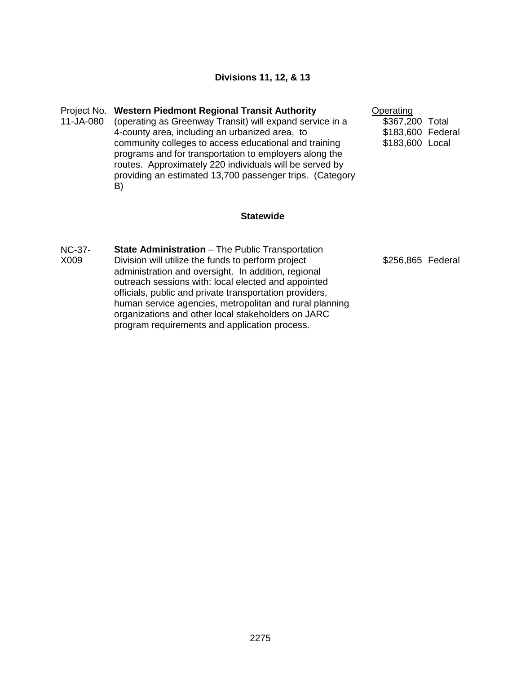### **Divisions 11, 12, & 13**

Project No. **Western Piedmont Regional Transit Authority**  11-JA-080 (operating as Greenway Transit) will expand service in a 4-county area, including an urbanized area, to community colleges to access educational and training programs and for transportation to employers along the routes. Approximately 220 individuals will be served by providing an estimated 13,700 passenger trips. (Category B)

**Operating** \$367,200 Total \$183,600 Federal \$183,600 Local

#### **Statewide**

NC-37- X009 **State Administration** – The Public Transportation Division will utilize the funds to perform project administration and oversight. In addition, regional outreach sessions with: local elected and appointed officials, public and private transportation providers, human service agencies, metropolitan and rural planning organizations and other local stakeholders on JARC program requirements and application process.

\$256,865 Federal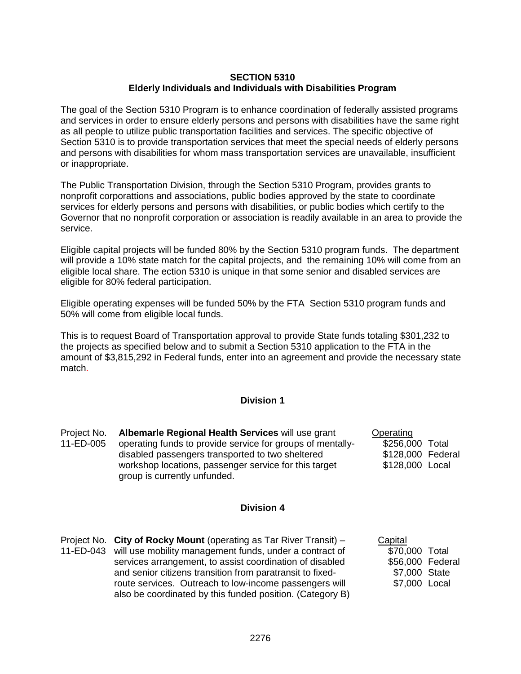### **SECTION 5310 Elderly Individuals and Individuals with Disabilities Program**

The goal of the Section 5310 Program is to enhance coordination of federally assisted programs and services in order to ensure elderly persons and persons with disabilities have the same right as all people to utilize public transportation facilities and services. The specific objective of Section 5310 is to provide transportation services that meet the special needs of elderly persons and persons with disabilities for whom mass transportation services are unavailable, insufficient or inappropriate.

The Public Transportation Division, through the Section 5310 Program, provides grants to nonprofit corporattions and associations, public bodies approved by the state to coordinate services for elderly persons and persons with disabilities, or public bodies which certify to the Governor that no nonprofit corporation or association is readily available in an area to provide the service.

Eligible capital projects will be funded 80% by the Section 5310 program funds. The department will provide a 10% state match for the capital projects, and the remaining 10% will come from an eligible local share. The ection 5310 is unique in that some senior and disabled services are eligible for 80% federal participation.

Eligible operating expenses will be funded 50% by the FTA Section 5310 program funds and 50% will come from eligible local funds.

This is to request Board of Transportation approval to provide State funds totaling \$301,232 to the projects as specified below and to submit a Section 5310 application to the FTA in the amount of \$3,815,292 in Federal funds, enter into an agreement and provide the necessary state match.

### **Division 1**

| Project No. | Albemarle Regional Health Services will use grant          | Operating         |       |
|-------------|------------------------------------------------------------|-------------------|-------|
| 11-ED-005   | operating funds to provide service for groups of mentally- | \$256,000         | Total |
|             | disabled passengers transported to two sheltered           | \$128,000 Federal |       |
|             | workshop locations, passenger service for this target      | \$128,000 Local   |       |
|             | group is currently unfunded.                               |                   |       |

#### **Division 4**

Project No. **City of Rocky Mount** (operating as Tar River Transit) – 11-ED-043 will use mobility management funds, under a contract of services arrangement, to assist coordination of disabled and senior citizens transition from paratransit to fixedroute services. Outreach to low-income passengers will also be coordinated by this funded position. (Category B) **Capital**  \$70,000 Total \$56,000 Federal \$7,000 State \$7,000 Local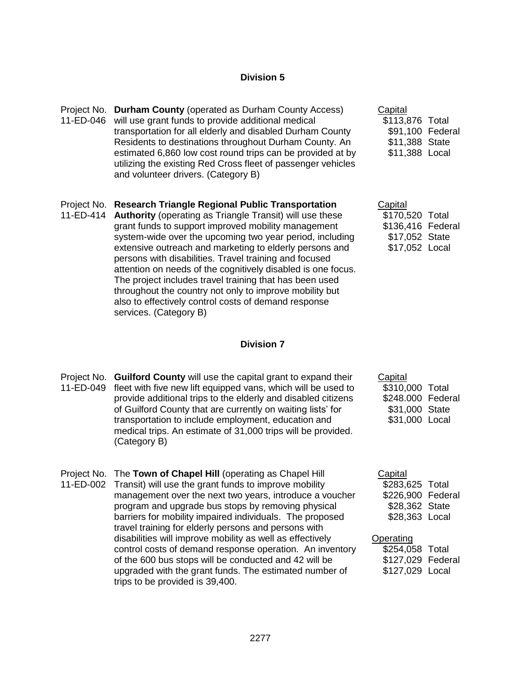### **Division 5**

Project No. **Durham County** (operated as Durham County Access) 11-ED-046 will use grant funds to provide additional medical transportation for all elderly and disabled Durham County Residents to destinations throughout Durham County. An estimated 6,860 low cost round trips can be provided at by utilizing the existing Red Cross fleet of passenger vehicles and volunteer drivers. (Category B)

#### Project No. **Research Triangle Regional Public Transportation**

11-ED-414 **Authority** (operating as Triangle Transit) will use these grant funds to support improved mobility management system-wide over the upcoming two year period, including extensive outreach and marketing to elderly persons and persons with disabilities. Travel training and focused attention on needs of the cognitively disabled is one focus. The project includes travel training that has been used throughout the country not only to improve mobility but also to effectively control costs of demand response services. (Category B)

# **Capital**

\$113,876 Total \$91,100 Federal \$11,388 State \$11,388 Local

| Capital           |  |
|-------------------|--|
| \$170,520 Total   |  |
| \$136,416 Federal |  |
| \$17,052 State    |  |
| \$17,052 Local    |  |

#### **Division 7**

Project No. **Guilford County** will use the capital grant to expand their 11-ED-049 fleet with five new lift equipped vans, which will be used to provide additional trips to the elderly and disabled citizens of Guilford County that are currently on waiting lists' for transportation to include employment, education and medical trips. An estimate of 31,000 trips will be provided. (Category B)

> program and upgrade bus stops by removing physical barriers for mobility impaired individuals. The proposed travel training for elderly persons and persons with disabilities will improve mobility as well as effectively

control costs of demand response operation. An inventory of the 600 bus stops will be conducted and 42 will be upgraded with the grant funds. The estimated number of

Project No. The **Town of Chapel Hill** (operating as Chapel Hill 11-ED-002 Transit) will use the grant funds to improve mobility

trips to be provided is 39,400.

management over the next two years, introduce a voucher **Capital** \$283,625 Total \$226,900 Federal

**Capital** 

\$310,000 Total \$248.000 Federal \$31,000 State \$31,000 Local

\$28,362 State \$28,363 Local

**Operating** \$254,058 Total

\$127,029 Federal \$127,029 Local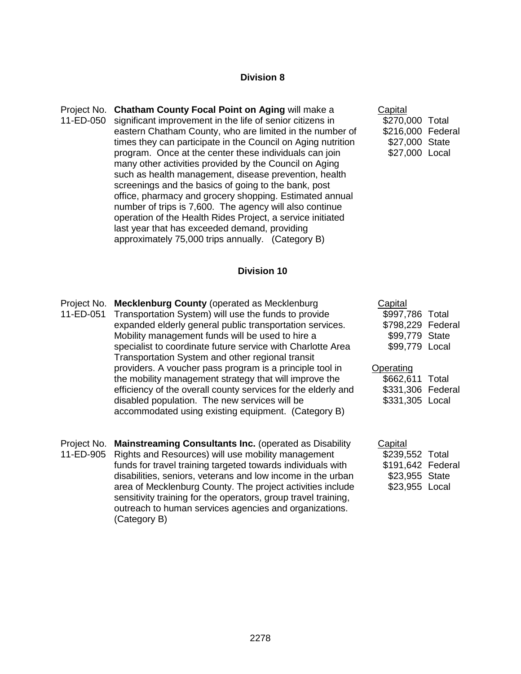#### **Division 8**

Project No. **Chatham County Focal Point on Aging** will make a 11-ED-050 significant improvement in the life of senior citizens in eastern Chatham County, who are limited in the number of times they can participate in the Council on Aging nutrition program. Once at the center these individuals can join many other activities provided by the Council on Aging such as health management, disease prevention, health screenings and the basics of going to the bank, post office, pharmacy and grocery shopping. Estimated annual number of trips is 7,600. The agency will also continue operation of the Health Rides Project, a service initiated last year that has exceeded demand, providing approximately 75,000 trips annually. (Category B)

**Capital** \$270,000 Total \$216,000 Federal \$27,000 State \$27,000 Local

#### **Division 10**

- Project No. **Mecklenburg County** (operated as Mecklenburg 11-ED-051 Transportation System) will use the funds to provide expanded elderly general public transportation services. Mobility management funds will be used to hire a specialist to coordinate future service with Charlotte Area Transportation System and other regional transit providers. A voucher pass program is a principle tool in the mobility management strategy that will improve the efficiency of the overall county services for the elderly and disabled population. The new services will be accommodated using existing equipment. (Category B)
- Project No. **Mainstreaming Consultants Inc.** (operated as Disability 11-ED-905 Rights and Resources) will use mobility management funds for travel training targeted towards individuals with disabilities, seniors, veterans and low income in the urban area of Mecklenburg County. The project activities include sensitivity training for the operators, group travel training, outreach to human services agencies and organizations. (Category B)

| Capital         |         |
|-----------------|---------|
| \$997,786 Total |         |
| \$798,229       | Federal |
| \$99,779        | State   |
| \$99,779        | Local   |

#### **Operating** \$662,611 Total

| 9002.011          | ו טנעו |
|-------------------|--------|
| \$331,306 Federal |        |
| \$331,305 Local   |        |

| Capital           |  |
|-------------------|--|
| \$239,552 Total   |  |
| \$191,642 Federal |  |
| \$23,955 State    |  |
| \$23,955 Local    |  |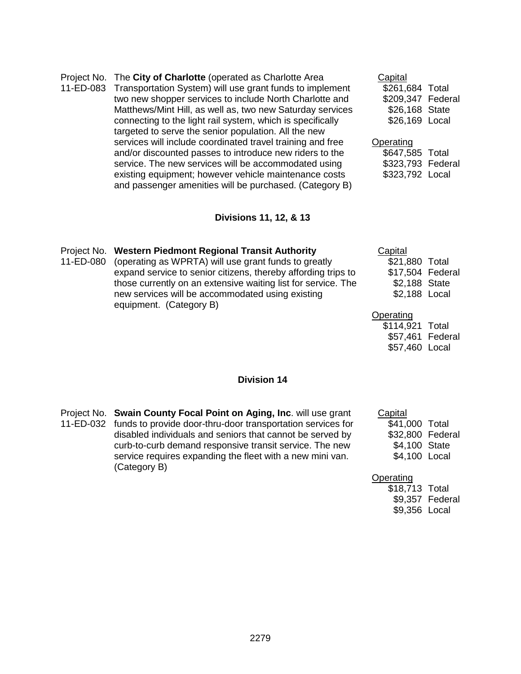| 11-ED-083 | Project No. The City of Charlotte (operated as Charlotte Area<br>Transportation System) will use grant funds to implement | Capital<br>\$261,684 Total |  |
|-----------|---------------------------------------------------------------------------------------------------------------------------|----------------------------|--|
|           | two new shopper services to include North Charlotte and                                                                   | \$209,347 Federal          |  |
|           |                                                                                                                           |                            |  |
|           | Matthews/Mint Hill, as well as, two new Saturday services                                                                 | \$26,168 State             |  |
|           | connecting to the light rail system, which is specifically                                                                | \$26,169 Local             |  |
|           | targeted to serve the senior population. All the new                                                                      |                            |  |
|           | services will include coordinated travel training and free                                                                | Operating                  |  |
|           | and/or discounted passes to introduce new riders to the                                                                   | \$647,585 Total            |  |
|           | service. The new services will be accommodated using                                                                      | \$323,793 Federal          |  |
|           | existing equipment; however vehicle maintenance costs                                                                     | \$323,792 Local            |  |
|           | and passenger amenities will be purchased. (Category B)                                                                   |                            |  |

# **Divisions 11, 12, & 13**

|           | Project No. Western Piedmont Regional Transit Authority       | Capital          |  |
|-----------|---------------------------------------------------------------|------------------|--|
| 11-ED-080 | (operating as WPRTA) will use grant funds to greatly          | \$21,880 Total   |  |
|           | expand service to senior citizens, thereby affording trips to | \$17,504 Federal |  |
|           | those currently on an extensive waiting list for service. The | \$2,188 State    |  |
|           | new services will be accommodated using existing              | \$2,188 Local    |  |
|           | equipment. (Category B)                                       |                  |  |
|           |                                                               | Operating        |  |
|           |                                                               | \$114,921 Total  |  |

### **Division 14**

| Project No. Swain County Focal Point on Aging, Inc. will use grant    |
|-----------------------------------------------------------------------|
| 11-ED-032 funds to provide door-thru-door transportation services for |
| disabled individuals and seniors that cannot be served by             |
| curb-to-curb demand responsive transit service. The new               |
| service requires expanding the fleet with a new mini van.             |
| (Category B)                                                          |

### **Capital** \$41,000 Total \$32,800 Federal \$4,100 State \$4,100 Local

\$57,461 Federal \$57,460 Local

# **Operating**

| \$18,713 Total |                 |
|----------------|-----------------|
|                | \$9,357 Federal |
| \$9,356 Local  |                 |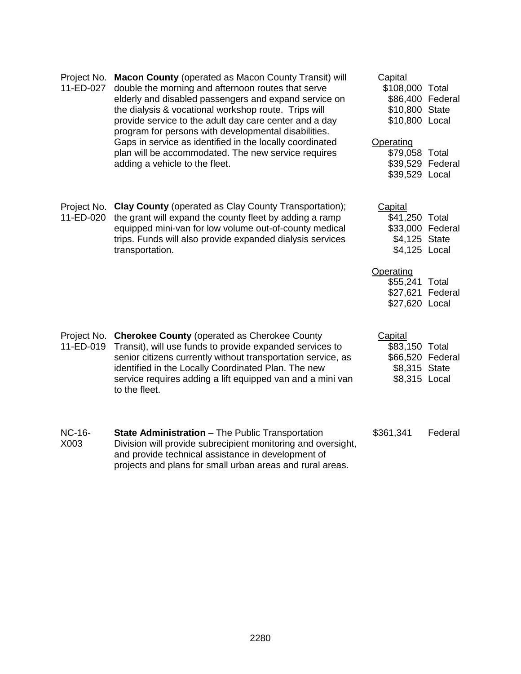| Project No.<br><b>Macon County (operated as Macon County Transit) will</b><br>11-ED-027<br>double the morning and afternoon routes that serve<br>elderly and disabled passengers and expand service on<br>the dialysis & vocational workshop route. Trips will<br>provide service to the adult day care center and a day<br>program for persons with developmental disabilities.<br>Gaps in service as identified in the locally coordinated<br>plan will be accommodated. The new service requires<br>adding a vehicle to the fleet. |                                                                                                                                                                                                                                                                                                                       | Capital<br>\$108,000 Total<br>\$86,400 Federal<br>\$10,800 State<br>\$10,800 Local |         |
|---------------------------------------------------------------------------------------------------------------------------------------------------------------------------------------------------------------------------------------------------------------------------------------------------------------------------------------------------------------------------------------------------------------------------------------------------------------------------------------------------------------------------------------|-----------------------------------------------------------------------------------------------------------------------------------------------------------------------------------------------------------------------------------------------------------------------------------------------------------------------|------------------------------------------------------------------------------------|---------|
|                                                                                                                                                                                                                                                                                                                                                                                                                                                                                                                                       | Operating<br>\$79,058 Total<br>\$39,529 Federal<br>\$39,529 Local                                                                                                                                                                                                                                                     |                                                                                    |         |
| Project No.<br>11-ED-020                                                                                                                                                                                                                                                                                                                                                                                                                                                                                                              | <b>Clay County (operated as Clay County Transportation);</b><br>the grant will expand the county fleet by adding a ramp<br>equipped mini-van for low volume out-of-county medical<br>trips. Funds will also provide expanded dialysis services<br>transportation.                                                     | Capital<br>\$41,250 Total<br>\$33,000 Federal<br>\$4,125 State<br>\$4,125 Local    |         |
|                                                                                                                                                                                                                                                                                                                                                                                                                                                                                                                                       |                                                                                                                                                                                                                                                                                                                       | Operating<br>\$55,241 Total<br>\$27,621 Federal<br>\$27,620 Local                  |         |
| Project No.<br>11-ED-019                                                                                                                                                                                                                                                                                                                                                                                                                                                                                                              | <b>Cherokee County (operated as Cherokee County</b><br>Transit), will use funds to provide expanded services to<br>senior citizens currently without transportation service, as<br>identified in the Locally Coordinated Plan. The new<br>service requires adding a lift equipped van and a mini van<br>to the fleet. | Capital<br>\$83,150 Total<br>\$66,520 Federal<br>\$8,315 State<br>\$8,315 Local    |         |
| <b>NC-16-</b><br>X003                                                                                                                                                                                                                                                                                                                                                                                                                                                                                                                 | <b>State Administration</b> – The Public Transportation<br>Division will provide subrecipient monitoring and oversight,<br>and provide technical assistance in development of<br>projects and plans for small urban areas and rural areas.                                                                            | \$361,341                                                                          | Federal |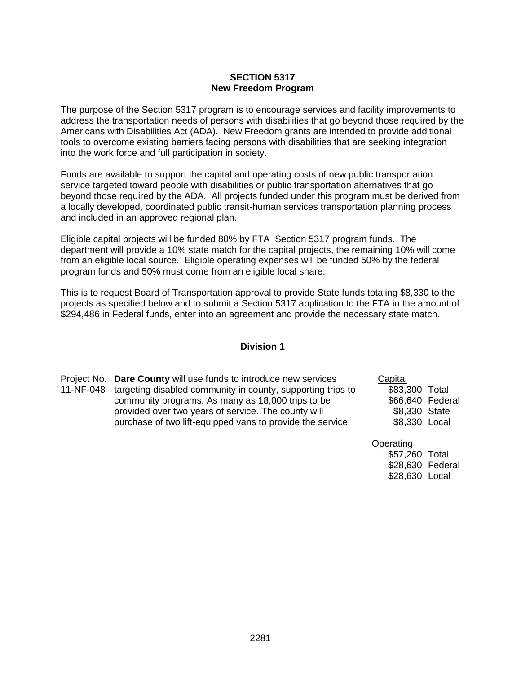### **SECTION 5317 New Freedom Program**

The purpose of the Section 5317 program is to encourage services and facility improvements to address the transportation needs of persons with disabilities that go beyond those required by the Americans with Disabilities Act (ADA). New Freedom grants are intended to provide additional tools to overcome existing barriers facing persons with disabilities that are seeking integration into the work force and full participation in society.

Funds are available to support the capital and operating costs of new public transportation service targeted toward people with disabilities or public transportation alternatives that go beyond those required by the ADA. All projects funded under this program must be derived from a locally developed, coordinated public transit-human services transportation planning process and included in an approved regional plan.

Eligible capital projects will be funded 80% by FTA Section 5317 program funds. The department will provide a 10% state match for the capital projects, the remaining 10% will come from an eligible local source. Eligible operating expenses will be funded 50% by the federal program funds and 50% must come from an eligible local share.

This is to request Board of Transportation approval to provide State funds totaling \$8,330 to the projects as specified below and to submit a Section 5317 application to the FTA in the amount of \$294,486 in Federal funds, enter into an agreement and provide the necessary state match.

#### **Division 1**

Project No. **Dare County** will use funds to introduce new services 11-NF-048 targeting disabled community in county, supporting trips to community programs. As many as 18,000 trips to be provided over two years of service. The county will purchase of two lift-equipped vans to provide the service.

**Capital** \$83,300 Total \$66,640 Federal \$8,330 State \$8,330 Local

**Operating** 

\$57,260 Total \$28,630 Federal \$28,630 Local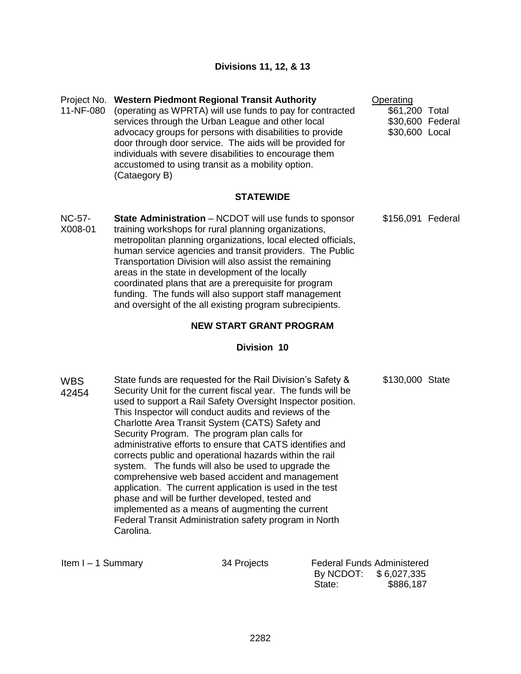## Project No. **Western Piedmont Regional Transit Authority**

11-NF-080 (operating as WPRTA) will use funds to pay for contracted services through the Urban League and other local advocacy groups for persons with disabilities to provide door through door service. The aids will be provided for individuals with severe disabilities to encourage them accustomed to using transit as a mobility option. (Cataegory B)

#### **Operating**

\$61,200 Total \$30,600 Federal \$30,600 Local

\$156,091 Federal

### **STATEWIDE**

NC-57- X008-01 **State Administration** – NCDOT will use funds to sponsor training workshops for rural planning organizations, metropolitan planning organizations, local elected officials, human service agencies and transit providers. The Public Transportation Division will also assist the remaining areas in the state in development of the locally coordinated plans that are a prerequisite for program funding. The funds will also support staff management and oversight of the all existing program subrecipients.

### **NEW START GRANT PROGRAM**

#### **Division 10**

WBS 42454 State funds are requested for the Rail Division's Safety & Security Unit for the current fiscal year. The funds will be used to support a Rail Safety Oversight Inspector position. This Inspector will conduct audits and reviews of the Charlotte Area Transit System (CATS) Safety and Security Program. The program plan calls for administrative efforts to ensure that CATS identifies and corrects public and operational hazards within the rail system. The funds will also be used to upgrade the comprehensive web based accident and management application. The current application is used in the test phase and will be further developed, tested and implemented as a means of augmenting the current Federal Transit Administration safety program in North Carolina. \$130,000 State

| Item I - 1 Summary | 34 Projects | <b>Federal Funds Administered</b> |           |
|--------------------|-------------|-----------------------------------|-----------|
|                    |             | By NCDOT: \$6,027,335             |           |
|                    |             | State:                            | \$886,187 |
|                    |             |                                   |           |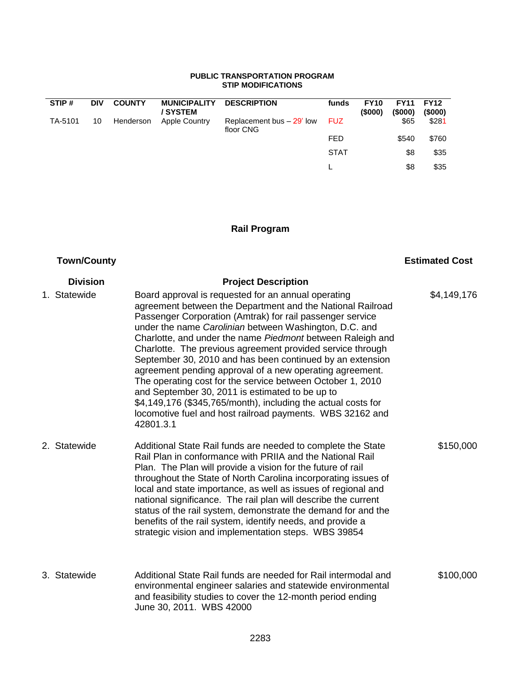#### **PUBLIC TRANSPORTATION PROGRAM STIP MODIFICATIONS**

| STIP#   | <b>DIV</b> | <b>COUNTY</b> | <b>MUNICIPALITY</b><br>/ SYSTEM | <b>DESCRIPTION</b>                     | funds       | <b>FY10</b><br>(\$000) | <b>FY11</b><br>$($ \$000) | <b>FY12</b><br>$($ \$000) |
|---------|------------|---------------|---------------------------------|----------------------------------------|-------------|------------------------|---------------------------|---------------------------|
| TA-5101 | 10         | Henderson     | <b>Apple Country</b>            | Replacement bus - 29' low<br>floor CNG | <b>FUZ</b>  |                        | \$65                      | \$281                     |
|         |            |               |                                 |                                        | <b>FED</b>  |                        | \$540                     | \$760                     |
|         |            |               |                                 |                                        | <b>STAT</b> |                        | \$8                       | \$35                      |
|         |            |               |                                 |                                        |             |                        | \$8                       | \$35                      |

# **Rail Program**

# **Town/County**

# **Estimated Cost**

| <b>Division</b> | <b>Project Description</b>                                                                                                                                                                                                                                                                                                                                                                                                                                                                                                                                                                                                                                                                                                                                |             |
|-----------------|-----------------------------------------------------------------------------------------------------------------------------------------------------------------------------------------------------------------------------------------------------------------------------------------------------------------------------------------------------------------------------------------------------------------------------------------------------------------------------------------------------------------------------------------------------------------------------------------------------------------------------------------------------------------------------------------------------------------------------------------------------------|-------------|
| 1. Statewide    | Board approval is requested for an annual operating<br>agreement between the Department and the National Railroad<br>Passenger Corporation (Amtrak) for rail passenger service<br>under the name Carolinian between Washington, D.C. and<br>Charlotte, and under the name Piedmont between Raleigh and<br>Charlotte. The previous agreement provided service through<br>September 30, 2010 and has been continued by an extension<br>agreement pending approval of a new operating agreement.<br>The operating cost for the service between October 1, 2010<br>and September 30, 2011 is estimated to be up to<br>\$4,149,176 (\$345,765/month), including the actual costs for<br>locomotive fuel and host railroad payments. WBS 32162 and<br>42801.3.1 | \$4,149,176 |
| 2. Statewide    | Additional State Rail funds are needed to complete the State<br>Rail Plan in conformance with PRIIA and the National Rail<br>Plan. The Plan will provide a vision for the future of rail<br>throughout the State of North Carolina incorporating issues of<br>local and state importance, as well as issues of regional and<br>national significance. The rail plan will describe the current<br>status of the rail system, demonstrate the demand for and the<br>benefits of the rail system, identify needs, and provide a<br>strategic vision and implementation steps. WBS 39854                                                                                                                                                                      | \$150,000   |
| 3. Statewide    | Additional State Rail funds are needed for Rail intermodal and<br>environmental engineer salaries and statewide environmental<br>and feasibility studies to cover the 12-month period ending<br>June 30, 2011. WBS 42000                                                                                                                                                                                                                                                                                                                                                                                                                                                                                                                                  | \$100,000   |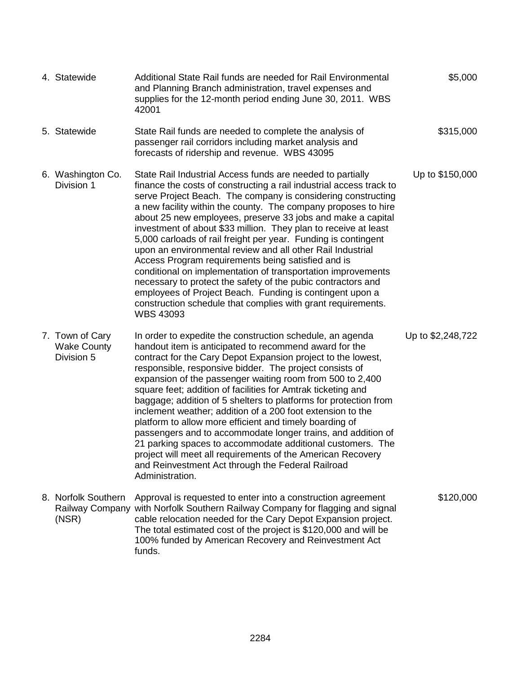| 4. Statewide                                        | Additional State Rail funds are needed for Rail Environmental<br>and Planning Branch administration, travel expenses and<br>supplies for the 12-month period ending June 30, 2011. WBS<br>42001                                                                                                                                                                                                                                                                                                                                                                                                                                                                                                                                                                                                                                                                             | \$5,000           |
|-----------------------------------------------------|-----------------------------------------------------------------------------------------------------------------------------------------------------------------------------------------------------------------------------------------------------------------------------------------------------------------------------------------------------------------------------------------------------------------------------------------------------------------------------------------------------------------------------------------------------------------------------------------------------------------------------------------------------------------------------------------------------------------------------------------------------------------------------------------------------------------------------------------------------------------------------|-------------------|
| 5. Statewide                                        | State Rail funds are needed to complete the analysis of<br>passenger rail corridors including market analysis and<br>forecasts of ridership and revenue. WBS 43095                                                                                                                                                                                                                                                                                                                                                                                                                                                                                                                                                                                                                                                                                                          | \$315,000         |
| 6. Washington Co.<br>Division 1                     | State Rail Industrial Access funds are needed to partially<br>finance the costs of constructing a rail industrial access track to<br>serve Project Beach. The company is considering constructing<br>a new facility within the county. The company proposes to hire<br>about 25 new employees, preserve 33 jobs and make a capital<br>investment of about \$33 million. They plan to receive at least<br>5,000 carloads of rail freight per year. Funding is contingent<br>upon an environmental review and all other Rail Industrial<br>Access Program requirements being satisfied and is<br>conditional on implementation of transportation improvements<br>necessary to protect the safety of the pubic contractors and<br>employees of Project Beach. Funding is contingent upon a<br>construction schedule that complies with grant requirements.<br><b>WBS 43093</b> | Up to \$150,000   |
| 7. Town of Cary<br><b>Wake County</b><br>Division 5 | In order to expedite the construction schedule, an agenda<br>handout item is anticipated to recommend award for the<br>contract for the Cary Depot Expansion project to the lowest,<br>responsible, responsive bidder. The project consists of<br>expansion of the passenger waiting room from 500 to 2,400<br>square feet; addition of facilities for Amtrak ticketing and<br>baggage; addition of 5 shelters to platforms for protection from<br>inclement weather; addition of a 200 foot extension to the<br>platform to allow more efficient and timely boarding of<br>passengers and to accommodate longer trains, and addition of<br>21 parking spaces to accommodate additional customers. The<br>project will meet all requirements of the American Recovery<br>and Reinvestment Act through the Federal Railroad<br>Administration.                               | Up to \$2,248,722 |
| 8. Norfolk Southern<br>(NSR)                        | Approval is requested to enter into a construction agreement<br>Railway Company with Norfolk Southern Railway Company for flagging and signal<br>cable relocation needed for the Cary Depot Expansion project.<br>The total estimated cost of the project is \$120,000 and will be<br>100% funded by American Recovery and Reinvestment Act<br>funds.                                                                                                                                                                                                                                                                                                                                                                                                                                                                                                                       | \$120,000         |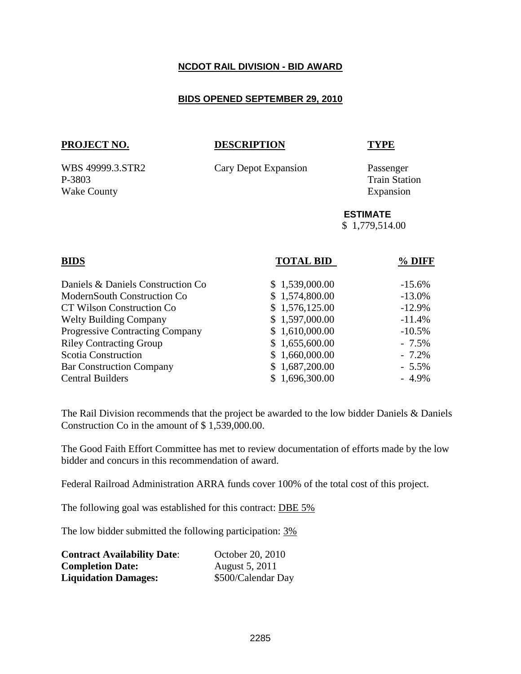## **NCDOT RAIL DIVISION - BID AWARD**

### **BIDS OPENED SEPTEMBER 29, 2010**

## **PROJECT NO. DESCRIPTION TYPE**

WBS 49999.3.STR2 Cary Depot Expansion Passenger

P-3803 Train Station Wake County Expansion

### **ESTIMATE**

\$ 1,779,514.00

| <b>TOTAL BID</b> | % DIFF   |
|------------------|----------|
| \$1,539,000.00   | $-15.6%$ |
| \$1,574,800.00   | $-13.0%$ |
| \$1,576,125.00   | $-12.9%$ |
| \$1,597,000.00   | $-11.4%$ |
| \$1,610,000.00   | $-10.5%$ |
| \$1,655,600.00   | $-7.5\%$ |
| \$1,660,000.00   | $-7.2\%$ |
| \$1,687,200.00   | $-5.5\%$ |
| \$1,696,300.00   | $-4.9\%$ |
|                  |          |

The Rail Division recommends that the project be awarded to the low bidder Daniels & Daniels Construction Co in the amount of \$ 1,539,000.00.

The Good Faith Effort Committee has met to review documentation of efforts made by the low bidder and concurs in this recommendation of award.

Federal Railroad Administration ARRA funds cover 100% of the total cost of this project.

The following goal was established for this contract: DBE 5%

The low bidder submitted the following participation: 3%

| <b>Contract Availability Date:</b> | October 20, 2010   |
|------------------------------------|--------------------|
| <b>Completion Date:</b>            | August 5, 2011     |
| <b>Liquidation Damages:</b>        | \$500/Calendar Day |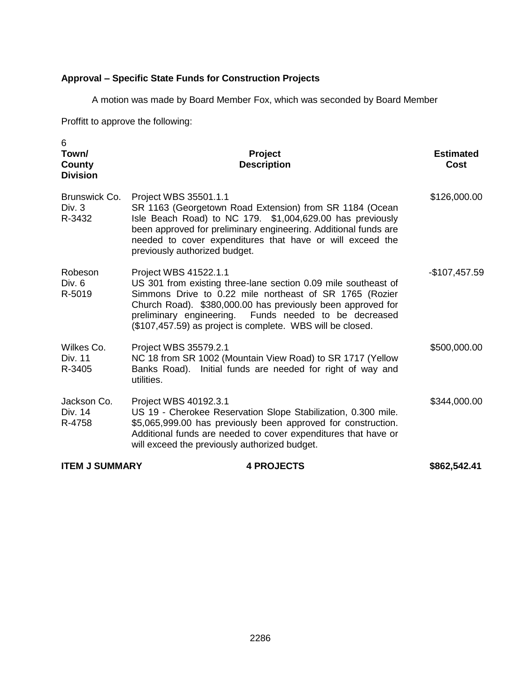# **Approval – Specific State Funds for Construction Projects**

A motion was made by Board Member Fox, which was seconded by Board Member

Proffitt to approve the following:

| 6<br>Town/<br>County<br><b>Division</b> | Project<br><b>Description</b>                                                                                                                                                                                                                                                                                                            | <b>Estimated</b><br><b>Cost</b> |
|-----------------------------------------|------------------------------------------------------------------------------------------------------------------------------------------------------------------------------------------------------------------------------------------------------------------------------------------------------------------------------------------|---------------------------------|
| Brunswick Co.<br>Div. 3<br>R-3432       | Project WBS 35501.1.1<br>SR 1163 (Georgetown Road Extension) from SR 1184 (Ocean<br>Isle Beach Road) to NC 179. \$1,004,629.00 has previously<br>been approved for preliminary engineering. Additional funds are<br>needed to cover expenditures that have or will exceed the<br>previously authorized budget.                           | \$126,000.00                    |
| Robeson<br>Div. $6$<br>R-5019           | Project WBS 41522.1.1<br>US 301 from existing three-lane section 0.09 mile southeast of<br>Simmons Drive to 0.22 mile northeast of SR 1765 (Rozier<br>Church Road). \$380,000.00 has previously been approved for<br>preliminary engineering. Funds needed to be decreased<br>(\$107,457.59) as project is complete. WBS will be closed. | -\$107,457.59                   |
| Wilkes Co.<br>Div. 11<br>R-3405         | Project WBS 35579.2.1<br>NC 18 from SR 1002 (Mountain View Road) to SR 1717 (Yellow<br>Banks Road). Initial funds are needed for right of way and<br>utilities.                                                                                                                                                                          | \$500,000.00                    |
| Jackson Co.<br>Div. 14<br>R-4758        | Project WBS 40192.3.1<br>US 19 - Cherokee Reservation Slope Stabilization, 0.300 mile.<br>\$5,065,999.00 has previously been approved for construction.<br>Additional funds are needed to cover expenditures that have or<br>will exceed the previously authorized budget.                                                               | \$344,000.00                    |
| <b>ITEM J SUMMARY</b>                   | <b>4 PROJECTS</b>                                                                                                                                                                                                                                                                                                                        | \$862,542.41                    |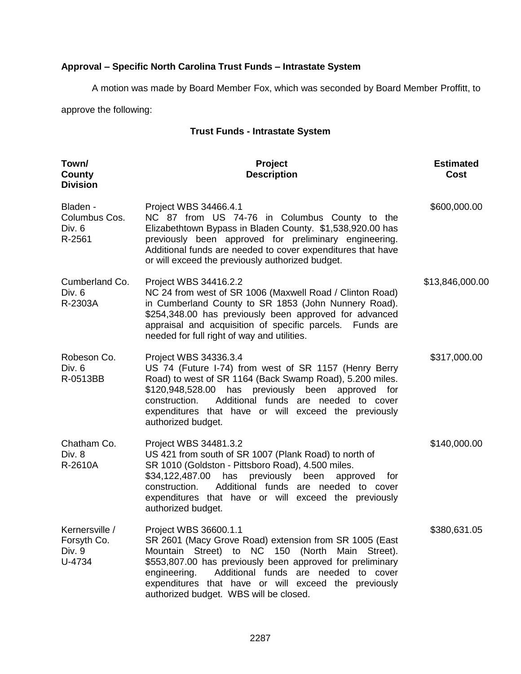# **Approval – Specific North Carolina Trust Funds – Intrastate System**

A motion was made by Board Member Fox, which was seconded by Board Member Proffitt, to

approve the following:

## **Trust Funds - Intrastate System**

| Town/<br>County<br><b>Division</b>                | Project<br><b>Description</b>                                                                                                                                                                                                                                                                                                                             | <b>Estimated</b><br><b>Cost</b> |
|---------------------------------------------------|-----------------------------------------------------------------------------------------------------------------------------------------------------------------------------------------------------------------------------------------------------------------------------------------------------------------------------------------------------------|---------------------------------|
| Bladen -<br>Columbus Cos.<br>Div. 6<br>R-2561     | Project WBS 34466.4.1<br>NC 87 from US 74-76 in Columbus County to the<br>Elizabethtown Bypass in Bladen County. \$1,538,920.00 has<br>previously been approved for preliminary engineering.<br>Additional funds are needed to cover expenditures that have<br>or will exceed the previously authorized budget.                                           | \$600,000.00                    |
| Cumberland Co.<br>Div. 6<br>R-2303A               | Project WBS 34416.2.2<br>NC 24 from west of SR 1006 (Maxwell Road / Clinton Road)<br>in Cumberland County to SR 1853 (John Nunnery Road).<br>\$254,348.00 has previously been approved for advanced<br>appraisal and acquisition of specific parcels. Funds are<br>needed for full right of way and utilities.                                            | \$13,846,000.00                 |
| Robeson Co.<br>Div. 6<br>R-0513BB                 | Project WBS 34336.3.4<br>US 74 (Future I-74) from west of SR 1157 (Henry Berry<br>Road) to west of SR 1164 (Back Swamp Road), 5.200 miles.<br>\$120,948,528.00 has previously been<br>approved for<br>Additional funds are needed to cover<br>construction.<br>expenditures that have or will exceed the previously<br>authorized budget.                 | \$317,000.00                    |
| Chatham Co.<br>Div. 8<br>R-2610A                  | Project WBS 34481.3.2<br>US 421 from south of SR 1007 (Plank Road) to north of<br>SR 1010 (Goldston - Pittsboro Road), 4.500 miles.<br>\$34,122,487.00 has previously been approved for<br>Additional funds are needed to cover<br>construction.<br>expenditures that have or will exceed the previously<br>authorized budget.                            | \$140,000.00                    |
| Kernersville /<br>Forsyth Co.<br>Div. 9<br>U-4734 | Project WBS 36600.1.1<br>SR 2601 (Macy Grove Road) extension from SR 1005 (East<br>Mountain Street) to NC 150 (North Main Street).<br>\$553,807.00 has previously been approved for preliminary<br>engineering.<br>Additional funds are needed to cover<br>expenditures that have or will exceed the previously<br>authorized budget. WBS will be closed. | \$380,631.05                    |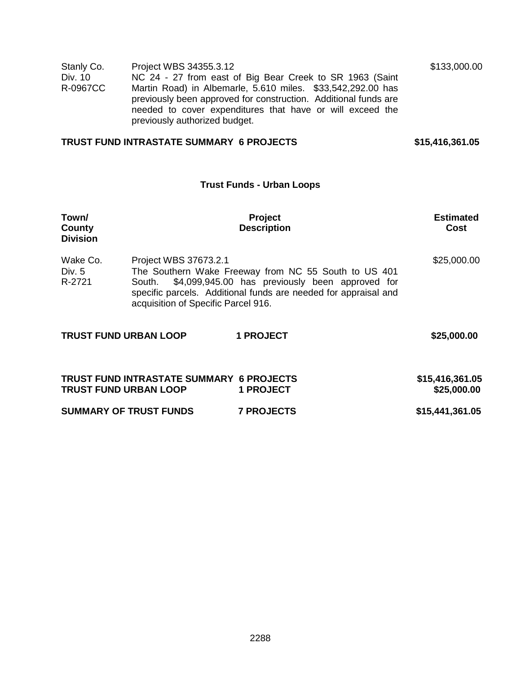| Stanly Co.<br>Div. 10<br>R-0967CC  | Project WBS 34355.3.12<br>previously authorized budget.                | NC 24 - 27 from east of Big Bear Creek to SR 1963 (Saint<br>Martin Road) in Albemarle, 5.610 miles. \$33,542,292.00 has<br>previously been approved for construction. Additional funds are<br>needed to cover expenditures that have or will exceed the | \$133,000.00                   |
|------------------------------------|------------------------------------------------------------------------|---------------------------------------------------------------------------------------------------------------------------------------------------------------------------------------------------------------------------------------------------------|--------------------------------|
|                                    | <b>TRUST FUND INTRASTATE SUMMARY 6 PROJECTS</b>                        |                                                                                                                                                                                                                                                         | \$15,416,361.05                |
|                                    |                                                                        | <b>Trust Funds - Urban Loops</b>                                                                                                                                                                                                                        |                                |
| Town/<br>County<br><b>Division</b> |                                                                        | Project<br><b>Description</b>                                                                                                                                                                                                                           | <b>Estimated</b><br>Cost       |
| Wake Co.<br>Div. 5<br>R-2721       | Project WBS 37673.2.1<br>South.<br>acquisition of Specific Parcel 916. | The Southern Wake Freeway from NC 55 South to US 401<br>\$4,099,945.00 has previously been approved for<br>specific parcels. Additional funds are needed for appraisal and                                                                              | \$25,000.00                    |
| <b>TRUST FUND URBAN LOOP</b>       |                                                                        | <b>1 PROJECT</b>                                                                                                                                                                                                                                        | \$25,000.00                    |
| <b>TRUST FUND URBAN LOOP</b>       | <b>TRUST FUND INTRASTATE SUMMARY 6 PROJECTS</b>                        | <b>1 PROJECT</b>                                                                                                                                                                                                                                        | \$15,416,361.05<br>\$25,000.00 |
|                                    | <b>SUMMARY OF TRUST FUNDS</b>                                          | <b>7 PROJECTS</b>                                                                                                                                                                                                                                       | \$15,441,361.05                |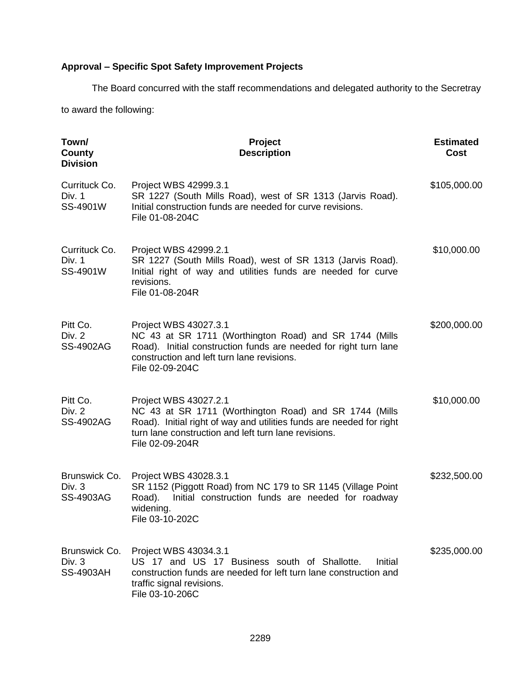# **Approval – Specific Spot Safety Improvement Projects**

The Board concurred with the staff recommendations and delegated authority to the Secretray to award the following:

| Town/<br>County<br><b>Division</b>            | Project<br><b>Description</b>                                                                                                                                                                                                      | <b>Estimated</b><br>Cost |
|-----------------------------------------------|------------------------------------------------------------------------------------------------------------------------------------------------------------------------------------------------------------------------------------|--------------------------|
| Currituck Co.<br>Div. 1<br>SS-4901W           | Project WBS 42999.3.1<br>SR 1227 (South Mills Road), west of SR 1313 (Jarvis Road).<br>Initial construction funds are needed for curve revisions.<br>File 01-08-204C                                                               | \$105,000.00             |
| Currituck Co.<br>Div. 1<br>SS-4901W           | Project WBS 42999.2.1<br>SR 1227 (South Mills Road), west of SR 1313 (Jarvis Road).<br>Initial right of way and utilities funds are needed for curve<br>revisions.<br>File 01-08-204R                                              | \$10,000.00              |
| Pitt Co.<br>Div. 2<br><b>SS-4902AG</b>        | Project WBS 43027.3.1<br>NC 43 at SR 1711 (Worthington Road) and SR 1744 (Mills<br>Road). Initial construction funds are needed for right turn lane<br>construction and left turn lane revisions.<br>File 02-09-204C               | \$200,000.00             |
| Pitt Co.<br><b>Div. 2</b><br><b>SS-4902AG</b> | Project WBS 43027.2.1<br>NC 43 at SR 1711 (Worthington Road) and SR 1744 (Mills<br>Road). Initial right of way and utilities funds are needed for right<br>turn lane construction and left turn lane revisions.<br>File 02-09-204R | \$10,000.00              |
| Brunswick Co.<br>Div. $3$<br>SS-4903AG        | Project WBS 43028.3.1<br>SR 1152 (Piggott Road) from NC 179 to SR 1145 (Village Point<br>Initial construction funds are needed for roadway<br>Road).<br>widening.<br>File 03-10-202C                                               | \$232,500.00             |
| Brunswick Co.<br>Div. 3<br><b>SS-4903AH</b>   | Project WBS 43034.3.1<br>US 17 and US 17 Business south of Shallotte.<br>Initial<br>construction funds are needed for left turn lane construction and<br>traffic signal revisions.<br>File 03-10-206C                              | \$235,000.00             |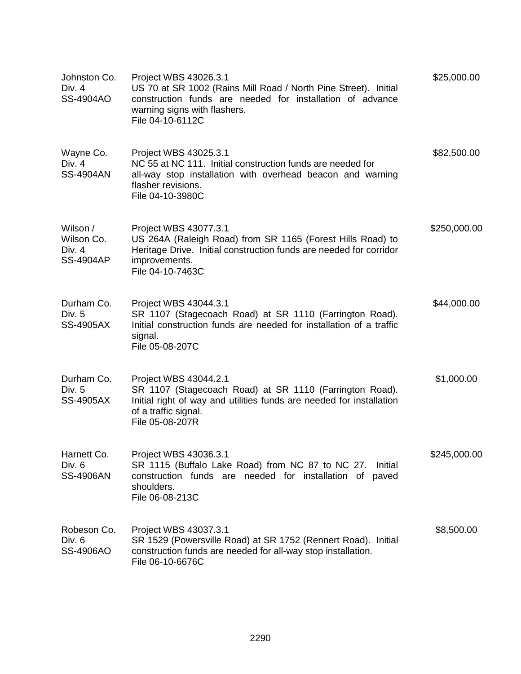| Johnston Co.<br>Div. 4<br>SS-4904AO                  | Project WBS 43026.3.1<br>US 70 at SR 1002 (Rains Mill Road / North Pine Street). Initial<br>construction funds are needed for installation of advance<br>warning signs with flashers.<br>File 04-10-6112C | \$25,000.00  |
|------------------------------------------------------|-----------------------------------------------------------------------------------------------------------------------------------------------------------------------------------------------------------|--------------|
| Wayne Co.<br>Div. $4$<br><b>SS-4904AN</b>            | Project WBS 43025.3.1<br>NC 55 at NC 111. Initial construction funds are needed for<br>all-way stop installation with overhead beacon and warning<br>flasher revisions.<br>File 04-10-3980C               | \$82,500.00  |
| Wilson /<br>Wilson Co.<br>Div. 4<br><b>SS-4904AP</b> | Project WBS 43077.3.1<br>US 264A (Raleigh Road) from SR 1165 (Forest Hills Road) to<br>Heritage Drive. Initial construction funds are needed for corridor<br>improvements.<br>File 04-10-7463C            | \$250,000.00 |
| Durham Co.<br>Div. 5<br><b>SS-4905AX</b>             | Project WBS 43044.3.1<br>SR 1107 (Stagecoach Road) at SR 1110 (Farrington Road).<br>Initial construction funds are needed for installation of a traffic<br>signal.<br>File 05-08-207C                     | \$44,000.00  |
| Durham Co.<br>Div. 5<br><b>SS-4905AX</b>             | Project WBS 43044.2.1<br>SR 1107 (Stagecoach Road) at SR 1110 (Farrington Road).<br>Initial right of way and utilities funds are needed for installation<br>of a traffic signal.<br>File 05-08-207R       | \$1,000.00   |
| Harnett Co.<br>Div. 6<br><b>SS-4906AN</b>            | Project WBS 43036.3.1<br>SR 1115 (Buffalo Lake Road) from NC 87 to NC 27.<br>Initial<br>construction funds are needed for installation of paved<br>shoulders.<br>File 06-08-213C                          | \$245,000.00 |
| Robeson Co.<br>Div. 6<br><b>SS-4906AO</b>            | Project WBS 43037.3.1<br>SR 1529 (Powersville Road) at SR 1752 (Rennert Road). Initial<br>construction funds are needed for all-way stop installation.<br>File 06-10-6676C                                | \$8,500.00   |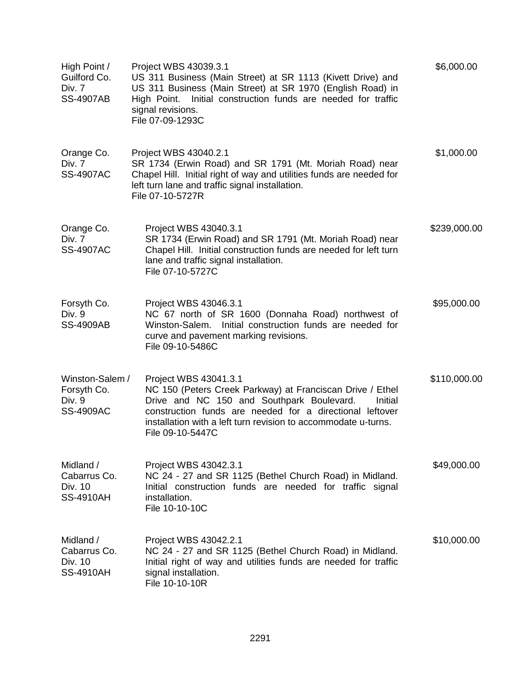| High Point /<br>Guilford Co.<br>Div. 7<br><b>SS-4907AB</b>   | Project WBS 43039.3.1<br>US 311 Business (Main Street) at SR 1113 (Kivett Drive) and<br>US 311 Business (Main Street) at SR 1970 (English Road) in<br>Initial construction funds are needed for traffic<br>High Point.<br>signal revisions.<br>File 07-09-1293C                              | \$6,000.00   |
|--------------------------------------------------------------|----------------------------------------------------------------------------------------------------------------------------------------------------------------------------------------------------------------------------------------------------------------------------------------------|--------------|
| Orange Co.<br>Div. 7<br><b>SS-4907AC</b>                     | Project WBS 43040.2.1<br>SR 1734 (Erwin Road) and SR 1791 (Mt. Moriah Road) near<br>Chapel Hill. Initial right of way and utilities funds are needed for<br>left turn lane and traffic signal installation.<br>File 07-10-5727R                                                              | \$1,000.00   |
| Orange Co.<br>Div. 7<br><b>SS-4907AC</b>                     | Project WBS 43040.3.1<br>SR 1734 (Erwin Road) and SR 1791 (Mt. Moriah Road) near<br>Chapel Hill. Initial construction funds are needed for left turn<br>lane and traffic signal installation.<br>File 07-10-5727C                                                                            | \$239,000.00 |
| Forsyth Co.<br>Div. 9<br><b>SS-4909AB</b>                    | Project WBS 43046.3.1<br>NC 67 north of SR 1600 (Donnaha Road) northwest of<br>Initial construction funds are needed for<br>Winston-Salem.<br>curve and pavement marking revisions.<br>File 09-10-5486C                                                                                      | \$95,000.00  |
| Winston-Salem /<br>Forsyth Co.<br>Div. 9<br><b>SS-4909AC</b> | Project WBS 43041.3.1<br>NC 150 (Peters Creek Parkway) at Franciscan Drive / Ethel<br>Drive and NC 150 and Southpark Boulevard.<br>Initial<br>construction funds are needed for a directional leftover<br>installation with a left turn revision to accommodate u-turns.<br>File 09-10-5447C | \$110,000.00 |
| Midland /<br>Cabarrus Co.<br>Div. 10<br><b>SS-4910AH</b>     | Project WBS 43042.3.1<br>NC 24 - 27 and SR 1125 (Bethel Church Road) in Midland.<br>Initial construction funds are needed for traffic signal<br>installation.<br>File 10-10-10C                                                                                                              | \$49,000.00  |
| Midland /<br>Cabarrus Co.<br>Div. 10<br><b>SS-4910AH</b>     | Project WBS 43042.2.1<br>NC 24 - 27 and SR 1125 (Bethel Church Road) in Midland.<br>Initial right of way and utilities funds are needed for traffic<br>signal installation.<br>File 10-10-10R                                                                                                | \$10,000.00  |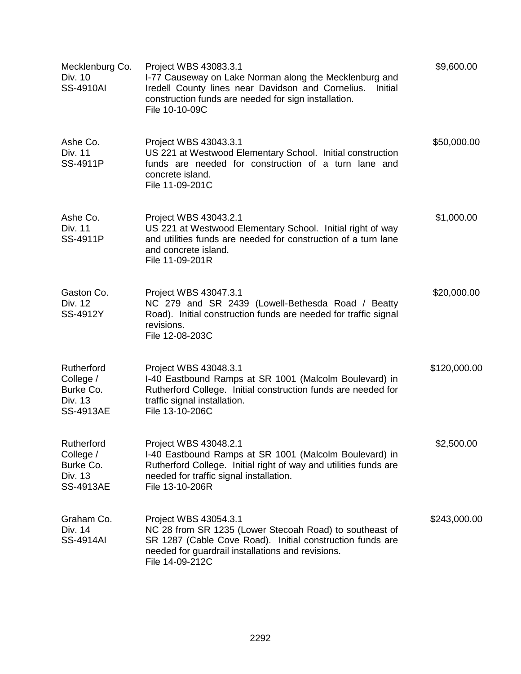| Mecklenburg Co.<br>Div. 10<br><b>SS-4910AI</b>                      | Project WBS 43083.3.1<br>I-77 Causeway on Lake Norman along the Mecklenburg and<br>Iredell County lines near Davidson and Cornelius.<br>Initial<br>construction funds are needed for sign installation.<br>File 10-10-09C | \$9,600.00   |
|---------------------------------------------------------------------|---------------------------------------------------------------------------------------------------------------------------------------------------------------------------------------------------------------------------|--------------|
| Ashe Co.<br>Div. 11<br>SS-4911P                                     | Project WBS 43043.3.1<br>US 221 at Westwood Elementary School. Initial construction<br>funds are needed for construction of a turn lane and<br>concrete island.<br>File 11-09-201C                                        | \$50,000.00  |
| Ashe Co.<br>Div. 11<br>SS-4911P                                     | Project WBS 43043.2.1<br>US 221 at Westwood Elementary School. Initial right of way<br>and utilities funds are needed for construction of a turn lane<br>and concrete island.<br>File 11-09-201R                          | \$1,000.00   |
| Gaston Co.<br>Div. 12<br>SS-4912Y                                   | Project WBS 43047.3.1<br>NC 279 and SR 2439 (Lowell-Bethesda Road / Beatty<br>Road). Initial construction funds are needed for traffic signal<br>revisions.<br>File 12-08-203C                                            | \$20,000.00  |
| Rutherford<br>College /<br>Burke Co.<br>Div. 13<br><b>SS-4913AE</b> | Project WBS 43048.3.1<br>I-40 Eastbound Ramps at SR 1001 (Malcolm Boulevard) in<br>Rutherford College. Initial construction funds are needed for<br>traffic signal installation.<br>File 13-10-206C                       | \$120,000.00 |
| Rutherford<br>College /<br>Burke Co.<br>Div. 13<br><b>SS-4913AE</b> | Project WBS 43048.2.1<br>I-40 Eastbound Ramps at SR 1001 (Malcolm Boulevard) in<br>Rutherford College. Initial right of way and utilities funds are<br>needed for traffic signal installation.<br>File 13-10-206R         | \$2,500.00   |
| Graham Co.<br>Div. 14<br><b>SS-4914AI</b>                           | Project WBS 43054.3.1<br>NC 28 from SR 1235 (Lower Stecoah Road) to southeast of<br>SR 1287 (Cable Cove Road). Initial construction funds are<br>needed for guardrail installations and revisions.<br>File 14-09-212C     | \$243,000.00 |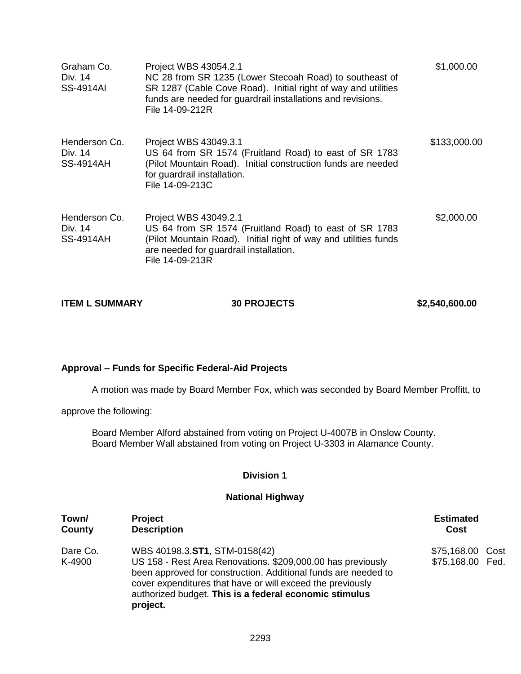| Graham Co.<br>Div. 14<br>SS-4914AI           | Project WBS 43054.2.1<br>NC 28 from SR 1235 (Lower Stecoah Road) to southeast of<br>SR 1287 (Cable Cove Road). Initial right of way and utilities<br>funds are needed for guardrail installations and revisions.<br>File 14-09-212R | \$1,000.00   |
|----------------------------------------------|-------------------------------------------------------------------------------------------------------------------------------------------------------------------------------------------------------------------------------------|--------------|
| Henderson Co.<br>Div. 14<br>SS-4914AH        | Project WBS 43049.3.1<br>US 64 from SR 1574 (Fruitland Road) to east of SR 1783<br>(Pilot Mountain Road). Initial construction funds are needed<br>for guardrail installation.<br>File 14-09-213C                                   | \$133,000.00 |
| Henderson Co.<br>Div. 14<br><b>SS-4914AH</b> | Project WBS 43049.2.1<br>US 64 from SR 1574 (Fruitland Road) to east of SR 1783<br>(Pilot Mountain Road). Initial right of way and utilities funds<br>are needed for guardrail installation.<br>File 14-09-213R                     | \$2,000.00   |

| <b>ITEM L SUMMARY</b> | <b>30 PROJECTS</b> | \$2,540,600.00 |
|-----------------------|--------------------|----------------|
|-----------------------|--------------------|----------------|

## **Approval – Funds for Specific Federal-Aid Projects**

A motion was made by Board Member Fox, which was seconded by Board Member Proffitt, to

approve the following:

Board Member Alford abstained from voting on Project U-4007B in Onslow County. Board Member Wall abstained from voting on Project U-3303 in Alamance County.

#### **Division 1**

## **National Highway**

| Town/              | <b>Project</b>                                                                                                                                                                                                                                                                                     | <b>Estimated</b>                     |  |
|--------------------|----------------------------------------------------------------------------------------------------------------------------------------------------------------------------------------------------------------------------------------------------------------------------------------------------|--------------------------------------|--|
| County             | <b>Description</b>                                                                                                                                                                                                                                                                                 | Cost                                 |  |
| Dare Co.<br>K-4900 | WBS 40198.3.ST1, STM-0158(42)<br>US 158 - Rest Area Renovations. \$209,000.00 has previously<br>been approved for construction. Additional funds are needed to<br>cover expenditures that have or will exceed the previously<br>authorized budget. This is a federal economic stimulus<br>project. | \$75,168.00 Cost<br>\$75,168.00 Fed. |  |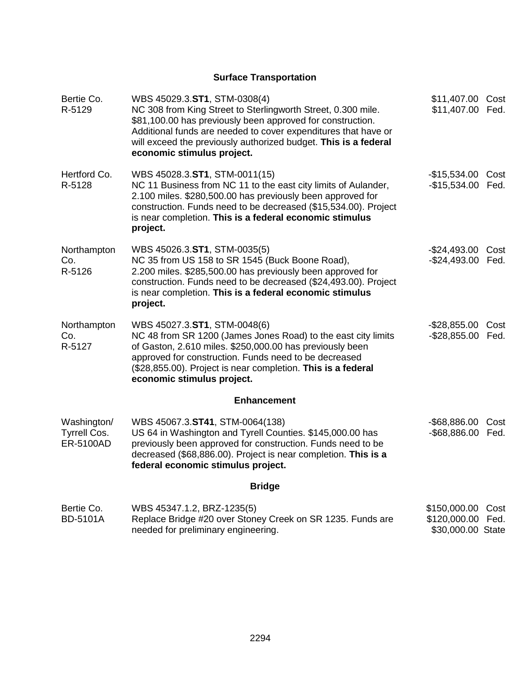# **Surface Transportation**

| Bertie Co.<br>R-5129                            | WBS 45029.3.ST1, STM-0308(4)<br>NC 308 from King Street to Sterlingworth Street, 0.300 mile.<br>\$81,100.00 has previously been approved for construction.<br>Additional funds are needed to cover expenditures that have or<br>will exceed the previously authorized budget. This is a federal<br>economic stimulus project. | \$11,407.00 Cost<br>\$11,407.00 Fed.                        |              |
|-------------------------------------------------|-------------------------------------------------------------------------------------------------------------------------------------------------------------------------------------------------------------------------------------------------------------------------------------------------------------------------------|-------------------------------------------------------------|--------------|
| Hertford Co.<br>R-5128                          | WBS 45028.3.ST1, STM-0011(15)<br>NC 11 Business from NC 11 to the east city limits of Aulander,<br>2.100 miles. \$280,500.00 has previously been approved for<br>construction. Funds need to be decreased (\$15,534.00). Project<br>is near completion. This is a federal economic stimulus<br>project.                       | -\$15,534.00 Cost<br>-\$15,534.00 Fed.                      |              |
| Northampton<br>Co.<br>R-5126                    | WBS 45026.3.ST1, STM-0035(5)<br>NC 35 from US 158 to SR 1545 (Buck Boone Road),<br>2.200 miles. \$285,500.00 has previously been approved for<br>construction. Funds need to be decreased (\$24,493.00). Project<br>is near completion. This is a federal economic stimulus<br>project.                                       | $-$24,493.00$<br>$-$ \$24,493.00                            | Cost<br>Fed. |
| Northampton<br>Co.<br>R-5127                    | WBS 45027.3.ST1, STM-0048(6)<br>NC 48 from SR 1200 (James Jones Road) to the east city limits<br>of Gaston, 2.610 miles. \$250,000.00 has previously been<br>approved for construction. Funds need to be decreased<br>(\$28,855.00). Project is near completion. This is a federal<br>economic stimulus project.              | -\$28,855.00 Cost<br>-\$28,855.00 Fed.                      |              |
|                                                 | <b>Enhancement</b>                                                                                                                                                                                                                                                                                                            |                                                             |              |
| Washington/<br><b>Tyrrell Cos.</b><br>ER-5100AD | WBS 45067.3.ST41, STM-0064(138)<br>US 64 in Washington and Tyrell Counties. \$145,000.00 has<br>previously been approved for construction. Funds need to be<br>decreased (\$68,886.00). Project is near completion. This is a<br>federal economic stimulus project.                                                           | $-$ \$68,886.00<br>$-$ \$68,886.00                          | Cost<br>Fed. |
|                                                 | <b>Bridge</b>                                                                                                                                                                                                                                                                                                                 |                                                             |              |
| Bertie Co.<br><b>BD-5101A</b>                   | WBS 45347.1.2, BRZ-1235(5)<br>Replace Bridge #20 over Stoney Creek on SR 1235. Funds are<br>needed for preliminary engineering.                                                                                                                                                                                               | \$150,000.00 Cost<br>\$120,000.00 Fed.<br>\$30,000.00 State |              |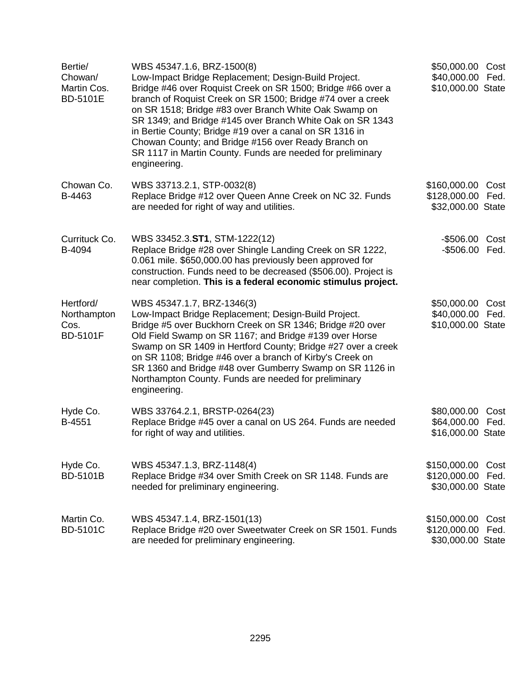| Bertie/<br>Chowan/<br>Martin Cos.<br><b>BD-5101E</b> | WBS 45347.1.6, BRZ-1500(8)<br>Low-Impact Bridge Replacement; Design-Build Project.<br>Bridge #46 over Roquist Creek on SR 1500; Bridge #66 over a<br>branch of Roquist Creek on SR 1500; Bridge #74 over a creek<br>on SR 1518; Bridge #83 over Branch White Oak Swamp on<br>SR 1349; and Bridge #145 over Branch White Oak on SR 1343<br>in Bertie County; Bridge #19 over a canal on SR 1316 in<br>Chowan County; and Bridge #156 over Ready Branch on<br>SR 1117 in Martin County. Funds are needed for preliminary<br>engineering. | \$50,000.00 Cost<br>\$40,000.00 Fed.<br>\$10,000.00 State |              |
|------------------------------------------------------|----------------------------------------------------------------------------------------------------------------------------------------------------------------------------------------------------------------------------------------------------------------------------------------------------------------------------------------------------------------------------------------------------------------------------------------------------------------------------------------------------------------------------------------|-----------------------------------------------------------|--------------|
| Chowan Co.<br>B-4463                                 | WBS 33713.2.1, STP-0032(8)<br>Replace Bridge #12 over Queen Anne Creek on NC 32. Funds<br>are needed for right of way and utilities.                                                                                                                                                                                                                                                                                                                                                                                                   | \$160,000.00<br>\$128,000.00<br>\$32,000.00 State         | Cost<br>Fed. |
| Currituck Co.<br>B-4094                              | WBS 33452.3.ST1, STM-1222(12)<br>Replace Bridge #28 over Shingle Landing Creek on SR 1222,<br>0.061 mile. \$650,000.00 has previously been approved for<br>construction. Funds need to be decreased (\$506.00). Project is<br>near completion. This is a federal economic stimulus project.                                                                                                                                                                                                                                            | -\$506.00 Cost<br>-\$506.00 Fed.                          |              |
| Hertford/<br>Northampton<br>Cos.<br><b>BD-5101F</b>  | WBS 45347.1.7, BRZ-1346(3)<br>Low-Impact Bridge Replacement; Design-Build Project.<br>Bridge #5 over Buckhorn Creek on SR 1346; Bridge #20 over<br>Old Field Swamp on SR 1167; and Bridge #139 over Horse<br>Swamp on SR 1409 in Hertford County; Bridge #27 over a creek<br>on SR 1108; Bridge #46 over a branch of Kirby's Creek on<br>SR 1360 and Bridge #48 over Gumberry Swamp on SR 1126 in<br>Northampton County. Funds are needed for preliminary<br>engineering.                                                              | \$50,000.00 Cost<br>\$40,000.00<br>\$10,000.00 State      | Fed.         |
| Hyde Co.<br>B-4551                                   | WBS 33764.2.1, BRSTP-0264(23)<br>Replace Bridge #45 over a canal on US 264. Funds are needed<br>for right of way and utilities.                                                                                                                                                                                                                                                                                                                                                                                                        | \$80,000.00<br>\$64,000.00 Fed.<br>\$16,000.00 State      | Cost         |
| Hyde Co.<br><b>BD-5101B</b>                          | WBS 45347.1.3, BRZ-1148(4)<br>Replace Bridge #34 over Smith Creek on SR 1148. Funds are<br>needed for preliminary engineering.                                                                                                                                                                                                                                                                                                                                                                                                         | \$150,000.00<br>\$120,000.00<br>\$30,000.00 State         | Cost<br>Fed. |
| Martin Co.<br><b>BD-5101C</b>                        | WBS 45347.1.4, BRZ-1501(13)<br>Replace Bridge #20 over Sweetwater Creek on SR 1501. Funds<br>are needed for preliminary engineering.                                                                                                                                                                                                                                                                                                                                                                                                   | \$150,000.00<br>\$120,000.00<br>\$30,000.00 State         | Cost<br>Fed. |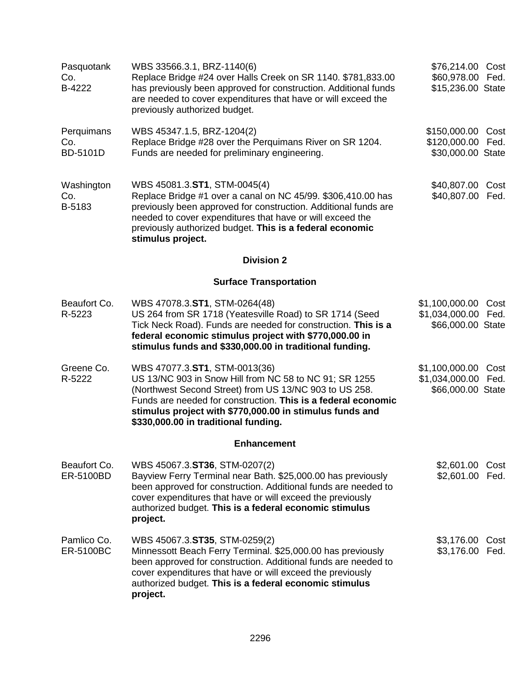| Pasquotank<br>Co.<br>B-4222   | WBS 33566.3.1, BRZ-1140(6)<br>Replace Bridge #24 over Halls Creek on SR 1140. \$781,833.00<br>has previously been approved for construction. Additional funds<br>are needed to cover expenditures that have or will exceed the<br>previously authorized budget.                                                        | \$76,214.00 Cost<br>\$60,978.00 Fed.<br>\$15,236.00 State       |              |
|-------------------------------|------------------------------------------------------------------------------------------------------------------------------------------------------------------------------------------------------------------------------------------------------------------------------------------------------------------------|-----------------------------------------------------------------|--------------|
| Perquimans<br>Co.<br>BD-5101D | WBS 45347.1.5, BRZ-1204(2)<br>Replace Bridge #28 over the Perquimans River on SR 1204.<br>Funds are needed for preliminary engineering.                                                                                                                                                                                | \$150,000.00 Cost<br>\$120,000.00 Fed.<br>\$30,000.00 State     |              |
| Washington<br>Co.<br>B-5183   | WBS 45081.3.ST1, STM-0045(4)<br>Replace Bridge #1 over a canal on NC 45/99. \$306,410.00 has<br>previously been approved for construction. Additional funds are<br>needed to cover expenditures that have or will exceed the<br>previously authorized budget. This is a federal economic<br>stimulus project.          | \$40,807.00<br>\$40,807.00 Fed.                                 | Cost         |
|                               | <b>Division 2</b>                                                                                                                                                                                                                                                                                                      |                                                                 |              |
|                               | <b>Surface Transportation</b>                                                                                                                                                                                                                                                                                          |                                                                 |              |
| Beaufort Co.<br>R-5223        | WBS 47078.3.ST1, STM-0264(48)<br>US 264 from SR 1718 (Yeatesville Road) to SR 1714 (Seed<br>Tick Neck Road). Funds are needed for construction. This is a<br>federal economic stimulus project with \$770,000.00 in<br>stimulus funds and \$330,000.00 in traditional funding.                                         | \$1,100,000.00 Cost<br>\$1,034,000.00 Fed.<br>\$66,000.00 State |              |
| Greene Co.<br>R-5222          | WBS 47077.3.ST1, STM-0013(36)<br>US 13/NC 903 in Snow Hill from NC 58 to NC 91; SR 1255<br>(Northwest Second Street) from US 13/NC 903 to US 258.<br>Funds are needed for construction. This is a federal economic<br>stimulus project with \$770,000.00 in stimulus funds and<br>\$330,000.00 in traditional funding. | \$1,100,000.00<br>\$1,034,000.00<br>\$66,000.00 State           | Cost<br>Fed. |
|                               | <b>Enhancement</b>                                                                                                                                                                                                                                                                                                     |                                                                 |              |
| Beaufort Co.<br>ER-5100BD     | WBS 45067.3.ST36, STM-0207(2)<br>Bayview Ferry Terminal near Bath. \$25,000.00 has previously<br>been approved for construction. Additional funds are needed to<br>cover expenditures that have or will exceed the previously<br>authorized budget. This is a federal economic stimulus<br>project.                    | \$2,601.00<br>\$2,601.00                                        | Cost<br>Fed. |
| Pamlico Co.<br>ER-5100BC      | WBS 45067.3.ST35, STM-0259(2)<br>Minnessott Beach Ferry Terminal. \$25,000.00 has previously<br>been approved for construction. Additional funds are needed to<br>cover expenditures that have or will exceed the previously<br>authorized budget. This is a federal economic stimulus<br>project.                     | \$3,176.00 Cost<br>\$3,176.00 Fed.                              |              |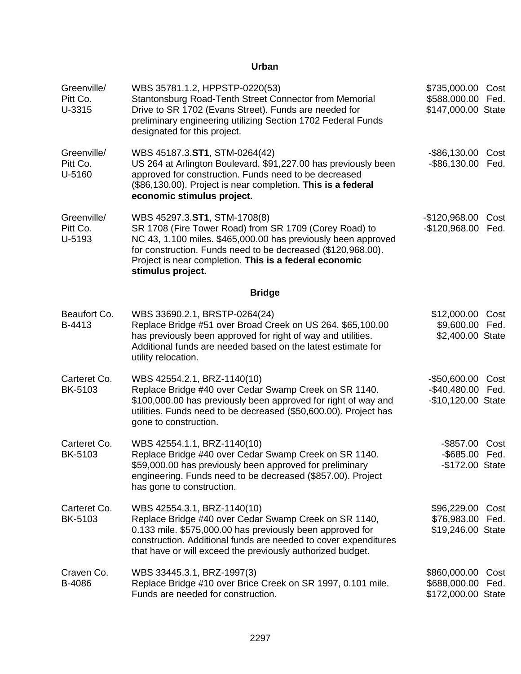| Greenville/<br>Pitt Co.<br>U-3315 | WBS 35781.1.2, HPPSTP-0220(53)<br>Stantonsburg Road-Tenth Street Connector from Memorial<br>Drive to SR 1702 (Evans Street). Funds are needed for<br>preliminary engineering utilizing Section 1702 Federal Funds<br>designated for this project.                                                      | \$735,000.00<br>\$588,000.00<br>\$147,000.00 State       | Cost<br>Fed. |
|-----------------------------------|--------------------------------------------------------------------------------------------------------------------------------------------------------------------------------------------------------------------------------------------------------------------------------------------------------|----------------------------------------------------------|--------------|
| Greenville/<br>Pitt Co.<br>U-5160 | WBS 45187.3.ST1, STM-0264(42)<br>US 264 at Arlington Boulevard. \$91,227.00 has previously been<br>approved for construction. Funds need to be decreased<br>(\$86,130.00). Project is near completion. This is a federal<br>economic stimulus project.                                                 | -\$86,130.00 Cost<br>-\$86,130.00 Fed.                   |              |
| Greenville/<br>Pitt Co.<br>U-5193 | WBS 45297.3.ST1, STM-1708(8)<br>SR 1708 (Fire Tower Road) from SR 1709 (Corey Road) to<br>NC 43, 1.100 miles. \$465,000.00 has previously been approved<br>for construction. Funds need to be decreased (\$120,968.00).<br>Project is near completion. This is a federal economic<br>stimulus project. | $-$120,968.00$<br>$-$120,968.00$                         | Cost<br>Fed. |
|                                   | <b>Bridge</b>                                                                                                                                                                                                                                                                                          |                                                          |              |
| Beaufort Co.<br>B-4413            | WBS 33690.2.1, BRSTP-0264(24)<br>Replace Bridge #51 over Broad Creek on US 264. \$65,100.00<br>has previously been approved for right of way and utilities.<br>Additional funds are needed based on the latest estimate for<br>utility relocation.                                                     | \$12,000.00<br>\$9,600.00 Fed.<br>\$2,400.00 State       | Cost         |
| Carteret Co.<br>BK-5103           | WBS 42554.2.1, BRZ-1140(10)<br>Replace Bridge #40 over Cedar Swamp Creek on SR 1140.<br>\$100,000.00 has previously been approved for right of way and<br>utilities. Funds need to be decreased (\$50,600.00). Project has<br>gone to construction.                                                    | $-$50,600.00$<br>-\$40,480.00 Fed.<br>-\$10,120.00 State | Cost         |
| Carteret Co.<br>BK-5103           | WBS 42554.1.1, BRZ-1140(10)<br>Replace Bridge #40 over Cedar Swamp Creek on SR 1140.<br>\$59,000.00 has previously been approved for preliminary<br>engineering. Funds need to be decreased (\$857.00). Project<br>has gone to construction.                                                           | -\$857.00 Cost<br>-\$685.00 Fed.<br>-\$172.00 State      |              |
| Carteret Co.<br>BK-5103           | WBS 42554.3.1, BRZ-1140(10)<br>Replace Bridge #40 over Cedar Swamp Creek on SR 1140,<br>0.133 mile. \$575,000.00 has previously been approved for<br>construction. Additional funds are needed to cover expenditures<br>that have or will exceed the previously authorized budget.                     | \$96,229.00<br>\$76,983.00<br>\$19,246.00 State          | Cost<br>Fed. |
| Craven Co.<br>B-4086              | WBS 33445.3.1, BRZ-1997(3)<br>Replace Bridge #10 over Brice Creek on SR 1997, 0.101 mile.<br>Funds are needed for construction.                                                                                                                                                                        | \$860,000.00<br>\$688,000.00<br>\$172,000.00 State       | Cost<br>Fed. |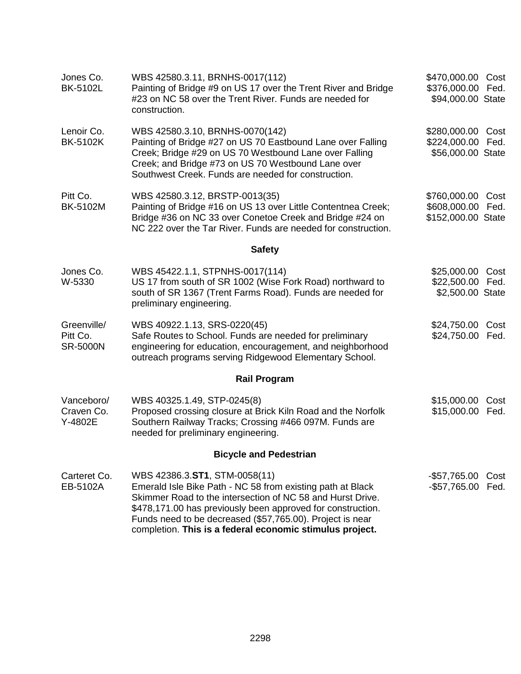| Jones Co.<br><b>BK-5102L</b>               | WBS 42580.3.11, BRNHS-0017(112)<br>Painting of Bridge #9 on US 17 over the Trent River and Bridge<br>#23 on NC 58 over the Trent River. Funds are needed for<br>construction.                                                                                                                                                                     | \$470,000.00 Cost<br>\$376,000.00 Fed.<br>\$94,000.00 State |              |
|--------------------------------------------|---------------------------------------------------------------------------------------------------------------------------------------------------------------------------------------------------------------------------------------------------------------------------------------------------------------------------------------------------|-------------------------------------------------------------|--------------|
| Lenoir Co.<br><b>BK-5102K</b>              | WBS 42580.3.10, BRNHS-0070(142)<br>Painting of Bridge #27 on US 70 Eastbound Lane over Falling<br>Creek; Bridge #29 on US 70 Westbound Lane over Falling<br>Creek; and Bridge #73 on US 70 Westbound Lane over<br>Southwest Creek. Funds are needed for construction.                                                                             | \$280,000.00 Cost<br>\$224,000.00<br>\$56,000.00 State      | Fed.         |
| Pitt Co.<br>BK-5102M                       | WBS 42580.3.12, BRSTP-0013(35)<br>Painting of Bridge #16 on US 13 over Little Contentnea Creek;<br>Bridge #36 on NC 33 over Conetoe Creek and Bridge #24 on<br>NC 222 over the Tar River. Funds are needed for construction.                                                                                                                      | \$760,000.00<br>\$608,000.00<br>\$152,000.00 State          | Cost<br>Fed. |
|                                            | <b>Safety</b>                                                                                                                                                                                                                                                                                                                                     |                                                             |              |
| Jones Co.<br>W-5330                        | WBS 45422.1.1, STPNHS-0017(114)<br>US 17 from south of SR 1002 (Wise Fork Road) northward to<br>south of SR 1367 (Trent Farms Road). Funds are needed for<br>preliminary engineering.                                                                                                                                                             | \$25,000.00 Cost<br>\$22,500.00 Fed.<br>\$2,500.00 State    |              |
| Greenville/<br>Pitt Co.<br><b>SR-5000N</b> | WBS 40922.1.13, SRS-0220(45)<br>Safe Routes to School. Funds are needed for preliminary<br>engineering for education, encouragement, and neighborhood<br>outreach programs serving Ridgewood Elementary School.                                                                                                                                   | \$24,750.00<br>\$24,750.00                                  | Cost<br>Fed. |
|                                            | <b>Rail Program</b>                                                                                                                                                                                                                                                                                                                               |                                                             |              |
| Vanceboro/<br>Craven Co.<br>Y-4802E        | WBS 40325.1.49, STP-0245(8)<br>Proposed crossing closure at Brick Kiln Road and the Norfolk<br>Southern Railway Tracks; Crossing #466 097M. Funds are<br>needed for preliminary engineering.                                                                                                                                                      | \$15,000.00<br>\$15,000.00                                  | Cost<br>Fed. |
|                                            | <b>Bicycle and Pedestrian</b>                                                                                                                                                                                                                                                                                                                     |                                                             |              |
| Carteret Co.<br>EB-5102A                   | WBS 42386.3.ST1, STM-0058(11)<br>Emerald Isle Bike Path - NC 58 from existing path at Black<br>Skimmer Road to the intersection of NC 58 and Hurst Drive.<br>\$478,171.00 has previously been approved for construction.<br>Funds need to be decreased (\$57,765.00). Project is near<br>completion. This is a federal economic stimulus project. | -\$57,765.00<br>$-$57,765.00$                               | Cost<br>Fed. |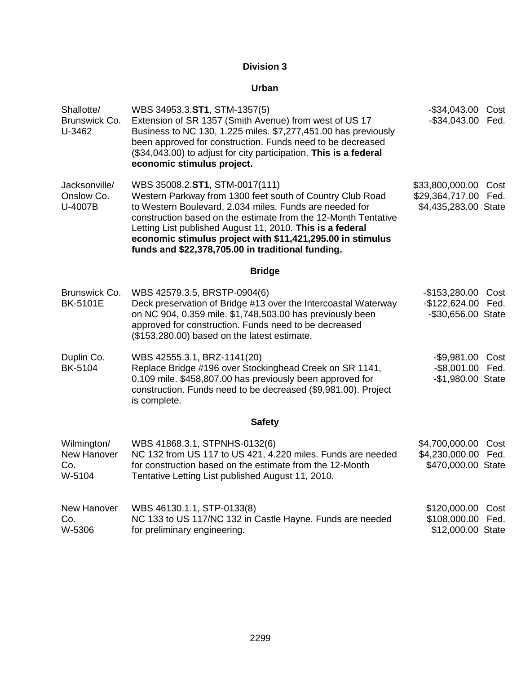| Shallotte/<br>Brunswick Co.<br>U-3462       | WBS 34953.3.ST1, STM-1357(5)<br>Extension of SR 1357 (Smith Avenue) from west of US 17<br>Business to NC 130, 1.225 miles. \$7,277,451.00 has previously<br>been approved for construction. Funds need to be decreased<br>(\$34,043.00) to adjust for city participation. This is a federal<br>economic stimulus project.                                                                                | -\$34,043.00 Cost<br>$-$ \$34,043.00                       | Fed.         |
|---------------------------------------------|----------------------------------------------------------------------------------------------------------------------------------------------------------------------------------------------------------------------------------------------------------------------------------------------------------------------------------------------------------------------------------------------------------|------------------------------------------------------------|--------------|
| Jacksonville/<br>Onslow Co.<br>U-4007B      | WBS 35008.2.ST1, STM-0017(111)<br>Western Parkway from 1300 feet south of Country Club Road<br>to Western Boulevard, 2.034 miles. Funds are needed for<br>construction based on the estimate from the 12-Month Tentative<br>Letting List published August 11, 2010. This is a federal<br>economic stimulus project with \$11,421,295.00 in stimulus<br>funds and \$22,378,705.00 in traditional funding. | \$33,800,000.00<br>\$29,364,717.00<br>\$4,435,283.00 State | Cost<br>Fed. |
|                                             | <b>Bridge</b>                                                                                                                                                                                                                                                                                                                                                                                            |                                                            |              |
| Brunswick Co.<br><b>BK-5101E</b>            | WBS 42579.3.5, BRSTP-0904(6)<br>Deck preservation of Bridge #13 over the Intercoastal Waterway<br>on NC 904, 0.359 mile. \$1,748,503.00 has previously been<br>approved for construction. Funds need to be decreased<br>(\$153,280.00) based on the latest estimate.                                                                                                                                     | $-$153,280.00$<br>$-$122,624.00$<br>-\$30,656.00 State     | Cost<br>Fed. |
| Duplin Co.<br>BK-5104                       | WBS 42555.3.1, BRZ-1141(20)<br>Replace Bridge #196 over Stockinghead Creek on SR 1141,<br>0.109 mile. \$458,807.00 has previously been approved for<br>construction. Funds need to be decreased (\$9,981.00). Project<br>is complete.                                                                                                                                                                    | -\$9,981.00 Cost<br>-\$8,001.00 Fed.<br>-\$1,980.00 State  |              |
|                                             | <b>Safety</b>                                                                                                                                                                                                                                                                                                                                                                                            |                                                            |              |
| Wilmington/<br>New Hanover<br>Co.<br>W-5104 | WBS 41868.3.1, STPNHS-0132(6)<br>NC 132 from US 117 to US 421, 4.220 miles. Funds are needed<br>for construction based on the estimate from the 12-Month<br>Tentative Letting List published August 11, 2010.                                                                                                                                                                                            | \$4,700,000.00<br>\$4,230,000.00<br>\$470,000.00 State     | Cost<br>Fed. |
| New Hanover<br>Co.<br>W-5306                | WBS 46130.1.1, STP-0133(8)<br>NC 133 to US 117/NC 132 in Castle Hayne. Funds are needed<br>for preliminary engineering.                                                                                                                                                                                                                                                                                  | \$120,000.00<br>\$108,000.00<br>\$12,000.00 State          | Cost<br>Fed. |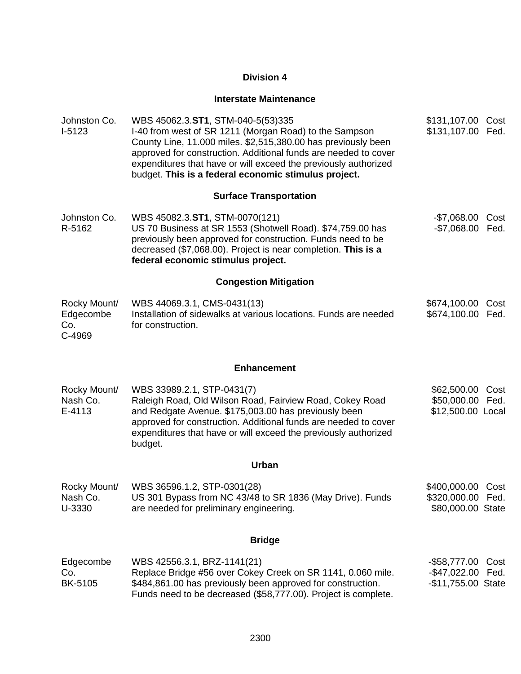# **Interstate Maintenance**

| Johnston Co.<br>$I-5123$                   | WBS 45062.3.ST1, STM-040-5(53)335<br>I-40 from west of SR 1211 (Morgan Road) to the Sampson<br>County Line, 11.000 miles. \$2,515,380.00 has previously been<br>approved for construction. Additional funds are needed to cover<br>expenditures that have or will exceed the previously authorized<br>budget. This is a federal economic stimulus project. | \$131,107.00 Cost<br>\$131,107.00 Fed.                      |              |
|--------------------------------------------|------------------------------------------------------------------------------------------------------------------------------------------------------------------------------------------------------------------------------------------------------------------------------------------------------------------------------------------------------------|-------------------------------------------------------------|--------------|
|                                            | <b>Surface Transportation</b>                                                                                                                                                                                                                                                                                                                              |                                                             |              |
| Johnston Co.<br>R-5162                     | WBS 45082.3.ST1, STM-0070(121)<br>US 70 Business at SR 1553 (Shotwell Road). \$74,759.00 has<br>previously been approved for construction. Funds need to be<br>decreased (\$7,068.00). Project is near completion. This is a<br>federal economic stimulus project.                                                                                         | $-\$7,068.00$<br>-\$7,068.00 Fed.                           | Cost         |
|                                            | <b>Congestion Mitigation</b>                                                                                                                                                                                                                                                                                                                               |                                                             |              |
| Rocky Mount/<br>Edgecombe<br>Co.<br>C-4969 | WBS 44069.3.1, CMS-0431(13)<br>Installation of sidewalks at various locations. Funds are needed<br>for construction.                                                                                                                                                                                                                                       | \$674,100.00<br>\$674,100.00 Fed.                           | Cost         |
|                                            | <b>Enhancement</b>                                                                                                                                                                                                                                                                                                                                         |                                                             |              |
| Rocky Mount/<br>Nash Co.<br>E-4113         | WBS 33989.2.1, STP-0431(7)<br>Raleigh Road, Old Wilson Road, Fairview Road, Cokey Road<br>and Redgate Avenue. \$175,003.00 has previously been<br>approved for construction. Additional funds are needed to cover<br>expenditures that have or will exceed the previously authorized<br>budget.                                                            | \$62,500.00<br>\$50,000.00 Fed.<br>\$12,500.00 Local        | Cost         |
|                                            | <b>Urban</b>                                                                                                                                                                                                                                                                                                                                               |                                                             |              |
| Rocky Mount/<br>Nash Co.<br>U-3330         | WBS 36596.1.2, STP-0301(28)<br>US 301 Bypass from NC 43/48 to SR 1836 (May Drive). Funds<br>are needed for preliminary engineering.                                                                                                                                                                                                                        | \$400,000.00 Cost<br>\$320,000.00 Fed.<br>\$80,000.00 State |              |
|                                            | <b>Bridge</b>                                                                                                                                                                                                                                                                                                                                              |                                                             |              |
| Edgecombe<br>Co.<br>BK-5105                | WBS 42556.3.1, BRZ-1141(21)<br>Replace Bridge #56 over Cokey Creek on SR 1141, 0.060 mile.<br>\$484,861.00 has previously been approved for construction.<br>Funds need to be decreased (\$58,777.00). Project is complete.                                                                                                                                | $-$ \$58,777.00<br>$-$47,022.00$<br>-\$11,755.00 State      | Cost<br>Fed. |
|                                            |                                                                                                                                                                                                                                                                                                                                                            |                                                             |              |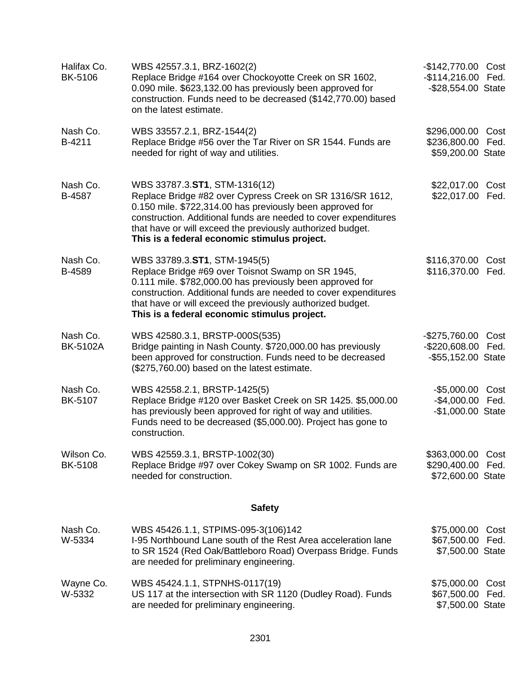| Halifax Co.<br>BK-5106       | WBS 42557.3.1, BRZ-1602(2)<br>Replace Bridge #164 over Chockoyotte Creek on SR 1602,<br>0.090 mile. \$623,132.00 has previously been approved for<br>construction. Funds need to be decreased (\$142,770.00) based<br>on the latest estimate.                                                                                            | -\$142,770.00 Cost<br>-\$114,216.00 Fed.<br>-\$28,554.00 State |              |
|------------------------------|------------------------------------------------------------------------------------------------------------------------------------------------------------------------------------------------------------------------------------------------------------------------------------------------------------------------------------------|----------------------------------------------------------------|--------------|
| Nash Co.<br>B-4211           | WBS 33557.2.1, BRZ-1544(2)<br>Replace Bridge #56 over the Tar River on SR 1544. Funds are<br>needed for right of way and utilities.                                                                                                                                                                                                      | \$296,000.00 Cost<br>\$236,800.00 Fed.<br>\$59,200.00 State    |              |
| Nash Co.<br>B-4587           | WBS 33787.3.ST1, STM-1316(12)<br>Replace Bridge #82 over Cypress Creek on SR 1316/SR 1612,<br>0.150 mile. \$722,314.00 has previously been approved for<br>construction. Additional funds are needed to cover expenditures<br>that have or will exceed the previously authorized budget.<br>This is a federal economic stimulus project. | \$22,017.00<br>\$22,017.00 Fed.                                | Cost         |
| Nash Co.<br>B-4589           | WBS 33789.3.ST1, STM-1945(5)<br>Replace Bridge #69 over Toisnot Swamp on SR 1945,<br>0.111 mile. \$782,000.00 has previously been approved for<br>construction. Additional funds are needed to cover expenditures<br>that have or will exceed the previously authorized budget.<br>This is a federal economic stimulus project.          | \$116,370.00<br>\$116,370.00 Fed.                              | Cost         |
| Nash Co.<br><b>BK-5102A</b>  | WBS 42580.3.1, BRSTP-000S(535)<br>Bridge painting in Nash County. \$720,000.00 has previously<br>been approved for construction. Funds need to be decreased<br>(\$275,760.00) based on the latest estimate.                                                                                                                              | -\$275,760.00 Cost<br>-\$220,608.00 Fed.<br>-\$55,152.00 State |              |
| Nash Co.<br>BK-5107          | WBS 42558.2.1, BRSTP-1425(5)<br>Replace Bridge #120 over Basket Creek on SR 1425. \$5,000.00<br>has previously been approved for right of way and utilities.<br>Funds need to be decreased (\$5,000.00). Project has gone to<br>construction.                                                                                            | $-$ \$5,000.00<br>-\$4,000.00 Fed.<br>-\$1,000.00 State        | Cost         |
| Wilson Co.<br><b>BK-5108</b> | WBS 42559.3.1, BRSTP-1002(30)<br>Replace Bridge #97 over Cokey Swamp on SR 1002. Funds are<br>needed for construction.                                                                                                                                                                                                                   | \$363,000.00<br>\$290,400.00<br>\$72,600.00 State              | Cost<br>Fed. |
|                              | <b>Safety</b>                                                                                                                                                                                                                                                                                                                            |                                                                |              |
| Nash Co.<br>W-5334           | WBS 45426.1.1, STPIMS-095-3(106)142<br>I-95 Northbound Lane south of the Rest Area acceleration lane<br>to SR 1524 (Red Oak/Battleboro Road) Overpass Bridge. Funds<br>are needed for preliminary engineering.                                                                                                                           | \$75,000.00<br>\$67,500.00 Fed.<br>\$7,500.00 State            | Cost         |
| Wayne Co.<br>W-5332          | WBS 45424.1.1, STPNHS-0117(19)<br>US 117 at the intersection with SR 1120 (Dudley Road). Funds<br>are needed for preliminary engineering.                                                                                                                                                                                                | \$75,000.00<br>\$67,500.00<br>\$7,500.00 State                 | Cost<br>Fed. |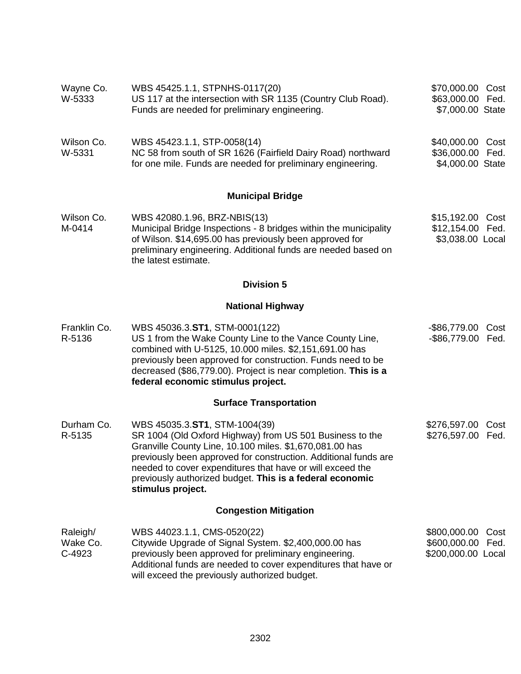| Wayne Co.<br>W-5333            | WBS 45425.1.1, STPNHS-0117(20)<br>US 117 at the intersection with SR 1135 (Country Club Road).<br>Funds are needed for preliminary engineering.                                                                                                                                                                                                                       | \$70,000.00 Cost<br>\$63,000.00 Fed.<br>\$7,000.00 State        |  |
|--------------------------------|-----------------------------------------------------------------------------------------------------------------------------------------------------------------------------------------------------------------------------------------------------------------------------------------------------------------------------------------------------------------------|-----------------------------------------------------------------|--|
| Wilson Co.<br>W-5331           | WBS 45423.1.1, STP-0058(14)<br>NC 58 from south of SR 1626 (Fairfield Dairy Road) northward<br>for one mile. Funds are needed for preliminary engineering.                                                                                                                                                                                                            | \$40,000.00 Cost<br>\$36,000.00 Fed.<br>\$4,000.00 State        |  |
|                                | <b>Municipal Bridge</b>                                                                                                                                                                                                                                                                                                                                               |                                                                 |  |
| Wilson Co.<br>M-0414           | WBS 42080.1.96, BRZ-NBIS(13)<br>Municipal Bridge Inspections - 8 bridges within the municipality<br>of Wilson. \$14,695.00 has previously been approved for<br>preliminary engineering. Additional funds are needed based on<br>the latest estimate.                                                                                                                  | \$15,192.00<br>Cost<br>\$12,154.00<br>Fed.<br>\$3,038.00 Local  |  |
|                                | <b>Division 5</b>                                                                                                                                                                                                                                                                                                                                                     |                                                                 |  |
|                                | <b>National Highway</b>                                                                                                                                                                                                                                                                                                                                               |                                                                 |  |
| Franklin Co.<br>R-5136         | WBS 45036.3.ST1, STM-0001(122)<br>US 1 from the Wake County Line to the Vance County Line,<br>combined with U-5125, 10.000 miles. \$2,151,691.00 has<br>previously been approved for construction. Funds need to be<br>decreased (\$86,779.00). Project is near completion. This is a<br>federal economic stimulus project.                                           | -\$86,779.00<br>Cost<br>$-$ \$86,779.00<br>Fed.                 |  |
|                                | <b>Surface Transportation</b>                                                                                                                                                                                                                                                                                                                                         |                                                                 |  |
| Durham Co.<br>R-5135           | WBS 45035.3.ST1, STM-1004(39)<br>SR 1004 (Old Oxford Highway) from US 501 Business to the<br>Granville County Line, 10.100 miles. \$1,670,081.00 has<br>previously been approved for construction. Additional funds are<br>needed to cover expenditures that have or will exceed the<br>previously authorized budget. This is a federal economic<br>stimulus project. | \$276,597.00 Cost<br>\$276,597.00<br>Fed.                       |  |
|                                | <b>Congestion Mitigation</b>                                                                                                                                                                                                                                                                                                                                          |                                                                 |  |
| Raleigh/<br>Wake Co.<br>C-4923 | WBS 44023.1.1, CMS-0520(22)<br>Citywide Upgrade of Signal System. \$2,400,000.00 has<br>previously been approved for preliminary engineering.<br>Additional funds are needed to cover expenditures that have or<br>will exceed the previously authorized budget.                                                                                                      | \$800,000.00<br>Cost<br>\$600,000.00 Fed.<br>\$200,000.00 Local |  |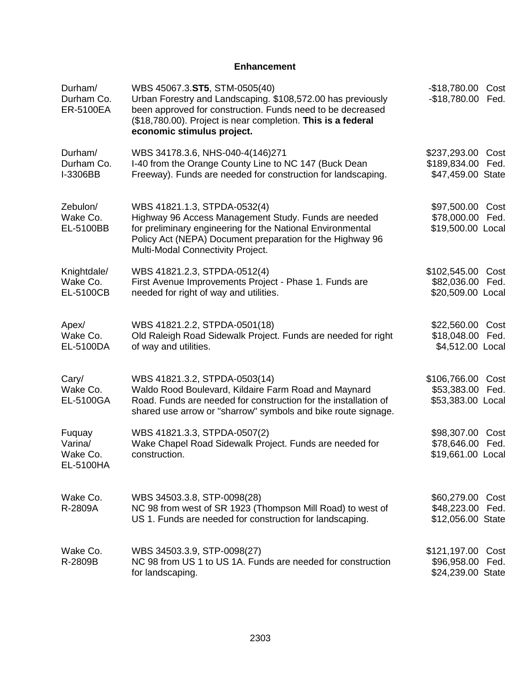## **Enhancement**

| Durham/<br>Durham Co.<br><b>ER-5100EA</b>  | WBS 45067.3.ST5, STM-0505(40)<br>Urban Forestry and Landscaping. \$108,572.00 has previously<br>been approved for construction. Funds need to be decreased<br>(\$18,780.00). Project is near completion. This is a federal<br>economic stimulus project. | $-$18,780.00$<br>$-$18,780.00$                         | Cost<br>Fed. |
|--------------------------------------------|----------------------------------------------------------------------------------------------------------------------------------------------------------------------------------------------------------------------------------------------------------|--------------------------------------------------------|--------------|
| Durham/<br>Durham Co.<br>I-3306BB          | WBS 34178.3.6, NHS-040-4(146)271<br>I-40 from the Orange County Line to NC 147 (Buck Dean<br>Freeway). Funds are needed for construction for landscaping.                                                                                                | \$237,293.00 Cost<br>\$189,834.00<br>\$47,459.00 State | Fed.         |
| Zebulon/<br>Wake Co.<br>EL-5100BB          | WBS 41821.1.3, STPDA-0532(4)<br>Highway 96 Access Management Study. Funds are needed<br>for preliminary engineering for the National Environmental<br>Policy Act (NEPA) Document preparation for the Highway 96<br>Multi-Modal Connectivity Project.     | \$97,500.00<br>\$78,000.00<br>\$19,500.00 Local        | Cost<br>Fed. |
| Knightdale/<br>Wake Co.<br>EL-5100CB       | WBS 41821.2.3, STPDA-0512(4)<br>First Avenue Improvements Project - Phase 1. Funds are<br>needed for right of way and utilities.                                                                                                                         | \$102,545.00<br>\$82,036.00<br>\$20,509.00 Local       | Cost<br>Fed. |
| Apex/<br>Wake Co.<br>EL-5100DA             | WBS 41821.2.2, STPDA-0501(18)<br>Old Raleigh Road Sidewalk Project. Funds are needed for right<br>of way and utilities.                                                                                                                                  | \$22,560.00 Cost<br>\$18,048.00<br>\$4,512.00 Local    | Fed.         |
| Cary/<br>Wake Co.<br>EL-5100GA             | WBS 41821.3.2, STPDA-0503(14)<br>Waldo Rood Boulevard, Kildaire Farm Road and Maynard<br>Road. Funds are needed for construction for the installation of<br>shared use arrow or "sharrow" symbols and bike route signage.                                | \$106,766.00<br>\$53,383.00<br>\$53,383.00 Local       | Cost<br>Fed. |
| Fuquay<br>Varina/<br>Wake Co.<br>EL-5100HA | WBS 41821.3.3, STPDA-0507(2)<br>Wake Chapel Road Sidewalk Project. Funds are needed for<br>construction.                                                                                                                                                 | \$98,307.00<br>\$78,646.00<br>\$19,661.00 Local        | Cost<br>Fed. |
| Wake Co.<br>R-2809A                        | WBS 34503.3.8, STP-0098(28)<br>NC 98 from west of SR 1923 (Thompson Mill Road) to west of<br>US 1. Funds are needed for construction for landscaping.                                                                                                    | \$60,279.00<br>\$48,223.00<br>\$12,056.00 State        | Cost<br>Fed. |
| Wake Co.<br>R-2809B                        | WBS 34503.3.9, STP-0098(27)<br>NC 98 from US 1 to US 1A. Funds are needed for construction<br>for landscaping.                                                                                                                                           | \$121,197.00 Cost<br>\$96,958.00<br>\$24,239.00 State  | Fed.         |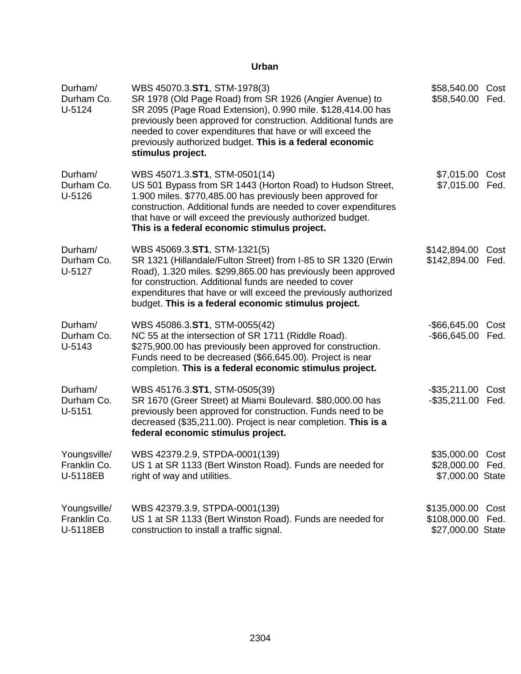| Durham/<br>Durham Co.<br>U-5124          | WBS 45070.3.ST1, STM-1978(3)<br>SR 1978 (Old Page Road) from SR 1926 (Angier Avenue) to<br>SR 2095 (Page Road Extension), 0.990 mile. \$128,414.00 has<br>previously been approved for construction. Additional funds are<br>needed to cover expenditures that have or will exceed the<br>previously authorized budget. This is a federal economic<br>stimulus project. | \$58,540.00 Cost<br>\$58,540.00 Fed.                     |              |
|------------------------------------------|-------------------------------------------------------------------------------------------------------------------------------------------------------------------------------------------------------------------------------------------------------------------------------------------------------------------------------------------------------------------------|----------------------------------------------------------|--------------|
| Durham/<br>Durham Co.<br>U-5126          | WBS 45071.3.ST1, STM-0501(14)<br>US 501 Bypass from SR 1443 (Horton Road) to Hudson Street,<br>1.900 miles. \$770,485.00 has previously been approved for<br>construction. Additional funds are needed to cover expenditures<br>that have or will exceed the previously authorized budget.<br>This is a federal economic stimulus project.                              | \$7,015.00 Cost<br>\$7,015.00 Fed.                       |              |
| Durham/<br>Durham Co.<br>U-5127          | WBS 45069.3.ST1, STM-1321(5)<br>SR 1321 (Hillandale/Fulton Street) from I-85 to SR 1320 (Erwin<br>Road), 1.320 miles. \$299,865.00 has previously been approved<br>for construction. Additional funds are needed to cover<br>expenditures that have or will exceed the previously authorized<br>budget. This is a federal economic stimulus project.                    | \$142,894.00 Cost<br>\$142,894.00 Fed.                   |              |
| Durham/<br>Durham Co.<br>U-5143          | WBS 45086.3.ST1, STM-0055(42)<br>NC 55 at the intersection of SR 1711 (Riddle Road).<br>\$275,900.00 has previously been approved for construction.<br>Funds need to be decreased (\$66,645.00). Project is near<br>completion. This is a federal economic stimulus project.                                                                                            | -\$66,645.00 Cost<br>-\$66,645.00 Fed.                   |              |
| Durham/<br>Durham Co.<br>$U-5151$        | WBS 45176.3.ST1, STM-0505(39)<br>SR 1670 (Greer Street) at Miami Boulevard. \$80,000.00 has<br>previously been approved for construction. Funds need to be<br>decreased (\$35,211.00). Project is near completion. This is a<br>federal economic stimulus project.                                                                                                      | $-$ \$35,211.00<br>-\$35,211.00 Fed.                     | Cost         |
| Youngsville/<br>Franklin Co.<br>U-5118EB | WBS 42379.2.9, STPDA-0001(139)<br>US 1 at SR 1133 (Bert Winston Road). Funds are needed for<br>right of way and utilities.                                                                                                                                                                                                                                              | \$35,000.00 Cost<br>\$28,000.00 Fed.<br>\$7,000.00 State |              |
| Youngsville/<br>Franklin Co.<br>U-5118EB | WBS 42379.3.9, STPDA-0001(139)<br>US 1 at SR 1133 (Bert Winston Road). Funds are needed for<br>construction to install a traffic signal.                                                                                                                                                                                                                                | \$135,000.00<br>\$108,000.00<br>\$27,000.00 State        | Cost<br>Fed. |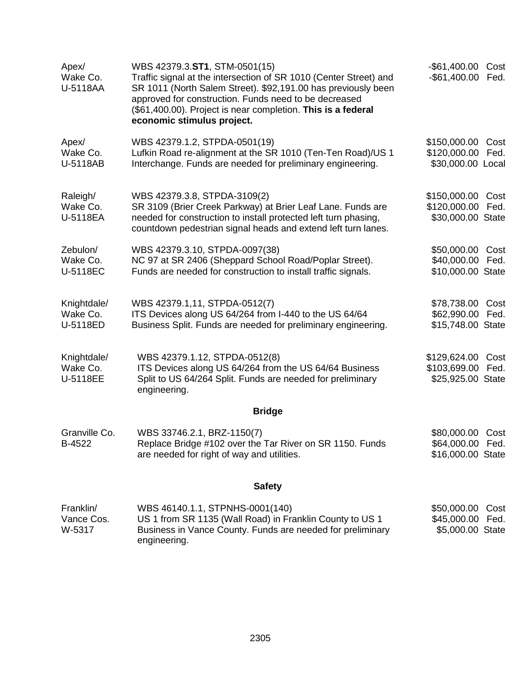| Apex/<br>Wake Co.<br>U-5118AA       | WBS 42379.3.ST1, STM-0501(15)<br>Traffic signal at the intersection of SR 1010 (Center Street) and<br>SR 1011 (North Salem Street). \$92,191.00 has previously been<br>approved for construction. Funds need to be decreased<br>(\$61,400.00). Project is near completion. This is a federal<br>economic stimulus project. | -\$61,400.00<br>-\$61,400.00 Fed.                         | Cost         |
|-------------------------------------|----------------------------------------------------------------------------------------------------------------------------------------------------------------------------------------------------------------------------------------------------------------------------------------------------------------------------|-----------------------------------------------------------|--------------|
| Apex/<br>Wake Co.<br>U-5118AB       | WBS 42379.1.2, STPDA-0501(19)<br>Lufkin Road re-alignment at the SR 1010 (Ten-Ten Road)/US 1<br>Interchange. Funds are needed for preliminary engineering.                                                                                                                                                                 | \$150,000.00 Cost<br>\$120,000.00<br>\$30,000.00 Local    | Fed.         |
| Raleigh/<br>Wake Co.<br>U-5118EA    | WBS 42379.3.8, STPDA-3109(2)<br>SR 3109 (Brier Creek Parkway) at Brier Leaf Lane. Funds are<br>needed for construction to install protected left turn phasing,<br>countdown pedestrian signal heads and extend left turn lanes.                                                                                            | \$150,000.00<br>\$120,000.00<br>\$30,000.00 State         | Cost<br>Fed. |
| Zebulon/<br>Wake Co.<br>U-5118EC    | WBS 42379.3.10, STPDA-0097(38)<br>NC 97 at SR 2406 (Sheppard School Road/Poplar Street).<br>Funds are needed for construction to install traffic signals.                                                                                                                                                                  | \$50,000.00 Cost<br>\$40,000.00 Fed.<br>\$10,000.00 State |              |
| Knightdale/<br>Wake Co.<br>U-5118ED | WBS 42379.1,11, STPDA-0512(7)<br>ITS Devices along US 64/264 from I-440 to the US 64/64<br>Business Split. Funds are needed for preliminary engineering.                                                                                                                                                                   | \$78,738.00 Cost<br>\$62,990.00<br>\$15,748.00 State      | Fed.         |
| Knightdale/<br>Wake Co.<br>U-5118EE | WBS 42379.1.12, STPDA-0512(8)<br>ITS Devices along US 64/264 from the US 64/64 Business<br>Split to US 64/264 Split. Funds are needed for preliminary<br>engineering.                                                                                                                                                      | \$129,624.00<br>\$103,699.00<br>\$25,925.00 State         | Cost<br>Fed. |
|                                     | <b>Bridge</b>                                                                                                                                                                                                                                                                                                              |                                                           |              |
| Granville Co.<br>B-4522             | WBS 33746.2.1, BRZ-1150(7)<br>Replace Bridge #102 over the Tar River on SR 1150. Funds<br>are needed for right of way and utilities.                                                                                                                                                                                       | \$80,000.00 Cost<br>\$64,000.00 Fed.<br>\$16,000.00 State |              |
|                                     | <b>Safety</b>                                                                                                                                                                                                                                                                                                              |                                                           |              |
| Franklin/<br>Vance Cos.<br>W-5317   | WBS 46140.1.1, STPNHS-0001(140)<br>US 1 from SR 1135 (Wall Road) in Franklin County to US 1<br>Business in Vance County. Funds are needed for preliminary<br>engineering.                                                                                                                                                  | \$50,000.00<br>\$45,000.00 Fed.<br>\$5,000.00 State       | Cost         |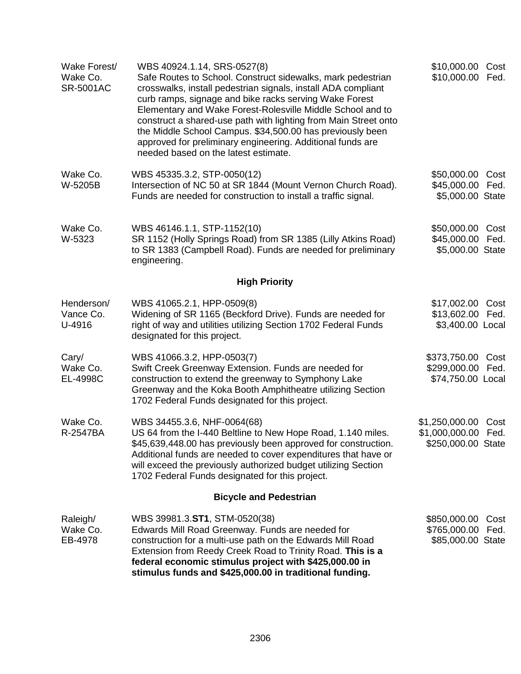| Wake Forest/<br>Wake Co.<br><b>SR-5001AC</b> | WBS 40924.1.14, SRS-0527(8)<br>Safe Routes to School. Construct sidewalks, mark pedestrian<br>crosswalks, install pedestrian signals, install ADA compliant<br>curb ramps, signage and bike racks serving Wake Forest<br>Elementary and Wake Forest-Rolesville Middle School and to<br>construct a shared-use path with lighting from Main Street onto<br>the Middle School Campus. \$34,500.00 has previously been<br>approved for preliminary engineering. Additional funds are<br>needed based on the latest estimate. | \$10,000.00 Cost<br>\$10,000.00 Fed.                             |              |
|----------------------------------------------|---------------------------------------------------------------------------------------------------------------------------------------------------------------------------------------------------------------------------------------------------------------------------------------------------------------------------------------------------------------------------------------------------------------------------------------------------------------------------------------------------------------------------|------------------------------------------------------------------|--------------|
| Wake Co.<br>W-5205B                          | WBS 45335.3.2, STP-0050(12)<br>Intersection of NC 50 at SR 1844 (Mount Vernon Church Road).<br>Funds are needed for construction to install a traffic signal.                                                                                                                                                                                                                                                                                                                                                             | \$50,000.00<br>\$45,000.00<br>\$5,000.00 State                   | Cost<br>Fed. |
| Wake Co.<br>W-5323                           | WBS 46146.1.1, STP-1152(10)<br>SR 1152 (Holly Springs Road) from SR 1385 (Lilly Atkins Road)<br>to SR 1383 (Campbell Road). Funds are needed for preliminary<br>engineering.                                                                                                                                                                                                                                                                                                                                              | \$50,000.00<br>\$45,000.00 Fed.<br>\$5,000.00 State              | Cost         |
|                                              | <b>High Priority</b>                                                                                                                                                                                                                                                                                                                                                                                                                                                                                                      |                                                                  |              |
| Henderson/<br>Vance Co.<br>U-4916            | WBS 41065.2.1, HPP-0509(8)<br>Widening of SR 1165 (Beckford Drive). Funds are needed for<br>right of way and utilities utilizing Section 1702 Federal Funds<br>designated for this project.                                                                                                                                                                                                                                                                                                                               | \$17,002.00 Cost<br>\$13,602.00 Fed.<br>\$3,400.00 Local         |              |
| Cary/<br>Wake Co.<br>EL-4998C                | WBS 41066.3.2, HPP-0503(7)<br>Swift Creek Greenway Extension. Funds are needed for<br>construction to extend the greenway to Symphony Lake<br>Greenway and the Koka Booth Amphitheatre utilizing Section<br>1702 Federal Funds designated for this project.                                                                                                                                                                                                                                                               | \$373,750.00 Cost<br>\$299,000.00<br>\$74,750.00 Local           | Fed.         |
| Wake Co.<br>R-2547BA                         | WBS 34455.3.6, NHF-0064(68)<br>US 64 from the I-440 Beltline to New Hope Road, 1.140 miles.<br>\$45,639,448.00 has previously been approved for construction.<br>Additional funds are needed to cover expenditures that have or<br>will exceed the previously authorized budget utilizing Section<br>1702 Federal Funds designated for this project.                                                                                                                                                                      | \$1,250,000.00 Cost<br>\$1,000,000.00 Fed.<br>\$250,000.00 State |              |
|                                              | <b>Bicycle and Pedestrian</b>                                                                                                                                                                                                                                                                                                                                                                                                                                                                                             |                                                                  |              |
| Raleigh/<br>Wake Co.<br>EB-4978              | WBS 39981.3.ST1, STM-0520(38)<br>Edwards Mill Road Greenway. Funds are needed for<br>construction for a multi-use path on the Edwards Mill Road<br>Extension from Reedy Creek Road to Trinity Road. This is a<br>federal economic stimulus project with \$425,000.00 in<br>stimulus funds and \$425,000.00 in traditional funding.                                                                                                                                                                                        | \$850,000.00<br>\$765,000.00<br>\$85,000.00 State                | Cost<br>Fed. |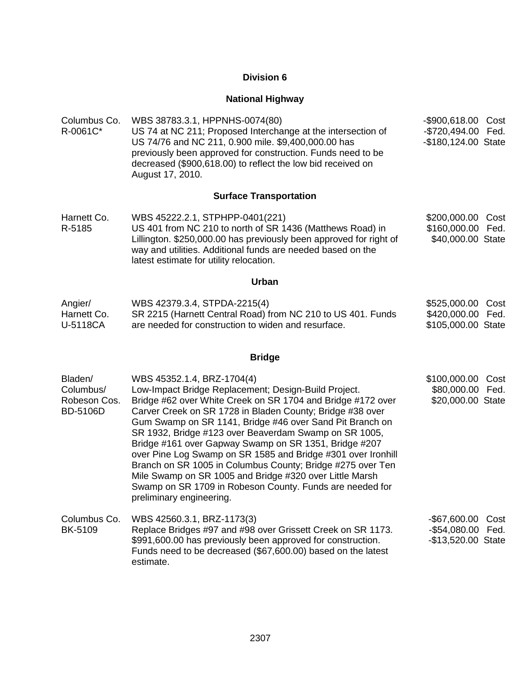# **National Highway**

| Columbus Co.<br>R-0061C*                                | WBS 38783.3.1, HPPNHS-0074(80)<br>US 74 at NC 211; Proposed Interchange at the intersection of<br>US 74/76 and NC 211, 0.900 mile. \$9,400,000.00 has<br>previously been approved for construction. Funds need to be<br>decreased (\$900,618.00) to reflect the low bid received on<br>August 17, 2010.                                                                                                                                                                                                                                                                                                                                                                       | -\$900,618.00 Cost<br>-\$720,494.00 Fed.<br>-\$180,124.00 State        |
|---------------------------------------------------------|-------------------------------------------------------------------------------------------------------------------------------------------------------------------------------------------------------------------------------------------------------------------------------------------------------------------------------------------------------------------------------------------------------------------------------------------------------------------------------------------------------------------------------------------------------------------------------------------------------------------------------------------------------------------------------|------------------------------------------------------------------------|
|                                                         | <b>Surface Transportation</b>                                                                                                                                                                                                                                                                                                                                                                                                                                                                                                                                                                                                                                                 |                                                                        |
| Harnett Co.<br>R-5185                                   | WBS 45222.2.1, STPHPP-0401(221)<br>US 401 from NC 210 to north of SR 1436 (Matthews Road) in<br>Lillington. \$250,000.00 has previously been approved for right of<br>way and utilities. Additional funds are needed based on the<br>latest estimate for utility relocation.                                                                                                                                                                                                                                                                                                                                                                                                  | \$200,000.00 Cost<br>\$160,000.00 Fed.<br>\$40,000.00 State            |
|                                                         | <b>Urban</b>                                                                                                                                                                                                                                                                                                                                                                                                                                                                                                                                                                                                                                                                  |                                                                        |
| Angier/<br>Harnett Co.<br>U-5118CA                      | WBS 42379.3.4, STPDA-2215(4)<br>SR 2215 (Harnett Central Road) from NC 210 to US 401. Funds<br>are needed for construction to widen and resurface.                                                                                                                                                                                                                                                                                                                                                                                                                                                                                                                            | \$525,000.00 Cost<br>\$420,000.00 Fed.<br>\$105,000.00 State           |
|                                                         | <b>Bridge</b>                                                                                                                                                                                                                                                                                                                                                                                                                                                                                                                                                                                                                                                                 |                                                                        |
| Bladen/<br>Columbus/<br>Robeson Cos.<br><b>BD-5106D</b> | WBS 45352.1.4, BRZ-1704(4)<br>Low-Impact Bridge Replacement; Design-Build Project.<br>Bridge #62 over White Creek on SR 1704 and Bridge #172 over<br>Carver Creek on SR 1728 in Bladen County; Bridge #38 over<br>Gum Swamp on SR 1141, Bridge #46 over Sand Pit Branch on<br>SR 1932, Bridge #123 over Beaverdam Swamp on SR 1005,<br>Bridge #161 over Gapway Swamp on SR 1351, Bridge #207<br>over Pine Log Swamp on SR 1585 and Bridge #301 over Ironhill<br>Branch on SR 1005 in Columbus County; Bridge #275 over Ten<br>Mile Swamp on SR 1005 and Bridge #320 over Little Marsh<br>Swamp on SR 1709 in Robeson County. Funds are needed for<br>preliminary engineering. | \$100,000.00<br>Cost<br>\$80,000.00 Fed.<br>\$20,000.00 State          |
| Columbus Co.<br>BK-5109                                 | WBS 42560.3.1, BRZ-1173(3)<br>Replace Bridges #97 and #98 over Grissett Creek on SR 1173.<br>\$991,600.00 has previously been approved for construction.<br>Funds need to be decreased (\$67,600.00) based on the latest<br>estimate.                                                                                                                                                                                                                                                                                                                                                                                                                                         | $-$ \$67,600.00<br>Cost<br>$-$54,080.00$<br>Fed.<br>-\$13,520.00 State |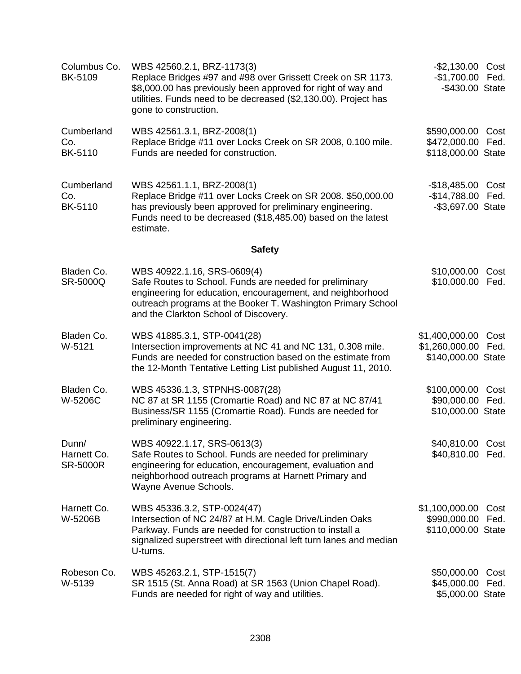| Columbus Co.<br><b>BK-5109</b>          | WBS 42560.2.1, BRZ-1173(3)<br>Replace Bridges #97 and #98 over Grissett Creek on SR 1173.<br>\$8,000.00 has previously been approved for right of way and<br>utilities. Funds need to be decreased (\$2,130.00). Project has<br>gone to construction.         | -\$2,130.00 Cost<br>-\$1,700.00 Fed.<br>-\$430.00 State      |              |
|-----------------------------------------|---------------------------------------------------------------------------------------------------------------------------------------------------------------------------------------------------------------------------------------------------------------|--------------------------------------------------------------|--------------|
| Cumberland<br>Co.<br><b>BK-5110</b>     | WBS 42561.3.1, BRZ-2008(1)<br>Replace Bridge #11 over Locks Creek on SR 2008, 0.100 mile.<br>Funds are needed for construction.                                                                                                                               | \$590,000.00 Cost<br>\$472,000.00 Fed.<br>\$118,000.00 State |              |
| Cumberland<br>Co.<br><b>BK-5110</b>     | WBS 42561.1.1, BRZ-2008(1)<br>Replace Bridge #11 over Locks Creek on SR 2008. \$50,000.00<br>has previously been approved for preliminary engineering.<br>Funds need to be decreased (\$18,485.00) based on the latest<br>estimate.                           | $-$18,485.00$<br>$-$14,788.00$<br>-\$3,697.00 State          | Cost<br>Fed. |
|                                         | <b>Safety</b>                                                                                                                                                                                                                                                 |                                                              |              |
| Bladen Co.<br>SR-5000Q                  | WBS 40922.1.16, SRS-0609(4)<br>Safe Routes to School. Funds are needed for preliminary<br>engineering for education, encouragement, and neighborhood<br>outreach programs at the Booker T. Washington Primary School<br>and the Clarkton School of Discovery. | \$10,000.00<br>\$10,000.00                                   | Cost<br>Fed. |
| Bladen Co.<br>W-5121                    | WBS 41885.3.1, STP-0041(28)<br>Intersection improvements at NC 41 and NC 131, 0.308 mile.<br>Funds are needed for construction based on the estimate from<br>the 12-Month Tentative Letting List published August 11, 2010.                                   | \$1,400,000.00<br>\$1,260,000.00 Fed.<br>\$140,000.00 State  | Cost         |
| Bladen Co.<br>W-5206C                   | WBS 45336.1.3, STPNHS-0087(28)<br>NC 87 at SR 1155 (Cromartie Road) and NC 87 at NC 87/41<br>Business/SR 1155 (Cromartie Road). Funds are needed for<br>preliminary engineering.                                                                              | \$100,000.00 Cost<br>\$90,000.00 Fed.<br>\$10,000.00 State   |              |
| Dunn/<br>Harnett Co.<br><b>SR-5000R</b> | WBS 40922.1.17, SRS-0613(3)<br>Safe Routes to School. Funds are needed for preliminary<br>engineering for education, encouragement, evaluation and<br>neighborhood outreach programs at Harnett Primary and<br>Wayne Avenue Schools.                          | \$40,810.00 Cost<br>\$40,810.00 Fed.                         |              |
| Harnett Co.<br>W-5206B                  | WBS 45336.3.2, STP-0024(47)<br>Intersection of NC 24/87 at H.M. Cagle Drive/Linden Oaks<br>Parkway. Funds are needed for construction to install a<br>signalized superstreet with directional left turn lanes and median<br>U-turns.                          | \$1,100,000.00<br>\$990,000.00 Fed.<br>\$110,000.00 State    | Cost         |
| Robeson Co.<br>W-5139                   | WBS 45263.2.1, STP-1515(7)<br>SR 1515 (St. Anna Road) at SR 1563 (Union Chapel Road).<br>Funds are needed for right of way and utilities.                                                                                                                     | \$50,000.00<br>\$45,000.00<br>\$5,000.00 State               | Cost<br>Fed. |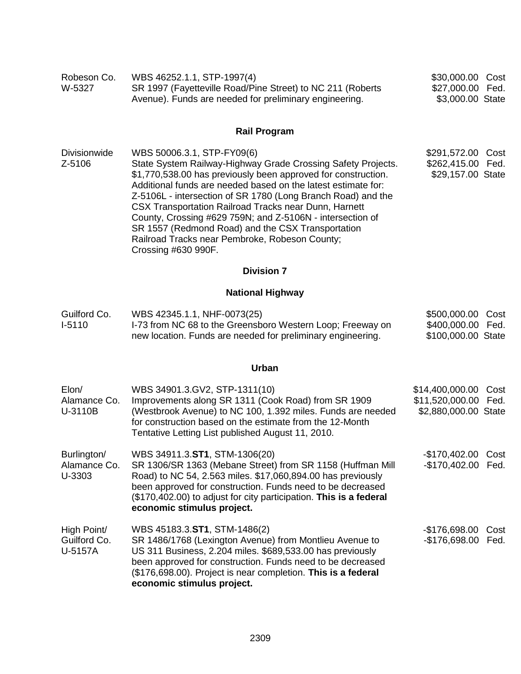| Robeson Co.<br>W-5327                  | WBS 46252.1.1, STP-1997(4)<br>SR 1997 (Fayetteville Road/Pine Street) to NC 211 (Roberts<br>Avenue). Funds are needed for preliminary engineering.                                                                                                                                                                                                                                                                                                                                                                                               | \$30,000.00 Cost<br>\$27,000.00 Fed.<br>\$3,000.00 State                   |
|----------------------------------------|--------------------------------------------------------------------------------------------------------------------------------------------------------------------------------------------------------------------------------------------------------------------------------------------------------------------------------------------------------------------------------------------------------------------------------------------------------------------------------------------------------------------------------------------------|----------------------------------------------------------------------------|
|                                        | <b>Rail Program</b>                                                                                                                                                                                                                                                                                                                                                                                                                                                                                                                              |                                                                            |
| <b>Divisionwide</b><br>Z-5106          | WBS 50006.3.1, STP-FY09(6)<br>State System Railway-Highway Grade Crossing Safety Projects.<br>\$1,770,538.00 has previously been approved for construction.<br>Additional funds are needed based on the latest estimate for:<br>Z-5106L - intersection of SR 1780 (Long Branch Road) and the<br>CSX Transportation Railroad Tracks near Dunn, Harnett<br>County, Crossing #629 759N; and Z-5106N - intersection of<br>SR 1557 (Redmond Road) and the CSX Transportation<br>Railroad Tracks near Pembroke, Robeson County;<br>Crossing #630 990F. | \$291,572.00<br>Cost<br>\$262,415.00 Fed.<br>\$29,157.00 State             |
|                                        | <b>Division 7</b>                                                                                                                                                                                                                                                                                                                                                                                                                                                                                                                                |                                                                            |
|                                        | <b>National Highway</b>                                                                                                                                                                                                                                                                                                                                                                                                                                                                                                                          |                                                                            |
| Guilford Co.<br>$I-5110$               | WBS 42345.1.1, NHF-0073(25)<br>I-73 from NC 68 to the Greensboro Western Loop; Freeway on<br>new location. Funds are needed for preliminary engineering.                                                                                                                                                                                                                                                                                                                                                                                         | \$500,000.00 Cost<br>\$400,000.00 Fed.<br>\$100,000.00 State               |
|                                        | <b>Urban</b>                                                                                                                                                                                                                                                                                                                                                                                                                                                                                                                                     |                                                                            |
| Elon/<br>Alamance Co.<br>U-3110B       | WBS 34901.3.GV2, STP-1311(10)<br>Improvements along SR 1311 (Cook Road) from SR 1909<br>(Westbrook Avenue) to NC 100, 1.392 miles. Funds are needed<br>for construction based on the estimate from the 12-Month<br>Tentative Letting List published August 11, 2010.                                                                                                                                                                                                                                                                             | \$14,400,000.00<br>Cost<br>\$11,520,000.00<br>Fed.<br>\$2,880,000.00 State |
| Burlington/<br>Alamance Co.<br>U-3303  | WBS 34911.3.ST1, STM-1306(20)<br>SR 1306/SR 1363 (Mebane Street) from SR 1158 (Huffman Mill<br>Road) to NC 54, 2.563 miles. \$17,060,894.00 has previously<br>been approved for construction. Funds need to be decreased<br>(\$170,402.00) to adjust for city participation. This is a federal<br>economic stimulus project.                                                                                                                                                                                                                     | -\$170,402.00 Cost<br>-\$170,402.00 Fed.                                   |
| High Point/<br>Guilford Co.<br>U-5157A | WBS 45183.3.ST1, STM-1486(2)<br>SR 1486/1768 (Lexington Avenue) from Montlieu Avenue to<br>US 311 Business, 2.204 miles. \$689,533.00 has previously<br>been approved for construction. Funds need to be decreased<br>(\$176,698.00). Project is near completion. This is a federal<br>economic stimulus project.                                                                                                                                                                                                                                | $-$176,698.00$<br>Cost<br>-\$176,698.00 Fed.                               |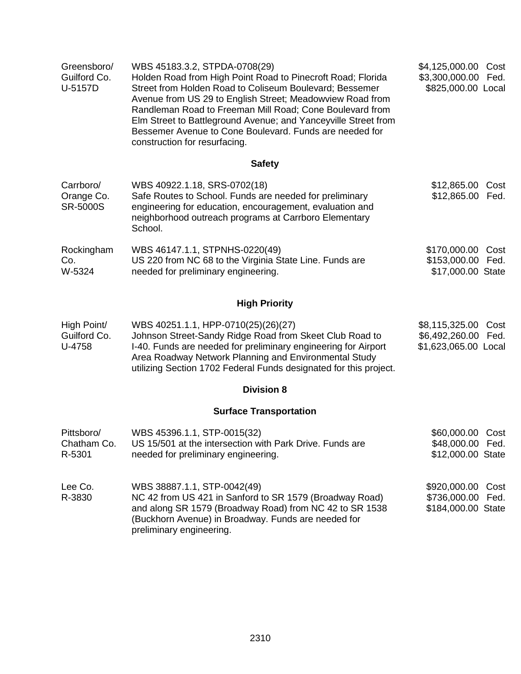| Greensboro/<br>Guilford Co.<br>U-5157D     | WBS 45183.3.2, STPDA-0708(29)<br>Holden Road from High Point Road to Pinecroft Road; Florida<br>Street from Holden Road to Coliseum Boulevard; Bessemer<br>Avenue from US 29 to English Street; Meadowview Road from<br>Randleman Road to Freeman Mill Road; Cone Boulevard from<br>Elm Street to Battleground Avenue; and Yanceyville Street from<br>Bessemer Avenue to Cone Boulevard. Funds are needed for<br>construction for resurfacing. | \$4,125,000.00 Cost<br>\$3,300,000.00 Fed.<br>\$825,000.00 Local   |
|--------------------------------------------|------------------------------------------------------------------------------------------------------------------------------------------------------------------------------------------------------------------------------------------------------------------------------------------------------------------------------------------------------------------------------------------------------------------------------------------------|--------------------------------------------------------------------|
|                                            | <b>Safety</b>                                                                                                                                                                                                                                                                                                                                                                                                                                  |                                                                    |
| Carrboro/<br>Orange Co.<br><b>SR-5000S</b> | WBS 40922.1.18, SRS-0702(18)<br>Safe Routes to School. Funds are needed for preliminary<br>engineering for education, encouragement, evaluation and<br>neighborhood outreach programs at Carrboro Elementary<br>School.                                                                                                                                                                                                                        | \$12,865.00<br>Cost<br>\$12,865.00 Fed.                            |
| Rockingham<br>Co.<br>W-5324                | WBS 46147.1.1, STPNHS-0220(49)<br>US 220 from NC 68 to the Virginia State Line. Funds are<br>needed for preliminary engineering.                                                                                                                                                                                                                                                                                                               | \$170,000.00 Cost<br>\$153,000.00 Fed.<br>\$17,000.00 State        |
|                                            | <b>High Priority</b>                                                                                                                                                                                                                                                                                                                                                                                                                           |                                                                    |
| High Point/<br>Guilford Co.<br>U-4758      | WBS 40251.1.1, HPP-0710(25)(26)(27)<br>Johnson Street-Sandy Ridge Road from Skeet Club Road to<br>I-40. Funds are needed for preliminary engineering for Airport<br>Area Roadway Network Planning and Environmental Study<br>utilizing Section 1702 Federal Funds designated for this project.                                                                                                                                                 | \$8,115,325.00 Cost<br>\$6,492,260.00 Fed.<br>\$1,623,065.00 Local |
|                                            | <b>Division 8</b>                                                                                                                                                                                                                                                                                                                                                                                                                              |                                                                    |
|                                            | <b>Surface Transportation</b>                                                                                                                                                                                                                                                                                                                                                                                                                  |                                                                    |
| Pittsboro/<br>Chatham Co.<br>R-5301        | WBS 45396.1.1, STP-0015(32)<br>US 15/501 at the intersection with Park Drive. Funds are<br>needed for preliminary engineering.                                                                                                                                                                                                                                                                                                                 | \$60,000.00 Cost<br>\$48,000.00 Fed.<br>\$12,000.00 State          |
| Lee Co.<br>R-3830                          | WBS 38887.1.1, STP-0042(49)<br>NC 42 from US 421 in Sanford to SR 1579 (Broadway Road)<br>and along SR 1579 (Broadway Road) from NC 42 to SR 1538<br>(Buckhorn Avenue) in Broadway. Funds are needed for<br>preliminary engineering.                                                                                                                                                                                                           | \$920,000.00<br>Cost<br>\$736,000.00<br>Fed.<br>\$184,000.00 State |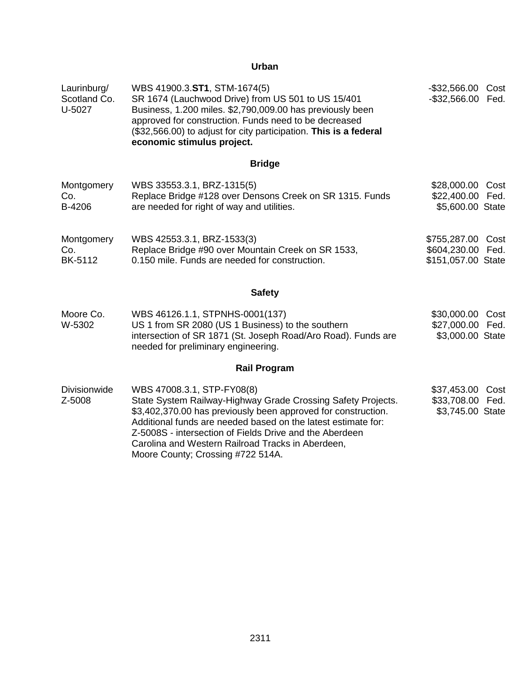| Laurinburg/<br>Scotland Co.<br>U-5027 | WBS 41900.3.ST1, STM-1674(5)<br>SR 1674 (Lauchwood Drive) from US 501 to US 15/401<br>Business, 1.200 miles. \$2,790,009.00 has previously been<br>approved for construction. Funds need to be decreased<br>(\$32,566.00) to adjust for city participation. This is a federal<br>economic stimulus project.                                                                       | $-$ \$32,566.00<br>Cost<br>$-$ \$32,566.00<br>Fed.           |
|---------------------------------------|-----------------------------------------------------------------------------------------------------------------------------------------------------------------------------------------------------------------------------------------------------------------------------------------------------------------------------------------------------------------------------------|--------------------------------------------------------------|
|                                       | <b>Bridge</b>                                                                                                                                                                                                                                                                                                                                                                     |                                                              |
| Montgomery<br>Co.<br>B-4206           | WBS 33553.3.1, BRZ-1315(5)<br>Replace Bridge #128 over Densons Creek on SR 1315. Funds<br>are needed for right of way and utilities.                                                                                                                                                                                                                                              | \$28,000.00 Cost<br>\$22,400.00 Fed.<br>\$5,600.00 State     |
| Montgomery<br>Co.<br>BK-5112          | WBS 42553.3.1, BRZ-1533(3)<br>Replace Bridge #90 over Mountain Creek on SR 1533,<br>0.150 mile. Funds are needed for construction.                                                                                                                                                                                                                                                | \$755,287.00 Cost<br>\$604,230.00 Fed.<br>\$151,057.00 State |
|                                       | <b>Safety</b>                                                                                                                                                                                                                                                                                                                                                                     |                                                              |
| Moore Co.<br>W-5302                   | WBS 46126.1.1, STPNHS-0001(137)<br>US 1 from SR 2080 (US 1 Business) to the southern<br>intersection of SR 1871 (St. Joseph Road/Aro Road). Funds are<br>needed for preliminary engineering.                                                                                                                                                                                      | \$30,000.00 Cost<br>\$27,000.00 Fed.<br>\$3,000.00 State     |
|                                       | <b>Rail Program</b>                                                                                                                                                                                                                                                                                                                                                               |                                                              |
| <b>Divisionwide</b><br>Z-5008         | WBS 47008.3.1, STP-FY08(8)<br>State System Railway-Highway Grade Crossing Safety Projects.<br>\$3,402,370.00 has previously been approved for construction.<br>Additional funds are needed based on the latest estimate for:<br>Z-5008S - intersection of Fields Drive and the Aberdeen<br>Carolina and Western Railroad Tracks in Aberdeen,<br>Moore County; Crossing #722 514A. | \$37,453.00 Cost<br>\$33,708.00 Fed.<br>\$3,745.00 State     |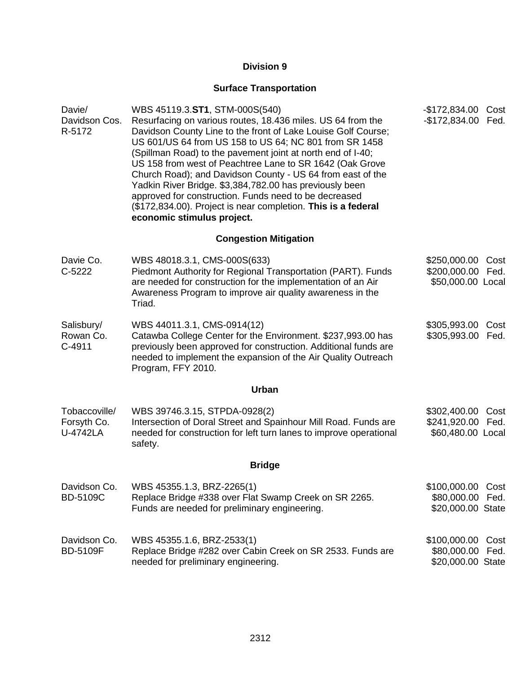# **Surface Transportation**

| Davie/<br>Davidson Cos.<br>R-5172               | WBS 45119.3.ST1, STM-000S(540)<br>Resurfacing on various routes, 18.436 miles. US 64 from the<br>Davidson County Line to the front of Lake Louise Golf Course;<br>US 601/US 64 from US 158 to US 64; NC 801 from SR 1458<br>(Spillman Road) to the pavement joint at north end of I-40;<br>US 158 from west of Peachtree Lane to SR 1642 (Oak Grove<br>Church Road); and Davidson County - US 64 from east of the<br>Yadkin River Bridge. \$3,384,782.00 has previously been<br>approved for construction. Funds need to be decreased<br>(\$172,834.00). Project is near completion. This is a federal<br>economic stimulus project. | -\$172,834.00 Cost<br>$-$172,834.00$                       | Fed.         |
|-------------------------------------------------|--------------------------------------------------------------------------------------------------------------------------------------------------------------------------------------------------------------------------------------------------------------------------------------------------------------------------------------------------------------------------------------------------------------------------------------------------------------------------------------------------------------------------------------------------------------------------------------------------------------------------------------|------------------------------------------------------------|--------------|
|                                                 | <b>Congestion Mitigation</b>                                                                                                                                                                                                                                                                                                                                                                                                                                                                                                                                                                                                         |                                                            |              |
| Davie Co.<br>$C-5222$                           | WBS 48018.3.1, CMS-000S(633)<br>Piedmont Authority for Regional Transportation (PART). Funds<br>are needed for construction for the implementation of an Air<br>Awareness Program to improve air quality awareness in the<br>Triad.                                                                                                                                                                                                                                                                                                                                                                                                  | \$250,000.00<br>\$200,000.00 Fed.<br>\$50,000.00 Local     | Cost         |
| Salisbury/<br>Rowan Co.<br>$C-4911$             | WBS 44011.3.1, CMS-0914(12)<br>Catawba College Center for the Environment. \$237,993.00 has<br>previously been approved for construction. Additional funds are<br>needed to implement the expansion of the Air Quality Outreach<br>Program, FFY 2010.                                                                                                                                                                                                                                                                                                                                                                                | \$305,993.00<br>\$305,993.00                               | Cost<br>Fed. |
|                                                 | <b>Urban</b>                                                                                                                                                                                                                                                                                                                                                                                                                                                                                                                                                                                                                         |                                                            |              |
| Tobaccoville/<br>Forsyth Co.<br><b>U-4742LA</b> | WBS 39746.3.15, STPDA-0928(2)<br>Intersection of Doral Street and Spainhour Mill Road. Funds are<br>needed for construction for left turn lanes to improve operational<br>safety.                                                                                                                                                                                                                                                                                                                                                                                                                                                    | \$302,400.00<br>\$241,920.00 Fed.<br>\$60,480.00 Local     | Cost         |
|                                                 | <b>Bridge</b>                                                                                                                                                                                                                                                                                                                                                                                                                                                                                                                                                                                                                        |                                                            |              |
| Davidson Co.<br><b>BD-5109C</b>                 | WBS 45355.1.3, BRZ-2265(1)<br>Replace Bridge #338 over Flat Swamp Creek on SR 2265.<br>Funds are needed for preliminary engineering.                                                                                                                                                                                                                                                                                                                                                                                                                                                                                                 | \$100,000.00 Cost<br>\$80,000.00<br>\$20,000.00 State      | Fed.         |
| Davidson Co.<br><b>BD-5109F</b>                 | WBS 45355.1.6, BRZ-2533(1)<br>Replace Bridge #282 over Cabin Creek on SR 2533. Funds are<br>needed for preliminary engineering.                                                                                                                                                                                                                                                                                                                                                                                                                                                                                                      | \$100,000.00 Cost<br>\$80,000.00 Fed.<br>\$20,000.00 State |              |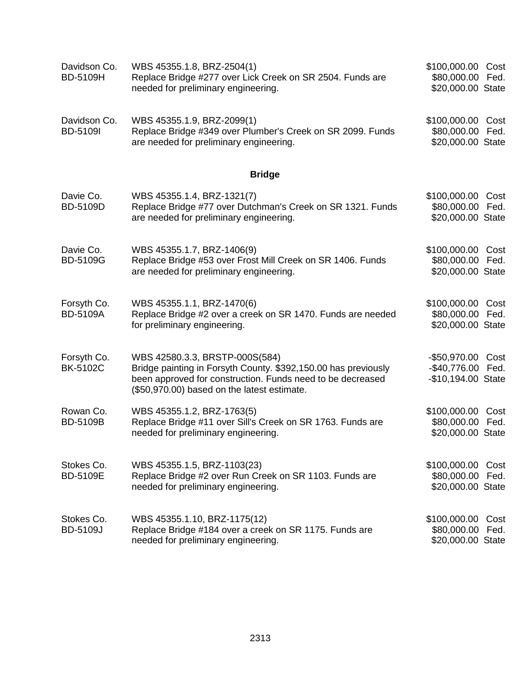| Davidson Co.<br><b>BD-5109H</b> | WBS 45355.1.8, BRZ-2504(1)<br>Replace Bridge #277 over Lick Creek on SR 2504. Funds are<br>needed for preliminary engineering.                                                                                | \$100,000.00 Cost<br>\$80,000.00 Fed.<br>\$20,000.00 State          |
|---------------------------------|---------------------------------------------------------------------------------------------------------------------------------------------------------------------------------------------------------------|---------------------------------------------------------------------|
| Davidson Co.<br><b>BD-5109I</b> | WBS 45355.1.9, BRZ-2099(1)<br>Replace Bridge #349 over Plumber's Creek on SR 2099. Funds<br>are needed for preliminary engineering.                                                                           | \$100,000.00 Cost<br>\$80,000.00<br>Fed.<br>\$20,000.00 State       |
|                                 | <b>Bridge</b>                                                                                                                                                                                                 |                                                                     |
| Davie Co.<br>BD-5109D           | WBS 45355.1.4, BRZ-1321(7)<br>Replace Bridge #77 over Dutchman's Creek on SR 1321. Funds<br>are needed for preliminary engineering.                                                                           | \$100,000.00<br>Cost<br>\$80,000.00<br>Fed.<br>\$20,000.00 State    |
| Davie Co.<br><b>BD-5109G</b>    | WBS 45355.1.7, BRZ-1406(9)<br>Replace Bridge #53 over Frost Mill Creek on SR 1406. Funds<br>are needed for preliminary engineering.                                                                           | \$100,000.00<br>Cost<br>\$80,000.00<br>Fed.<br>\$20,000.00 State    |
| Forsyth Co.<br><b>BD-5109A</b>  | WBS 45355.1.1, BRZ-1470(6)<br>Replace Bridge #2 over a creek on SR 1470. Funds are needed<br>for preliminary engineering.                                                                                     | \$100,000.00<br>Cost<br>\$80,000.00<br>Fed.<br>\$20,000.00 State    |
| Forsyth Co.<br><b>BK-5102C</b>  | WBS 42580.3.3, BRSTP-000S(584)<br>Bridge painting in Forsyth County. \$392,150.00 has previously<br>been approved for construction. Funds need to be decreased<br>(\$50,970.00) based on the latest estimate. | -\$50,970.00<br>Cost<br>$-$40,776.00$<br>Fed.<br>-\$10,194.00 State |
| Rowan Co.<br><b>BD-5109B</b>    | WBS 45355.1.2, BRZ-1763(5)<br>Replace Bridge #11 over Sill's Creek on SR 1763. Funds are<br>needed for preliminary engineering.                                                                               | \$100,000.00<br>Cost<br>\$80,000.00<br>Fed.<br>\$20,000.00 State    |
| Stokes Co.<br>BD-5109E          | WBS 45355.1.5, BRZ-1103(23)<br>Replace Bridge #2 over Run Creek on SR 1103. Funds are<br>needed for preliminary engineering.                                                                                  | \$100,000.00<br>Cost<br>\$80,000.00 Fed.<br>\$20,000.00 State       |
| Stokes Co.<br><b>BD-5109J</b>   | WBS 45355.1.10, BRZ-1175(12)<br>Replace Bridge #184 over a creek on SR 1175. Funds are<br>needed for preliminary engineering.                                                                                 | \$100,000.00<br>Cost<br>\$80,000.00 Fed.<br>\$20,000.00 State       |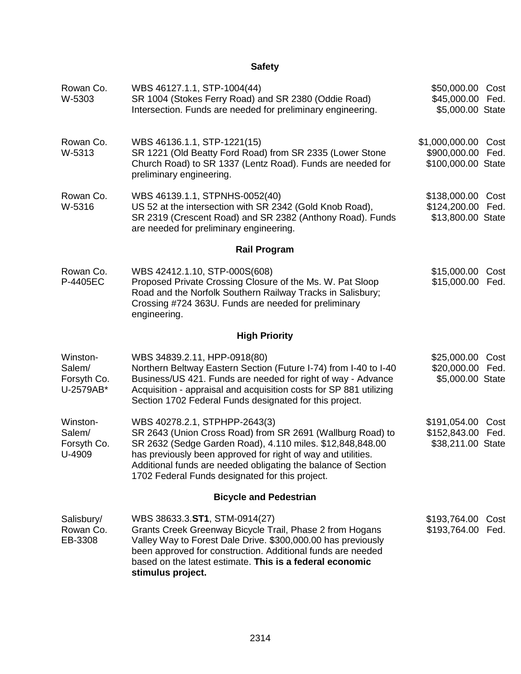# **Safety**

| Rowan Co.<br>W-5303                            | WBS 46127.1.1, STP-1004(44)<br>SR 1004 (Stokes Ferry Road) and SR 2380 (Oddie Road)<br>Intersection. Funds are needed for preliminary engineering.                                                                                                                                                                                           | \$50,000.00 Cost<br>\$45,000.00<br>\$5,000.00 State         | Fed.         |  |
|------------------------------------------------|----------------------------------------------------------------------------------------------------------------------------------------------------------------------------------------------------------------------------------------------------------------------------------------------------------------------------------------------|-------------------------------------------------------------|--------------|--|
| Rowan Co.<br>W-5313                            | WBS 46136.1.1, STP-1221(15)<br>SR 1221 (Old Beatty Ford Road) from SR 2335 (Lower Stone<br>Church Road) to SR 1337 (Lentz Road). Funds are needed for<br>preliminary engineering.                                                                                                                                                            | \$1,000,000.00<br>\$900,000.00<br>\$100,000.00 State        | Cost<br>Fed. |  |
| Rowan Co.<br>W-5316                            | WBS 46139.1.1, STPNHS-0052(40)<br>US 52 at the intersection with SR 2342 (Gold Knob Road),<br>SR 2319 (Crescent Road) and SR 2382 (Anthony Road). Funds<br>are needed for preliminary engineering.                                                                                                                                           | \$138,000.00<br>\$124,200.00<br>\$13,800.00 State           | Cost<br>Fed. |  |
|                                                | <b>Rail Program</b>                                                                                                                                                                                                                                                                                                                          |                                                             |              |  |
| Rowan Co.<br>P-4405EC                          | WBS 42412.1.10, STP-000S(608)<br>Proposed Private Crossing Closure of the Ms. W. Pat Sloop<br>Road and the Norfolk Southern Railway Tracks in Salisbury;<br>Crossing #724 363U. Funds are needed for preliminary<br>engineering.                                                                                                             | \$15,000.00<br>\$15,000.00                                  | Cost<br>Fed. |  |
|                                                | <b>High Priority</b>                                                                                                                                                                                                                                                                                                                         |                                                             |              |  |
| Winston-<br>Salem/<br>Forsyth Co.<br>U-2579AB* | WBS 34839.2.11, HPP-0918(80)<br>Northern Beltway Eastern Section (Future I-74) from I-40 to I-40<br>Business/US 421. Funds are needed for right of way - Advance<br>Acquisition - appraisal and acquisition costs for SP 881 utilizing<br>Section 1702 Federal Funds designated for this project.                                            | \$25,000.00<br>\$20,000.00<br>\$5,000.00 State              | Cost<br>Fed. |  |
| Winston-<br>Salem/<br>Forsyth Co.<br>U-4909    | WBS 40278.2.1, STPHPP-2643(3)<br>SR 2643 (Union Cross Road) from SR 2691 (Wallburg Road) to<br>SR 2632 (Sedge Garden Road), 4.110 miles. \$12,848,848.00<br>has previously been approved for right of way and utilities.<br>Additional funds are needed obligating the balance of Section<br>1702 Federal Funds designated for this project. | \$191,054.00 Cost<br>\$152,843.00 Fed.<br>\$38,211.00 State |              |  |
| <b>Bicycle and Pedestrian</b>                  |                                                                                                                                                                                                                                                                                                                                              |                                                             |              |  |
| Salisbury/<br>Rowan Co.<br>EB-3308             | WBS 38633.3.ST1, STM-0914(27)<br>Grants Creek Greenway Bicycle Trail, Phase 2 from Hogans<br>Valley Way to Forest Dale Drive. \$300,000.00 has previously<br>been approved for construction. Additional funds are needed<br>based on the latest estimate. This is a federal economic<br>stimulus project.                                    | \$193,764.00<br>\$193,764.00 Fed.                           | Cost         |  |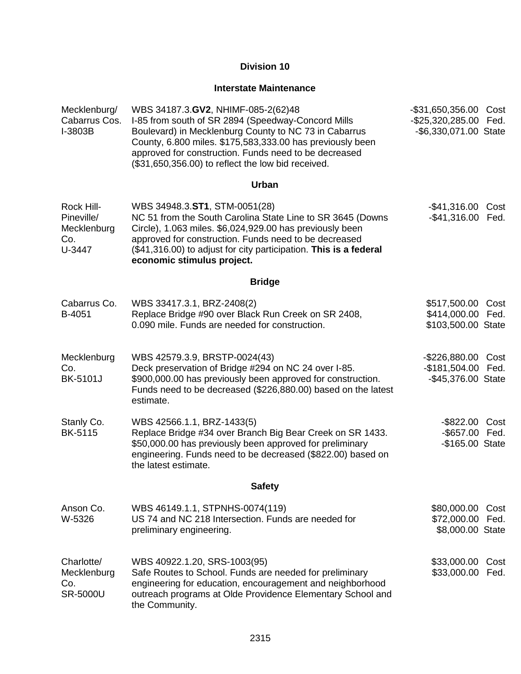# **Interstate Maintenance**

| Mecklenburg/<br>Cabarrus Cos.<br>I-3803B                 | WBS 34187.3.GV2, NHIMF-085-2(62)48<br>I-85 from south of SR 2894 (Speedway-Concord Mills<br>Boulevard) in Mecklenburg County to NC 73 in Cabarrus<br>County, 6.800 miles. \$175,583,333.00 has previously been<br>approved for construction. Funds need to be decreased<br>(\$31,650,356.00) to reflect the low bid received. | $-$ \$31,650,356.00<br>-\$25,320,285.00 Fed.<br>-\$6,330,071.00 State | Cost         |
|----------------------------------------------------------|-------------------------------------------------------------------------------------------------------------------------------------------------------------------------------------------------------------------------------------------------------------------------------------------------------------------------------|-----------------------------------------------------------------------|--------------|
|                                                          | Urban                                                                                                                                                                                                                                                                                                                         |                                                                       |              |
| Rock Hill-<br>Pineville/<br>Mecklenburg<br>Co.<br>U-3447 | WBS 34948.3.ST1, STM-0051(28)<br>NC 51 from the South Carolina State Line to SR 3645 (Downs<br>Circle), 1.063 miles. \$6,024,929.00 has previously been<br>approved for construction. Funds need to be decreased<br>(\$41,316.00) to adjust for city participation. This is a federal<br>economic stimulus project.           | $-$41,316.00$<br>$-$ \$41,316.00                                      | Cost<br>Fed. |
|                                                          | <b>Bridge</b>                                                                                                                                                                                                                                                                                                                 |                                                                       |              |
| Cabarrus Co.<br>B-4051                                   | WBS 33417.3.1, BRZ-2408(2)<br>Replace Bridge #90 over Black Run Creek on SR 2408,<br>0.090 mile. Funds are needed for construction.                                                                                                                                                                                           | \$517,500.00<br>\$414,000.00 Fed.<br>\$103,500.00 State               | Cost         |
| Mecklenburg<br>Co.<br><b>BK-5101J</b>                    | WBS 42579.3.9, BRSTP-0024(43)<br>Deck preservation of Bridge #294 on NC 24 over I-85.<br>\$900,000.00 has previously been approved for construction.<br>Funds need to be decreased (\$226,880.00) based on the latest<br>estimate.                                                                                            | -\$226,880.00 Cost<br>-\$181,504.00 Fed.<br>-\$45,376.00 State        |              |
| Stanly Co.<br><b>BK-5115</b>                             | WBS 42566.1.1, BRZ-1433(5)<br>Replace Bridge #34 over Branch Big Bear Creek on SR 1433.<br>\$50,000.00 has previously been approved for preliminary<br>engineering. Funds need to be decreased (\$822.00) based on<br>the latest estimate.                                                                                    | -\$822.00<br>-\$657.00 Fed.<br>-\$165.00 State                        | Cost         |
|                                                          | <b>Safety</b>                                                                                                                                                                                                                                                                                                                 |                                                                       |              |
| Anson Co.<br>W-5326                                      | WBS 46149.1.1, STPNHS-0074(119)<br>US 74 and NC 218 Intersection. Funds are needed for<br>preliminary engineering.                                                                                                                                                                                                            | \$80,000.00<br>\$72,000.00<br>\$8,000.00 State                        | Cost<br>Fed. |
| Charlotte/<br>Mecklenburg<br>Co.<br><b>SR-5000U</b>      | WBS 40922.1.20, SRS-1003(95)<br>Safe Routes to School. Funds are needed for preliminary<br>engineering for education, encouragement and neighborhood<br>outreach programs at Olde Providence Elementary School and<br>the Community.                                                                                          | \$33,000.00<br>\$33,000.00                                            | Cost<br>Fed. |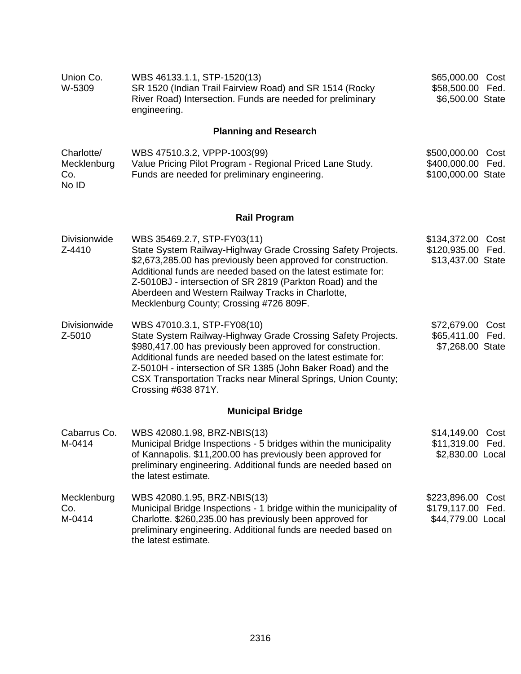| Union Co.<br>W-5309                       | WBS 46133.1.1, STP-1520(13)<br>SR 1520 (Indian Trail Fairview Road) and SR 1514 (Rocky<br>River Road) Intersection. Funds are needed for preliminary<br>engineering.                                                                                                                                                                                                                       | \$65,000.00 Cost<br>\$58,500.00 Fed.<br>\$6,500.00 State           |  |  |  |
|-------------------------------------------|--------------------------------------------------------------------------------------------------------------------------------------------------------------------------------------------------------------------------------------------------------------------------------------------------------------------------------------------------------------------------------------------|--------------------------------------------------------------------|--|--|--|
| <b>Planning and Research</b>              |                                                                                                                                                                                                                                                                                                                                                                                            |                                                                    |  |  |  |
| Charlotte/<br>Mecklenburg<br>Co.<br>No ID | WBS 47510.3.2, VPPP-1003(99)<br>Value Pricing Pilot Program - Regional Priced Lane Study.<br>Funds are needed for preliminary engineering.                                                                                                                                                                                                                                                 | \$500,000.00<br>Cost<br>\$400,000.00<br>Fed.<br>\$100,000.00 State |  |  |  |
|                                           | <b>Rail Program</b>                                                                                                                                                                                                                                                                                                                                                                        |                                                                    |  |  |  |
| <b>Divisionwide</b><br>Z-4410             | WBS 35469.2.7, STP-FY03(11)<br>State System Railway-Highway Grade Crossing Safety Projects.<br>\$2,673,285.00 has previously been approved for construction.<br>Additional funds are needed based on the latest estimate for:<br>Z-5010BJ - intersection of SR 2819 (Parkton Road) and the<br>Aberdeen and Western Railway Tracks in Charlotte,<br>Mecklenburg County; Crossing #726 809F. | \$134,372.00 Cost<br>\$120,935.00 Fed.<br>\$13,437.00 State        |  |  |  |
| <b>Divisionwide</b><br>Z-5010             | WBS 47010.3.1, STP-FY08(10)<br>State System Railway-Highway Grade Crossing Safety Projects.<br>\$980,417.00 has previously been approved for construction.<br>Additional funds are needed based on the latest estimate for:<br>Z-5010H - intersection of SR 1385 (John Baker Road) and the<br>CSX Transportation Tracks near Mineral Springs, Union County;<br>Crossing #638 871Y.         | \$72,679.00<br>Cost<br>\$65,411.00 Fed.<br>\$7,268.00 State        |  |  |  |
| <b>Municipal Bridge</b>                   |                                                                                                                                                                                                                                                                                                                                                                                            |                                                                    |  |  |  |
| Cabarrus Co.<br>M-0414                    | WBS 42080.1.98, BRZ-NBIS(13)<br>Municipal Bridge Inspections - 5 bridges within the municipality<br>of Kannapolis. \$11,200.00 has previously been approved for<br>preliminary engineering. Additional funds are needed based on<br>the latest estimate.                                                                                                                                   | \$14,149.00<br>Cost<br>\$11,319.00 Fed.<br>\$2,830.00 Local        |  |  |  |
| Mecklenburg<br>Co.<br>M-0414              | WBS 42080.1.95, BRZ-NBIS(13)<br>Municipal Bridge Inspections - 1 bridge within the municipality of<br>Charlotte. \$260,235.00 has previously been approved for<br>preliminary engineering. Additional funds are needed based on<br>the latest estimate.                                                                                                                                    | \$223,896.00<br>Cost<br>\$179,117.00 Fed.<br>\$44,779.00 Local     |  |  |  |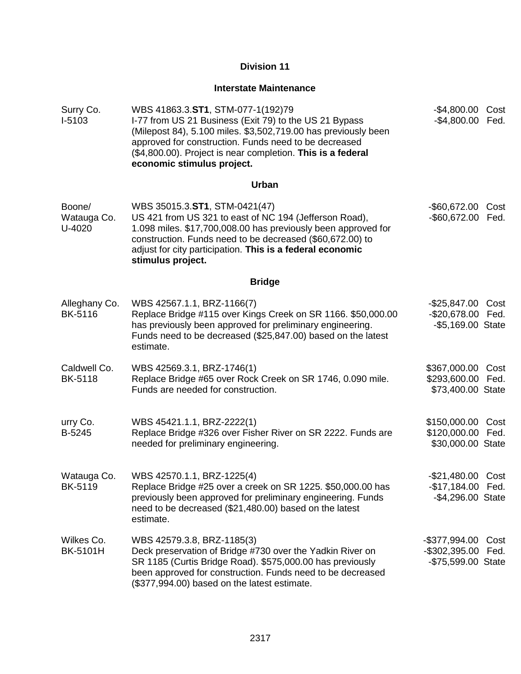# **Interstate Maintenance**

| Surry Co.<br>I-5103             | WBS 41863.3.ST1, STM-077-1(192)79<br>I-77 from US 21 Business (Exit 79) to the US 21 Bypass<br>(Milepost 84), 5.100 miles. \$3,502,719.00 has previously been<br>approved for construction. Funds need to be decreased<br>(\$4,800.00). Project is near completion. This is a federal<br>economic stimulus project. | $-$ \$4,800.00<br>$-$4,800.00$                              | Cost<br>Fed. |
|---------------------------------|---------------------------------------------------------------------------------------------------------------------------------------------------------------------------------------------------------------------------------------------------------------------------------------------------------------------|-------------------------------------------------------------|--------------|
|                                 | Urban                                                                                                                                                                                                                                                                                                               |                                                             |              |
| Boone/<br>Watauga Co.<br>U-4020 | WBS 35015.3.ST1, STM-0421(47)<br>US 421 from US 321 to east of NC 194 (Jefferson Road),<br>1.098 miles. \$17,700,008.00 has previously been approved for<br>construction. Funds need to be decreased (\$60,672.00) to<br>adjust for city participation. This is a federal economic<br>stimulus project.             | $-$ \$60,672.00<br>-\$60,672.00 Fed.                        | Cost         |
|                                 | <b>Bridge</b>                                                                                                                                                                                                                                                                                                       |                                                             |              |
| Alleghany Co.<br><b>BK-5116</b> | WBS 42567.1.1, BRZ-1166(7)<br>Replace Bridge #115 over Kings Creek on SR 1166. \$50,000.00<br>has previously been approved for preliminary engineering.<br>Funds need to be decreased (\$25,847.00) based on the latest<br>estimate.                                                                                | -\$25,847.00<br>-\$20,678.00 Fed.<br>-\$5,169.00 State      | Cost         |
| Caldwell Co.<br><b>BK-5118</b>  | WBS 42569.3.1, BRZ-1746(1)<br>Replace Bridge #65 over Rock Creek on SR 1746, 0.090 mile.<br>Funds are needed for construction.                                                                                                                                                                                      | \$367,000.00<br>\$293,600.00 Fed.<br>\$73,400.00 State      | Cost         |
| urry Co.<br>B-5245              | WBS 45421.1.1, BRZ-2222(1)<br>Replace Bridge #326 over Fisher River on SR 2222. Funds are<br>needed for preliminary engineering.                                                                                                                                                                                    | \$150,000.00<br>\$120,000.00 Fed.<br>\$30,000.00 State      | Cost         |
| Watauga Co.<br><b>BK-5119</b>   | WBS 42570.1.1, BRZ-1225(4)<br>Replace Bridge #25 over a creek on SR 1225. \$50,000.00 has<br>previously been approved for preliminary engineering. Funds<br>need to be decreased (\$21,480.00) based on the latest<br>estimate.                                                                                     | -\$21,480.00 Cost<br>-\$17,184.00 Fed.<br>-\$4,296.00 State |              |
| Wilkes Co.<br><b>BK-5101H</b>   | WBS 42579.3.8, BRZ-1185(3)<br>Deck preservation of Bridge #730 over the Yadkin River on<br>SR 1185 (Curtis Bridge Road). \$575,000.00 has previously<br>been approved for construction. Funds need to be decreased<br>(\$377,994.00) based on the latest estimate.                                                  | -\$377,994.00<br>-\$302,395.00 Fed.<br>-\$75,599.00 State   | Cost         |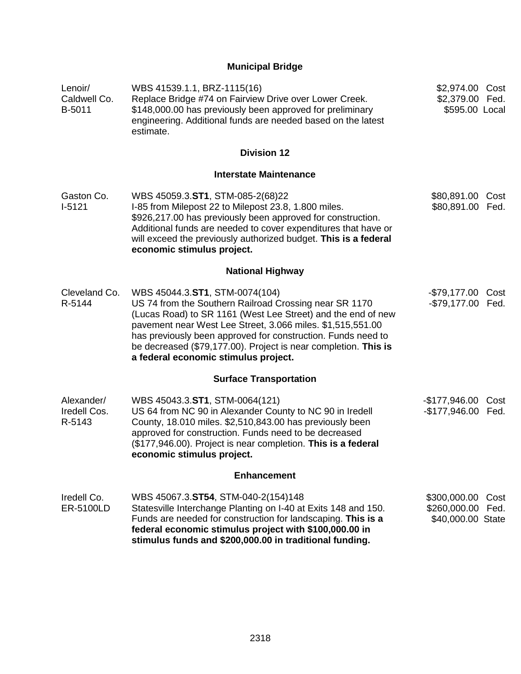# **Municipal Bridge**

| Lenoir/<br>Caldwell Co.<br>B-5011    | WBS 41539.1.1, BRZ-1115(16)<br>Replace Bridge #74 on Fairview Drive over Lower Creek.<br>\$148,000.00 has previously been approved for preliminary<br>engineering. Additional funds are needed based on the latest<br>estimate.                                                                                                                                                                   | \$2,974.00 Cost<br>\$2,379.00 Fed.<br>\$595.00 Local   |      |
|--------------------------------------|---------------------------------------------------------------------------------------------------------------------------------------------------------------------------------------------------------------------------------------------------------------------------------------------------------------------------------------------------------------------------------------------------|--------------------------------------------------------|------|
|                                      | <b>Division 12</b>                                                                                                                                                                                                                                                                                                                                                                                |                                                        |      |
|                                      | <b>Interstate Maintenance</b>                                                                                                                                                                                                                                                                                                                                                                     |                                                        |      |
| Gaston Co.<br>$I-5121$               | WBS 45059.3.ST1, STM-085-2(68)22<br>I-85 from Milepost 22 to Milepost 23.8, 1.800 miles.<br>\$926,217.00 has previously been approved for construction.<br>Additional funds are needed to cover expenditures that have or<br>will exceed the previously authorized budget. This is a federal<br>economic stimulus project.                                                                        | \$80,891.00 Cost<br>\$80,891.00 Fed.                   |      |
|                                      | <b>National Highway</b>                                                                                                                                                                                                                                                                                                                                                                           |                                                        |      |
| Cleveland Co.<br>R-5144              | WBS 45044.3.ST1, STM-0074(104)<br>US 74 from the Southern Railroad Crossing near SR 1170<br>(Lucas Road) to SR 1161 (West Lee Street) and the end of new<br>pavement near West Lee Street, 3.066 miles. \$1,515,551.00<br>has previously been approved for construction. Funds need to<br>be decreased (\$79,177.00). Project is near completion. This is<br>a federal economic stimulus project. | -\$79,177.00 Cost<br>-\$79,177.00 Fed.                 |      |
|                                      | <b>Surface Transportation</b>                                                                                                                                                                                                                                                                                                                                                                     |                                                        |      |
| Alexander/<br>Iredell Cos.<br>R-5143 | WBS 45043.3.ST1, STM-0064(121)<br>US 64 from NC 90 in Alexander County to NC 90 in Iredell<br>County, 18.010 miles. \$2,510,843.00 has previously been<br>approved for construction. Funds need to be decreased<br>(\$177,946.00). Project is near completion. This is a federal<br>economic stimulus project.                                                                                    | -\$177,946.00 Cost<br>-\$177,946.00 Fed.               |      |
|                                      | <b>Enhancement</b>                                                                                                                                                                                                                                                                                                                                                                                |                                                        |      |
| Iredell Co.<br><b>ER-5100LD</b>      | WBS 45067.3.ST54, STM-040-2(154)148<br>Statesville Interchange Planting on I-40 at Exits 148 and 150.<br>Funds are needed for construction for landscaping. This is a<br>federal economic stimulus project with \$100,000.00 in<br>stimulus funds and \$200,000.00 in traditional funding.                                                                                                        | \$300,000.00<br>\$260,000.00 Fed.<br>\$40,000.00 State | Cost |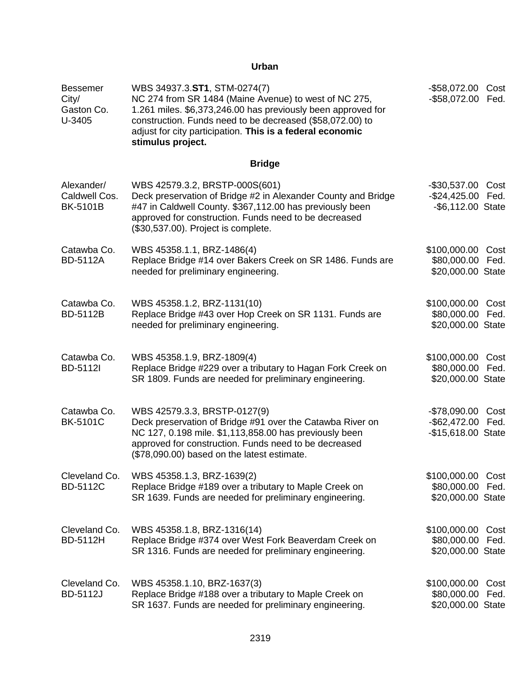# **Urban**

| <b>Bessemer</b><br>City/<br>Gaston Co.<br>U-3405 | WBS 34937.3.ST1, STM-0274(7)<br>NC 274 from SR 1484 (Maine Avenue) to west of NC 275,<br>1.261 miles. \$6,373,246.00 has previously been approved for<br>construction. Funds need to be decreased (\$58,072.00) to<br>adjust for city participation. This is a federal economic<br>stimulus project. | $-$ \$58,072.00<br>$-$ \$58,072.00                     | Cost<br>Fed. |
|--------------------------------------------------|------------------------------------------------------------------------------------------------------------------------------------------------------------------------------------------------------------------------------------------------------------------------------------------------------|--------------------------------------------------------|--------------|
|                                                  | <b>Bridge</b>                                                                                                                                                                                                                                                                                        |                                                        |              |
| Alexander/<br>Caldwell Cos.<br><b>BK-5101B</b>   | WBS 42579.3.2, BRSTP-000S(601)<br>Deck preservation of Bridge #2 in Alexander County and Bridge<br>#47 in Caldwell County. \$367,112.00 has previously been<br>approved for construction. Funds need to be decreased<br>(\$30,537.00). Project is complete.                                          | $-$30,537.00$<br>$-$ \$24,425.00<br>-\$6,112.00 State  | Cost<br>Fed. |
| Catawba Co.<br><b>BD-5112A</b>                   | WBS 45358.1.1, BRZ-1486(4)<br>Replace Bridge #14 over Bakers Creek on SR 1486. Funds are<br>needed for preliminary engineering.                                                                                                                                                                      | \$100,000.00 Cost<br>\$80,000.00<br>\$20,000.00 State  | Fed.         |
| Catawba Co.<br><b>BD-5112B</b>                   | WBS 45358.1.2, BRZ-1131(10)<br>Replace Bridge #43 over Hop Creek on SR 1131. Funds are<br>needed for preliminary engineering.                                                                                                                                                                        | \$100,000.00<br>\$80,000.00<br>\$20,000.00 State       | Cost<br>Fed. |
| Catawba Co.<br><b>BD-5112I</b>                   | WBS 45358.1.9, BRZ-1809(4)<br>Replace Bridge #229 over a tributary to Hagan Fork Creek on<br>SR 1809. Funds are needed for preliminary engineering.                                                                                                                                                  | \$100,000.00<br>\$80,000.00<br>\$20,000.00 State       | Cost<br>Fed. |
| Catawba Co.<br><b>BK-5101C</b>                   | WBS 42579.3.3, BRSTP-0127(9)<br>Deck preservation of Bridge #91 over the Catawba River on<br>NC 127, 0.198 mile. \$1,113,858.00 has previously been<br>approved for construction. Funds need to be decreased<br>(\$78,090.00) based on the latest estimate.                                          | $-$78,090.00$<br>$-$ \$62,472.00<br>-\$15,618.00 State | Cost<br>Fed. |
| Cleveland Co.<br><b>BD-5112C</b>                 | WBS 45358.1.3, BRZ-1639(2)<br>Replace Bridge #189 over a tributary to Maple Creek on<br>SR 1639. Funds are needed for preliminary engineering.                                                                                                                                                       | \$100,000.00<br>\$80,000.00<br>\$20,000.00 State       | Cost<br>Fed. |
| Cleveland Co.<br><b>BD-5112H</b>                 | WBS 45358.1.8, BRZ-1316(14)<br>Replace Bridge #374 over West Fork Beaverdam Creek on<br>SR 1316. Funds are needed for preliminary engineering.                                                                                                                                                       | \$100,000.00<br>\$80,000.00<br>\$20,000.00 State       | Cost<br>Fed. |
| Cleveland Co.<br><b>BD-5112J</b>                 | WBS 45358.1.10, BRZ-1637(3)<br>Replace Bridge #188 over a tributary to Maple Creek on<br>SR 1637. Funds are needed for preliminary engineering.                                                                                                                                                      | \$100,000.00<br>\$80,000.00<br>\$20,000.00 State       | Cost<br>Fed. |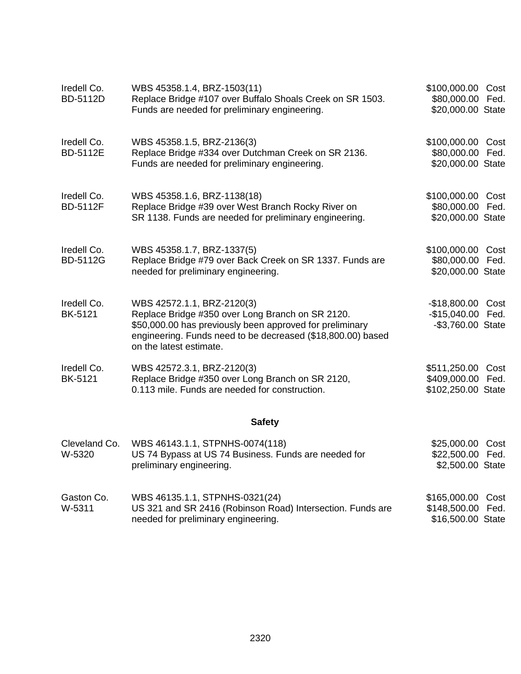| Iredell Co.<br><b>BD-5112D</b> | WBS 45358.1.4, BRZ-1503(11)<br>Replace Bridge #107 over Buffalo Shoals Creek on SR 1503.<br>Funds are needed for preliminary engineering.                                                                                            | \$100,000.00 Cost<br>\$80,000.00 Fed.<br>\$20,000.00 State   |
|--------------------------------|--------------------------------------------------------------------------------------------------------------------------------------------------------------------------------------------------------------------------------------|--------------------------------------------------------------|
| Iredell Co.<br>BD-5112E        | WBS 45358.1.5, BRZ-2136(3)<br>Replace Bridge #334 over Dutchman Creek on SR 2136.<br>Funds are needed for preliminary engineering.                                                                                                   | \$100,000.00 Cost<br>\$80,000.00 Fed.<br>\$20,000.00 State   |
| Iredell Co.<br><b>BD-5112F</b> | WBS 45358.1.6, BRZ-1138(18)<br>Replace Bridge #39 over West Branch Rocky River on<br>SR 1138. Funds are needed for preliminary engineering.                                                                                          | \$100,000.00 Cost<br>\$80,000.00 Fed.<br>\$20,000.00 State   |
| Iredell Co.<br><b>BD-5112G</b> | WBS 45358.1.7, BRZ-1337(5)<br>Replace Bridge #79 over Back Creek on SR 1337. Funds are<br>needed for preliminary engineering.                                                                                                        | \$100,000.00 Cost<br>\$80,000.00 Fed.<br>\$20,000.00 State   |
| Iredell Co.<br><b>BK-5121</b>  | WBS 42572.1.1, BRZ-2120(3)<br>Replace Bridge #350 over Long Branch on SR 2120.<br>\$50,000.00 has previously been approved for preliminary<br>engineering. Funds need to be decreased (\$18,800.00) based<br>on the latest estimate. | -\$18,800.00 Cost<br>-\$15,040.00 Fed.<br>-\$3,760.00 State  |
| Iredell Co.<br><b>BK-5121</b>  | WBS 42572.3.1, BRZ-2120(3)<br>Replace Bridge #350 over Long Branch on SR 2120,<br>0.113 mile. Funds are needed for construction.                                                                                                     | \$511,250.00 Cost<br>\$409,000.00 Fed.<br>\$102,250.00 State |
|                                | <b>Safety</b>                                                                                                                                                                                                                        |                                                              |
| Cleveland Co.<br>W-5320        | WBS 46143.1.1, STPNHS-0074(118)<br>US 74 Bypass at US 74 Business. Funds are needed for<br>preliminary engineering.                                                                                                                  | \$25,000.00 Cost<br>\$22,500.00 Fed.<br>\$2,500.00 State     |
| Gaston Co.<br>W-5311           | WBS 46135.1.1, STPNHS-0321(24)<br>US 321 and SR 2416 (Robinson Road) Intersection. Funds are<br>needed for preliminary engineering.                                                                                                  | \$165,000.00 Cost<br>\$148,500.00 Fed.<br>\$16,500.00 State  |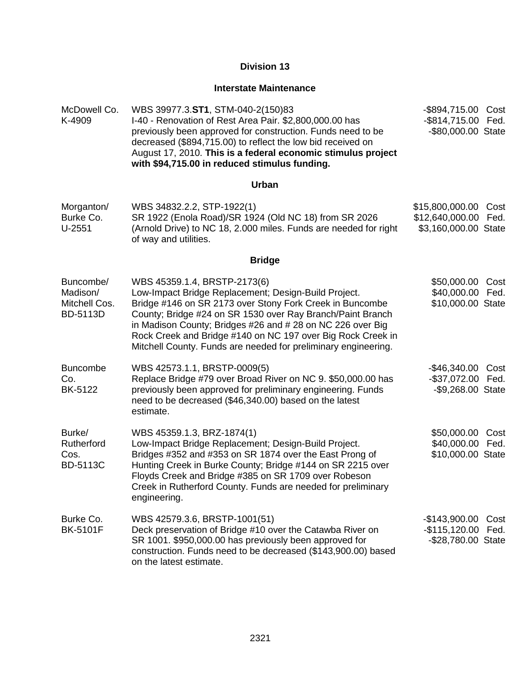#### **Interstate Maintenance**

McDowell Co. K-4909 WBS 39977.3.**ST1**, STM-040-2(150)83 I-40 - Renovation of Rest Area Pair. \$2,800,000.00 has previously been approved for construction. Funds need to be decreased (\$894,715.00) to reflect the low bid received on August 17, 2010. **This is a federal economic stimulus project with \$94,715.00 in reduced stimulus funding.** -\$894,715.00 Cost -\$814,715.00 Fed. -\$80,000.00 State

#### **Urban**

| Morganton/ | WBS 34832.2.2, STP-1922(1)                                       | \$15,800,000.00 Cost |  |
|------------|------------------------------------------------------------------|----------------------|--|
| Burke Co.  | SR 1922 (Enola Road)/SR 1924 (Old NC 18) from SR 2026            | \$12,640,000.00 Fed. |  |
| U-2551     | (Arnold Drive) to NC 18, 2.000 miles. Funds are needed for right | \$3,160,000.00 State |  |
|            | of way and utilities.                                            |                      |  |

## **Bridge**

| Buncombe/<br>Madison/<br>Mitchell Cos.<br><b>BD-5113D</b> | WBS 45359.1.4, BRSTP-2173(6)<br>Low-Impact Bridge Replacement; Design-Build Project.<br>Bridge #146 on SR 2173 over Stony Fork Creek in Buncombe<br>County; Bridge #24 on SR 1530 over Ray Branch/Paint Branch<br>in Madison County; Bridges #26 and # 28 on NC 226 over Big<br>Rock Creek and Bridge #140 on NC 197 over Big Rock Creek in<br>Mitchell County. Funds are needed for preliminary engineering. | \$50,000.00<br>\$40,000.00<br>\$10,000.00 State             | Cost<br>Fed. |
|-----------------------------------------------------------|---------------------------------------------------------------------------------------------------------------------------------------------------------------------------------------------------------------------------------------------------------------------------------------------------------------------------------------------------------------------------------------------------------------|-------------------------------------------------------------|--------------|
| <b>Buncombe</b><br>Co.<br>BK-5122                         | WBS 42573.1.1, BRSTP-0009(5)<br>Replace Bridge #79 over Broad River on NC 9. \$50,000.00 has<br>previously been approved for preliminary engineering. Funds<br>need to be decreased (\$46,340.00) based on the latest<br>estimate.                                                                                                                                                                            | -\$46,340.00 Cost<br>-\$37,072.00 Fed.<br>-\$9,268.00 State |              |
| Burke/<br>Rutherford<br>Cos.<br><b>BD-5113C</b>           | WBS 45359.1.3, BRZ-1874(1)<br>Low-Impact Bridge Replacement; Design-Build Project.<br>Bridges #352 and #353 on SR 1874 over the East Prong of<br>Hunting Creek in Burke County; Bridge #144 on SR 2215 over<br>Floyds Creek and Bridge #385 on SR 1709 over Robeson<br>Creek in Rutherford County. Funds are needed for preliminary<br>engineering.                                                           | \$50,000.00<br>\$40,000.00 Fed.<br>\$10,000.00 State        | Cost         |
| Burke Co.<br><b>BK-5101F</b>                              | WBS 42579.3.6, BRSTP-1001(51)<br>Deck preservation of Bridge #10 over the Catawba River on<br>SR 1001. \$950,000.00 has previously been approved for<br>construction. Funds need to be decreased (\$143,900.00) based<br>on the latest estimate.                                                                                                                                                              | $-$143,900.00$<br>-\$115,120.00 Fed.<br>-\$28,780.00 State  | Cost         |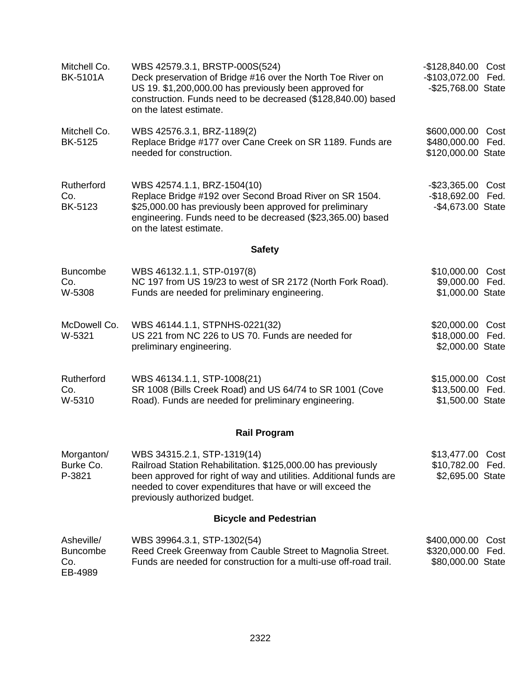| Mitchell Co.<br><b>BK-5101A</b>                 | WBS 42579.3.1, BRSTP-000S(524)<br>Deck preservation of Bridge #16 over the North Toe River on<br>US 19. \$1,200,000.00 has previously been approved for<br>construction. Funds need to be decreased (\$128,840.00) based<br>on the latest estimate.             | -\$128,840.00 Cost<br>-\$103,072.00 Fed.<br>-\$25,768.00 State |              |
|-------------------------------------------------|-----------------------------------------------------------------------------------------------------------------------------------------------------------------------------------------------------------------------------------------------------------------|----------------------------------------------------------------|--------------|
| Mitchell Co.<br>BK-5125                         | WBS 42576.3.1, BRZ-1189(2)<br>Replace Bridge #177 over Cane Creek on SR 1189. Funds are<br>needed for construction.                                                                                                                                             | \$600,000.00 Cost<br>\$480,000.00<br>\$120,000.00 State        | Fed.         |
| Rutherford<br>Co.<br><b>BK-5123</b>             | WBS 42574.1.1, BRZ-1504(10)<br>Replace Bridge #192 over Second Broad River on SR 1504.<br>\$25,000.00 has previously been approved for preliminary<br>engineering. Funds need to be decreased (\$23,365.00) based<br>on the latest estimate.                    | $-$ \$23,365.00<br>$-$18,692.00$<br>-\$4,673.00 State          | Cost<br>Fed. |
|                                                 | <b>Safety</b>                                                                                                                                                                                                                                                   |                                                                |              |
| <b>Buncombe</b><br>Co.<br>W-5308                | WBS 46132.1.1, STP-0197(8)<br>NC 197 from US 19/23 to west of SR 2172 (North Fork Road).<br>Funds are needed for preliminary engineering.                                                                                                                       | \$10,000.00 Cost<br>\$9,000.00 Fed.<br>\$1,000.00 State        |              |
| McDowell Co.<br>W-5321                          | WBS 46144.1.1, STPNHS-0221(32)<br>US 221 from NC 226 to US 70. Funds are needed for<br>preliminary engineering.                                                                                                                                                 | \$20,000.00 Cost<br>\$18,000.00 Fed.<br>\$2,000.00 State       |              |
| Rutherford<br>Co.<br>W-5310                     | WBS 46134.1.1, STP-1008(21)<br>SR 1008 (Bills Creek Road) and US 64/74 to SR 1001 (Cove<br>Road). Funds are needed for preliminary engineering.                                                                                                                 | \$15,000.00<br>\$13,500.00<br>\$1,500.00 State                 | Cost<br>Fed. |
|                                                 | <b>Rail Program</b>                                                                                                                                                                                                                                             |                                                                |              |
| Morganton/<br>Burke Co.<br>P-3821               | WBS 34315.2.1, STP-1319(14)<br>Railroad Station Rehabilitation. \$125,000.00 has previously<br>been approved for right of way and utilities. Additional funds are<br>needed to cover expenditures that have or will exceed the<br>previously authorized budget. | \$13,477.00<br>\$10,782.00 Fed.<br>\$2,695.00 State            | Cost         |
|                                                 | <b>Bicycle and Pedestrian</b>                                                                                                                                                                                                                                   |                                                                |              |
| Asheville/<br><b>Buncombe</b><br>Co.<br>EB-4989 | WBS 39964.3.1, STP-1302(54)<br>Reed Creek Greenway from Cauble Street to Magnolia Street.<br>Funds are needed for construction for a multi-use off-road trail.                                                                                                  | \$400,000.00<br>\$320,000.00 Fed.<br>\$80,000.00 State         | Cost         |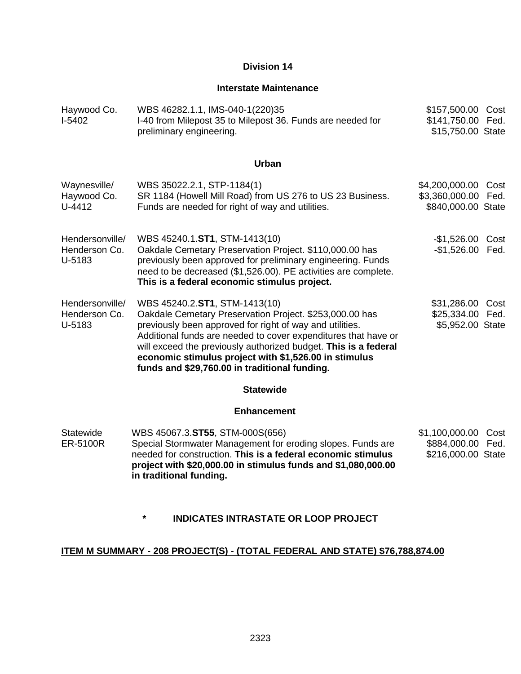## **Interstate Maintenance**

| Haywood Co.<br>$I-5402$                    | WBS 46282.1.1, IMS-040-1(220)35<br>I-40 from Milepost 35 to Milepost 36. Funds are needed for<br>preliminary engineering.                                                                                                                                                                                                                                                                           | \$157,500.00 Cost<br>\$141,750.00 Fed.<br>\$15,750.00 State      |      |
|--------------------------------------------|-----------------------------------------------------------------------------------------------------------------------------------------------------------------------------------------------------------------------------------------------------------------------------------------------------------------------------------------------------------------------------------------------------|------------------------------------------------------------------|------|
|                                            | <b>Urban</b>                                                                                                                                                                                                                                                                                                                                                                                        |                                                                  |      |
| Waynesville/<br>Haywood Co.<br>U-4412      | WBS 35022.2.1, STP-1184(1)<br>SR 1184 (Howell Mill Road) from US 276 to US 23 Business.<br>Funds are needed for right of way and utilities.                                                                                                                                                                                                                                                         | \$4,200,000.00 Cost<br>\$3,360,000.00 Fed.<br>\$840,000.00 State |      |
| Hendersonville/<br>Henderson Co.<br>U-5183 | WBS 45240.1.ST1, STM-1413(10)<br>Oakdale Cemetary Preservation Project. \$110,000.00 has<br>previously been approved for preliminary engineering. Funds<br>need to be decreased (\$1,526.00). PE activities are complete.<br>This is a federal economic stimulus project.                                                                                                                           | -\$1,526.00 Cost<br>-\$1,526.00 Fed.                             |      |
| Hendersonville/<br>Henderson Co.<br>U-5183 | WBS 45240.2.ST1, STM-1413(10)<br>Oakdale Cemetary Preservation Project. \$253,000.00 has<br>previously been approved for right of way and utilities.<br>Additional funds are needed to cover expenditures that have or<br>will exceed the previously authorized budget. This is a federal<br>economic stimulus project with \$1,526.00 in stimulus<br>funds and \$29,760.00 in traditional funding. | \$31,286.00 Cost<br>\$25,334.00 Fed.<br>\$5,952.00 State         |      |
|                                            | <b>Statewide</b>                                                                                                                                                                                                                                                                                                                                                                                    |                                                                  |      |
|                                            | <b>Enhancement</b>                                                                                                                                                                                                                                                                                                                                                                                  |                                                                  |      |
| Statewide<br><b>ER-5100R</b>               | WBS 45067.3.ST55, STM-000S(656)<br>Special Stormwater Management for eroding slopes. Funds are<br>needed for construction. This is a federal economic stimulus<br>project with \$20,000.00 in stimulus funds and \$1,080,000.00<br>in traditional funding.                                                                                                                                          | \$1,100,000.00<br>\$884,000.00 Fed.<br>\$216,000.00 State        | Cost |

# **\* INDICATES INTRASTATE OR LOOP PROJECT**

# **ITEM M SUMMARY - 208 PROJECT(S) - (TOTAL FEDERAL AND STATE) \$76,788,874.00**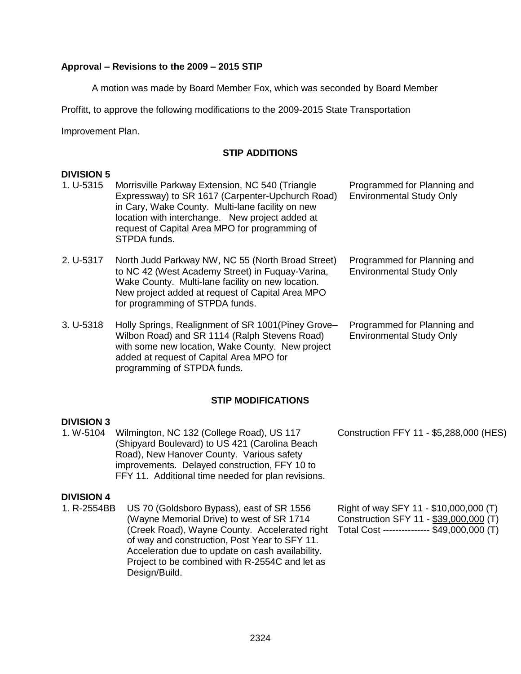## **Approval – Revisions to the 2009 – 2015 STIP**

A motion was made by Board Member Fox, which was seconded by Board Member

Proffitt, to approve the following modifications to the 2009-2015 State Transportation

Improvement Plan.

## **STIP ADDITIONS**

#### **DIVISION 5**

| 1. U-5315     | Morrisville Parkway Extension, NC 540 (Triangle<br>Expressway) to SR 1617 (Carpenter-Upchurch Road)<br>in Cary, Wake County. Multi-lane facility on new<br>location with interchange. New project added at<br>request of Capital Area MPO for programming of<br>STPDA funds. | Programmed for Planning and<br><b>Environmental Study Only</b> |
|---------------|------------------------------------------------------------------------------------------------------------------------------------------------------------------------------------------------------------------------------------------------------------------------------|----------------------------------------------------------------|
| 2. U-5317     | North Judd Parkway NW, NC 55 (North Broad Street)<br>to NC 42 (West Academy Street) in Fuguay-Varina,<br>Wake County. Multi-lane facility on new location.<br>New project added at request of Capital Area MPO<br>for programming of STPDA funds.                            | Programmed for Planning and<br><b>Environmental Study Only</b> |
| $3. U - 5318$ | Holly Springs, Realignment of SR 1001 (Piney Grove-<br>Wilbon Road) and SR 1114 (Ralph Stevens Road)<br>with some new location, Wake County. New project                                                                                                                     | Programmed for Planning and<br><b>Environmental Study Only</b> |

## **STIP MODIFICATIONS**

## **DIVISION 3**

1. W-5104 Wilmington, NC 132 (College Road), US 117 (Shipyard Boulevard) to US 421 (Carolina Beach Road), New Hanover County. Various safety improvements. Delayed construction, FFY 10 to FFY 11. Additional time needed for plan revisions.

added at request of Capital Area MPO for

programming of STPDA funds.

#### **DIVISION 4**

1. R-2554BB US 70 (Goldsboro Bypass), east of SR 1556 (Wayne Memorial Drive) to west of SR 1714 (Creek Road), Wayne County. Accelerated right of way and construction, Post Year to SFY 11. Acceleration due to update on cash availability. Project to be combined with R-2554C and let as Design/Build.

Construction FFY 11 - \$5,288,000 (HES)

Right of way SFY 11 - \$10,000,000 (T) Construction SFY 11 - \$39,000,000 (T) Total Cost --------------- \$49,000,000 (T)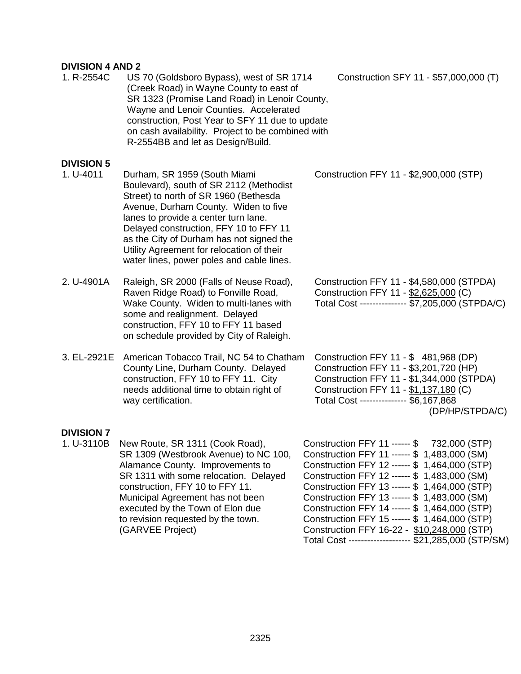# **DIVISION 4 AND 2**

| וח ד וטוטואוע     |                                                                                                                                                                                                                                                                                                                                                                                  |                                                                                                                                                                                                                                                                                                                                                                                                                                                   |
|-------------------|----------------------------------------------------------------------------------------------------------------------------------------------------------------------------------------------------------------------------------------------------------------------------------------------------------------------------------------------------------------------------------|---------------------------------------------------------------------------------------------------------------------------------------------------------------------------------------------------------------------------------------------------------------------------------------------------------------------------------------------------------------------------------------------------------------------------------------------------|
| 1. R-2554C        | US 70 (Goldsboro Bypass), west of SR 1714<br>(Creek Road) in Wayne County to east of<br>SR 1323 (Promise Land Road) in Lenoir County,<br>Wayne and Lenoir Counties. Accelerated<br>construction, Post Year to SFY 11 due to update<br>on cash availability. Project to be combined with<br>R-2554BB and let as Design/Build.                                                     | Construction SFY 11 - \$57,000,000 (T)                                                                                                                                                                                                                                                                                                                                                                                                            |
| <b>DIVISION 5</b> |                                                                                                                                                                                                                                                                                                                                                                                  |                                                                                                                                                                                                                                                                                                                                                                                                                                                   |
| 1. U-4011         | Durham, SR 1959 (South Miami<br>Boulevard), south of SR 2112 (Methodist<br>Street) to north of SR 1960 (Bethesda<br>Avenue, Durham County. Widen to five<br>lanes to provide a center turn lane.<br>Delayed construction, FFY 10 to FFY 11<br>as the City of Durham has not signed the<br>Utility Agreement for relocation of their<br>water lines, power poles and cable lines. | Construction FFY 11 - \$2,900,000 (STP)                                                                                                                                                                                                                                                                                                                                                                                                           |
| 2. U-4901A        | Raleigh, SR 2000 (Falls of Neuse Road),<br>Raven Ridge Road) to Fonville Road,<br>Wake County. Widen to multi-lanes with<br>some and realignment. Delayed<br>construction, FFY 10 to FFY 11 based<br>on schedule provided by City of Raleigh.                                                                                                                                    | Construction FFY 11 - \$4,580,000 (STPDA)<br>Construction FFY 11 - \$2,625,000 (C)<br>Total Cost -------------- \$7,205,000 (STPDA/C)                                                                                                                                                                                                                                                                                                             |
| 3. EL-2921E       | American Tobacco Trail, NC 54 to Chatham<br>County Line, Durham County. Delayed<br>construction, FFY 10 to FFY 11. City<br>needs additional time to obtain right of<br>way certification.                                                                                                                                                                                        | Construction FFY 11 - \$481,968 (DP)<br>Construction FFY 11 - \$3,201,720 (HP)<br>Construction FFY 11 - \$1,344,000 (STPDA)<br>Construction FFY 11 - \$1,137,180 (C)<br>Total Cost -------------- \$6,167,868<br>(DP/HP/STPDA/C)                                                                                                                                                                                                                  |
| <b>DIVISION 7</b> |                                                                                                                                                                                                                                                                                                                                                                                  |                                                                                                                                                                                                                                                                                                                                                                                                                                                   |
| 1. U-3110B        | New Route, SR 1311 (Cook Road),<br>SR 1309 (Westbrook Avenue) to NC 100,<br>Alamance County. Improvements to<br>SR 1311 with some relocation. Delayed<br>construction, FFY 10 to FFY 11.<br>Municipal Agreement has not been<br>executed by the Town of Elon due<br>to revision requested by the town.<br>(GARVEE Project)                                                       | Construction FFY 11 ------ \$<br>732,000 (STP)<br>Construction FFY 11 ------ \$ 1,483,000 (SM)<br>Construction FFY 12 ------ \$ 1,464,000 (STP)<br>Construction FFY 12 ------ \$ 1,483,000 (SM)<br>Construction FFY 13 ------ \$ 1,464,000 (STP)<br>Construction FFY 13 ------ \$ 1,483,000 (SM)<br>Construction FFY 14 ------ \$ 1,464,000 (STP)<br>Construction FFY 15 ------ \$ 1,464,000 (STP)<br>Construction FFY 16-22 - \$10,248,000 (STP) |

Total Cost -------------------- \$21,285,000 (STP/SM)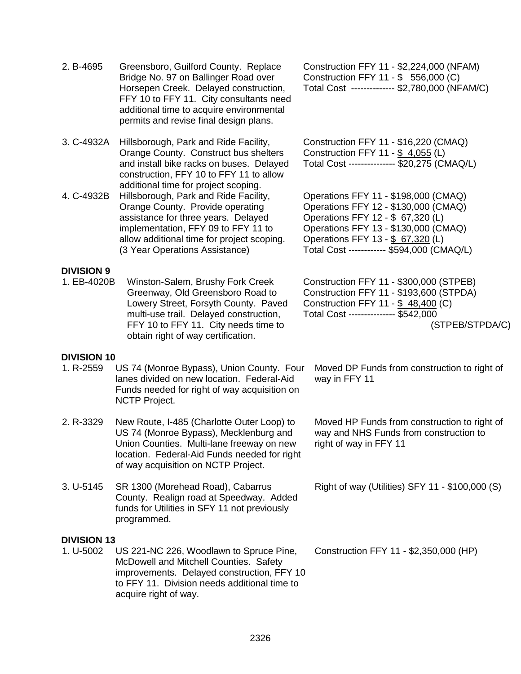| 2. B-4695                        | Greensboro, Guilford County. Replace<br>Bridge No. 97 on Ballinger Road over<br>Horsepen Creek. Delayed construction,<br>FFY 10 to FFY 11. City consultants need<br>additional time to acquire environmental<br>permits and revise final design plans. | Construction FFY 11 - \$2,224,000 (NFAM)<br>Construction FFY 11 - \$ 556,000 (C)<br>Total Cost ------------- \$2,780,000 (NFAM/C)                                                                                                           |
|----------------------------------|--------------------------------------------------------------------------------------------------------------------------------------------------------------------------------------------------------------------------------------------------------|---------------------------------------------------------------------------------------------------------------------------------------------------------------------------------------------------------------------------------------------|
| 3. C-4932A                       | Hillsborough, Park and Ride Facility,<br>Orange County. Construct bus shelters<br>and install bike racks on buses. Delayed<br>construction, FFY 10 to FFY 11 to allow<br>additional time for project scoping.                                          | Construction FFY 11 - \$16,220 (CMAQ)<br>Construction FFY 11 - \$ 4,055 (L)<br>Total Cost -------------- \$20,275 (CMAQ/L)                                                                                                                  |
| 4. C-4932B                       | Hillsborough, Park and Ride Facility,<br>Orange County. Provide operating<br>assistance for three years. Delayed<br>implementation, FFY 09 to FFY 11 to<br>allow additional time for project scoping.<br>(3 Year Operations Assistance)                | Operations FFY 11 - \$198,000 (CMAQ)<br>Operations FFY 12 - \$130,000 (CMAQ)<br>Operations FFY 12 - \$ 67,320 (L)<br>Operations FFY 13 - \$130,000 (CMAQ)<br>Operations FFY 13 - \$ 67,320 (L)<br>Total Cost ----------- \$594,000 (CMAQ/L) |
| <b>DIVISION 9</b><br>1. EB-4020B | Winston-Salem, Brushy Fork Creek<br>Greenway, Old Greensboro Road to<br>Lowery Street, Forsyth County. Paved<br>multi-use trail. Delayed construction,<br>FFY 10 to FFY 11. City needs time to<br>obtain right of way certification.                   | Construction FFY 11 - \$300,000 (STPEB)<br>Construction FFY 11 - \$193,600 (STPDA)<br>Construction FFY 11 - \$48,400 (C)<br>Total Cost -------------- \$542,000<br>(STPEB/STPDA/C)                                                          |
| <b>DIVISION 10</b><br>1. R-2559  | US 74 (Monroe Bypass), Union County. Four<br>lanes divided on new location. Federal-Aid<br>Funds needed for right of way acquisition on<br><b>NCTP Project.</b>                                                                                        | Moved DP Funds from construction to right of<br>way in FFY 11                                                                                                                                                                               |
| 2. R-3329                        | New Route, I-485 (Charlotte Outer Loop) to<br>US 74 (Monroe Bypass), Mecklenburg and<br>Union Counties. Multi-lane freeway on new<br>location. Federal-Aid Funds needed for right<br>of way acquisition on NCTP Project.                               | Moved HP Funds from construction to right of<br>way and NHS Funds from construction to<br>right of way in FFY 11                                                                                                                            |
| 3. U-5145                        | SR 1300 (Morehead Road), Cabarrus<br>County. Realign road at Speedway. Added<br>funds for Utilities in SFY 11 not previously<br>programmed.                                                                                                            | Right of way (Utilities) SFY 11 - \$100,000 (S)                                                                                                                                                                                             |
| <b>DIVISION 13</b><br>1. U-5002  | US 221-NC 226, Woodlawn to Spruce Pine,<br>McDowell and Mitchell Counties. Safety<br>improvements. Delayed construction, FFY 10<br>to FFY 11. Division needs additional time to<br>acquire right of way.                                               | Construction FFY 11 - \$2,350,000 (HP)                                                                                                                                                                                                      |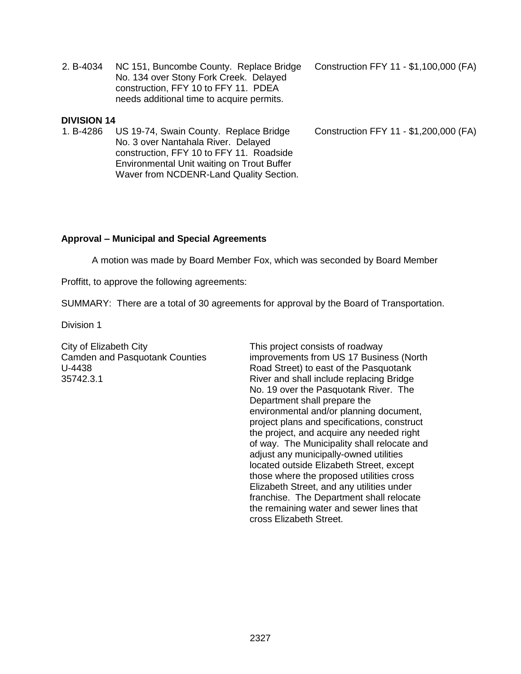2. B-4034 NC 151, Buncombe County. Replace Bridge No. 134 over Stony Fork Creek. Delayed construction, FFY 10 to FFY 11. PDEA needs additional time to acquire permits.

#### **DIVISION 14**

1. B-4286 US 19-74, Swain County. Replace Bridge No. 3 over Nantahala River. Delayed construction, FFY 10 to FFY 11. Roadside Environmental Unit waiting on Trout Buffer Waver from NCDENR-Land Quality Section. Construction FFY 11 - \$1,100,000 (FA)

Construction FFY 11 - \$1,200,000 (FA)

#### **Approval – Municipal and Special Agreements**

A motion was made by Board Member Fox, which was seconded by Board Member

Proffitt, to approve the following agreements:

SUMMARY: There are a total of 30 agreements for approval by the Board of Transportation.

Division 1

City of Elizabeth City Camden and Pasquotank Counties U-4438 35742.3.1

This project consists of roadway improvements from US 17 Business (North Road Street) to east of the Pasquotank River and shall include replacing Bridge No. 19 over the Pasquotank River. The Department shall prepare the environmental and/or planning document, project plans and specifications, construct the project, and acquire any needed right of way. The Municipality shall relocate and adjust any municipally-owned utilities located outside Elizabeth Street, except those where the proposed utilities cross Elizabeth Street, and any utilities under franchise. The Department shall relocate the remaining water and sewer lines that cross Elizabeth Street.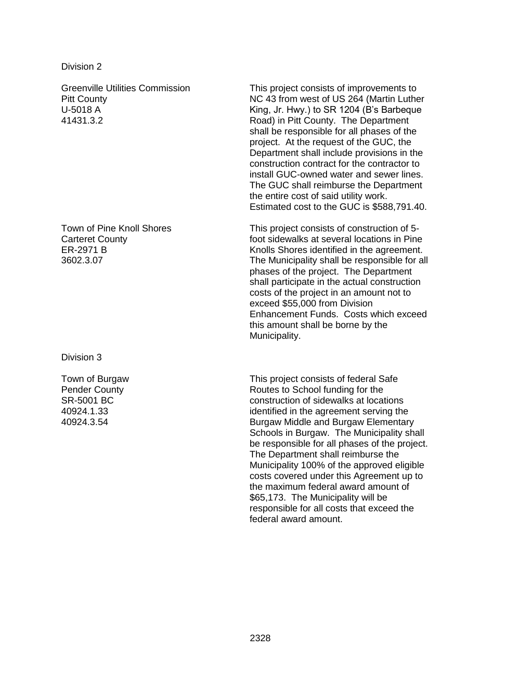Greenville Utilities Commission Pitt County U-5018 A 41431.3.2

Town of Pine Knoll Shores Carteret County ER-2971 B 3602.3.07

Division 3

Town of Burgaw Pender County SR-5001 BC 40924.1.33 40924.3.54

This project consists of improvements to NC 43 from west of US 264 (Martin Luther King, Jr. Hwy.) to SR 1204 (B's Barbeque Road) in Pitt County. The Department shall be responsible for all phases of the project. At the request of the GUC, the Department shall include provisions in the construction contract for the contractor to install GUC-owned water and sewer lines. The GUC shall reimburse the Department the entire cost of said utility work. Estimated cost to the GUC is \$588,791.40.

This project consists of construction of 5 foot sidewalks at several locations in Pine Knolls Shores identified in the agreement. The Municipality shall be responsible for all phases of the project. The Department shall participate in the actual construction costs of the project in an amount not to exceed \$55,000 from Division Enhancement Funds. Costs which exceed this amount shall be borne by the Municipality.

This project consists of federal Safe Routes to School funding for the construction of sidewalks at locations identified in the agreement serving the Burgaw Middle and Burgaw Elementary Schools in Burgaw. The Municipality shall be responsible for all phases of the project. The Department shall reimburse the Municipality 100% of the approved eligible costs covered under this Agreement up to the maximum federal award amount of \$65,173. The Municipality will be responsible for all costs that exceed the federal award amount.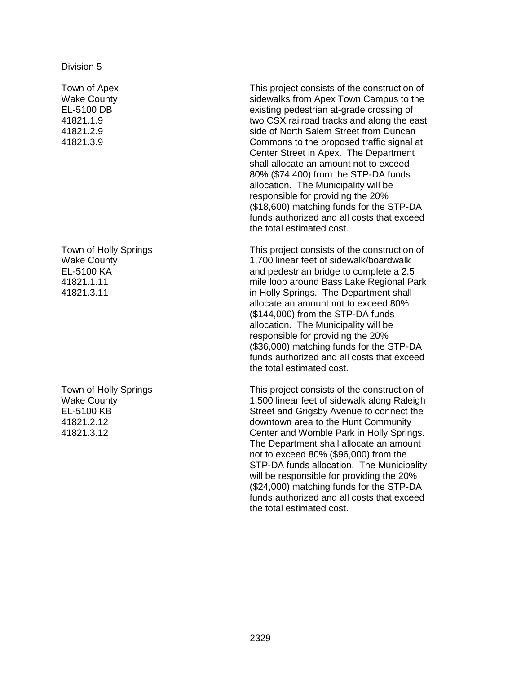Town of Apex Wake County EL-5100 DB 41821.1.9 41821.2.9 41821.3.9

Town of Holly Springs Wake County EL-5100 KA 41821.1.11 41821.3.11

Town of Holly Springs Wake County EL-5100 KB 41821.2.12 41821.3.12

This project consists of the construction of sidewalks from Apex Town Campus to the existing pedestrian at-grade crossing of two CSX railroad tracks and along the east side of North Salem Street from Duncan Commons to the proposed traffic signal at Center Street in Apex. The Department shall allocate an amount not to exceed 80% (\$74,400) from the STP-DA funds allocation. The Municipality will be responsible for providing the 20% (\$18,600) matching funds for the STP-DA funds authorized and all costs that exceed the total estimated cost.

This project consists of the construction of 1,700 linear feet of sidewalk/boardwalk and pedestrian bridge to complete a 2.5 mile loop around Bass Lake Regional Park in Holly Springs. The Department shall allocate an amount not to exceed 80% (\$144,000) from the STP-DA funds allocation. The Municipality will be responsible for providing the 20% (\$36,000) matching funds for the STP-DA funds authorized and all costs that exceed the total estimated cost.

This project consists of the construction of 1,500 linear feet of sidewalk along Raleigh Street and Grigsby Avenue to connect the downtown area to the Hunt Community Center and Womble Park in Holly Springs. The Department shall allocate an amount not to exceed 80% (\$96,000) from the STP-DA funds allocation. The Municipality will be responsible for providing the 20% (\$24,000) matching funds for the STP-DA funds authorized and all costs that exceed the total estimated cost.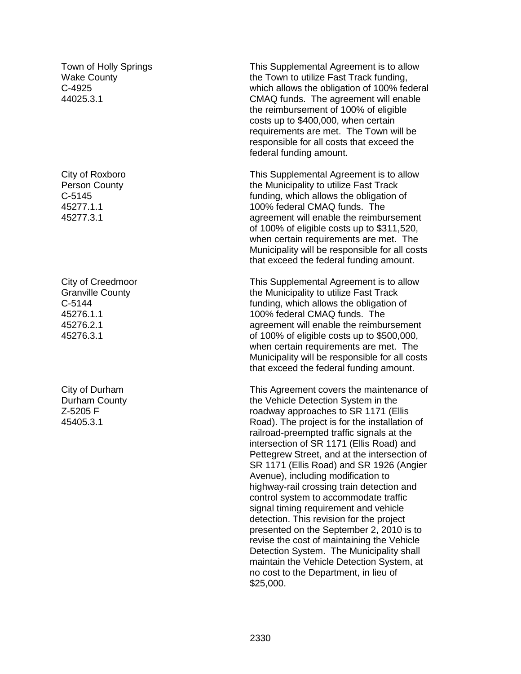Town of Holly Springs Wake County C-4925 44025.3.1

City of Roxboro Person County C-5145 45277.1.1 45277.3.1

City of Creedmoor Granville County C-5144 45276.1.1 45276.2.1 45276.3.1

City of Durham Durham County Z-5205 F 45405.3.1

This Supplemental Agreement is to allow the Town to utilize Fast Track funding, which allows the obligation of 100% federal CMAQ funds. The agreement will enable the reimbursement of 100% of eligible costs up to \$400,000, when certain requirements are met. The Town will be responsible for all costs that exceed the federal funding amount.

This Supplemental Agreement is to allow the Municipality to utilize Fast Track funding, which allows the obligation of 100% federal CMAQ funds. The agreement will enable the reimbursement of 100% of eligible costs up to \$311,520, when certain requirements are met. The Municipality will be responsible for all costs that exceed the federal funding amount.

This Supplemental Agreement is to allow the Municipality to utilize Fast Track funding, which allows the obligation of 100% federal CMAQ funds. The agreement will enable the reimbursement of 100% of eligible costs up to \$500,000, when certain requirements are met. The Municipality will be responsible for all costs that exceed the federal funding amount.

This Agreement covers the maintenance of the Vehicle Detection System in the roadway approaches to SR 1171 (Ellis Road). The project is for the installation of railroad-preempted traffic signals at the intersection of SR 1171 (Ellis Road) and Pettegrew Street, and at the intersection of SR 1171 (Ellis Road) and SR 1926 (Angier Avenue), including modification to highway-rail crossing train detection and control system to accommodate traffic signal timing requirement and vehicle detection. This revision for the project presented on the September 2, 2010 is to revise the cost of maintaining the Vehicle Detection System. The Municipality shall maintain the Vehicle Detection System, at no cost to the Department, in lieu of \$25,000.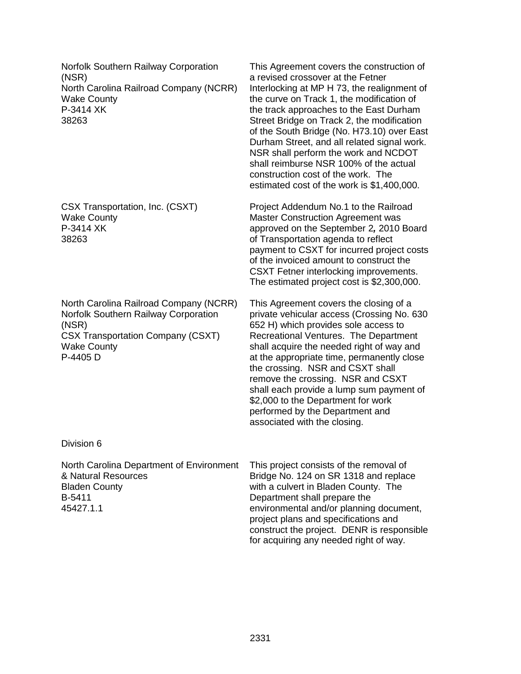Norfolk Southern Railway Corporation (NSR) North Carolina Railroad Company (NCRR) Wake County P-3414 XK 38263

CSX Transportation, Inc. (CSXT) Wake County P-3414 XK 38263

North Carolina Railroad Company (NCRR) Norfolk Southern Railway Corporation (NSR) CSX Transportation Company (CSXT) Wake County P-4405 D

This Agreement covers the construction of a revised crossover at the Fetner Interlocking at MP H 73, the realignment of the curve on Track 1, the modification of the track approaches to the East Durham Street Bridge on Track 2, the modification of the South Bridge (No. H73.10) over East Durham Street, and all related signal work. NSR shall perform the work and NCDOT shall reimburse NSR 100% of the actual construction cost of the work. The estimated cost of the work is \$1,400,000.

Project Addendum No.1 to the Railroad Master Construction Agreement was approved on the September 2*,* 2010 Board of Transportation agenda to reflect payment to CSXT for incurred project costs of the invoiced amount to construct the CSXT Fetner interlocking improvements. The estimated project cost is \$2,300,000.

This Agreement covers the closing of a private vehicular access (Crossing No. 630 652 H) which provides sole access to Recreational Ventures. The Department shall acquire the needed right of way and at the appropriate time, permanently close the crossing. NSR and CSXT shall remove the crossing. NSR and CSXT shall each provide a lump sum payment of \$2,000 to the Department for work performed by the Department and associated with the closing.

Division 6

North Carolina Department of Environment & Natural Resources Bladen County B-5411 45427.1.1

This project consists of the removal of Bridge No. 124 on SR 1318 and replace with a culvert in Bladen County. The Department shall prepare the environmental and/or planning document, project plans and specifications and construct the project. DENR is responsible for acquiring any needed right of way.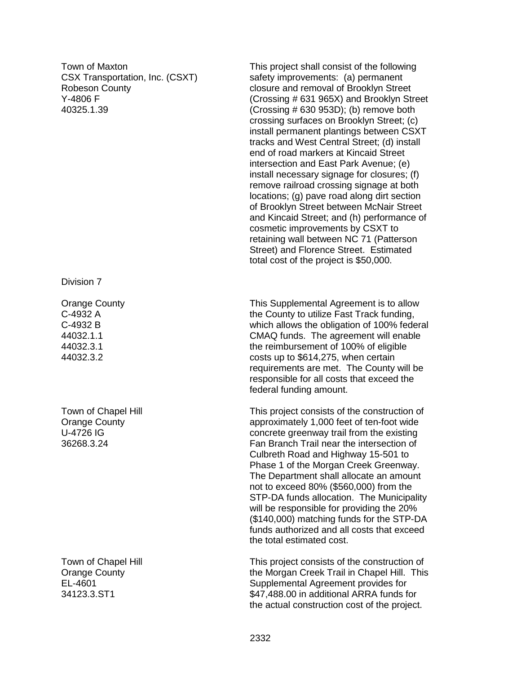Town of Maxton CSX Transportation, Inc. (CSXT) Robeson County Y-4806 F 40325.1.39

Division 7

Orange County C-4932 A C-4932 B 44032.1.1 44032.3.1 44032.3.2

Town of Chapel Hill Orange County U-4726 IG 36268.3.24

Town of Chapel Hill Orange County EL-4601 34123.3.ST1

This project shall consist of the following safety improvements: (a) permanent closure and removal of Brooklyn Street (Crossing # 631 965X) and Brooklyn Street  $(Crossing # 630 953D);$  (b) remove both crossing surfaces on Brooklyn Street; (c) install permanent plantings between CSXT tracks and West Central Street; (d) install end of road markers at Kincaid Street intersection and East Park Avenue; (e) install necessary signage for closures; (f) remove railroad crossing signage at both locations; (g) pave road along dirt section of Brooklyn Street between McNair Street and Kincaid Street; and (h) performance of cosmetic improvements by CSXT to retaining wall between NC 71 (Patterson Street) and Florence Street. Estimated total cost of the project is \$50,000.

This Supplemental Agreement is to allow the County to utilize Fast Track funding, which allows the obligation of 100% federal CMAQ funds. The agreement will enable the reimbursement of 100% of eligible costs up to \$614,275, when certain requirements are met. The County will be responsible for all costs that exceed the federal funding amount.

This project consists of the construction of approximately 1,000 feet of ten-foot wide concrete greenway trail from the existing Fan Branch Trail near the intersection of Culbreth Road and Highway 15-501 to Phase 1 of the Morgan Creek Greenway. The Department shall allocate an amount not to exceed 80% (\$560,000) from the STP-DA funds allocation. The Municipality will be responsible for providing the 20% (\$140,000) matching funds for the STP-DA funds authorized and all costs that exceed the total estimated cost.

This project consists of the construction of the Morgan Creek Trail in Chapel Hill. This Supplemental Agreement provides for \$47,488.00 in additional ARRA funds for the actual construction cost of the project.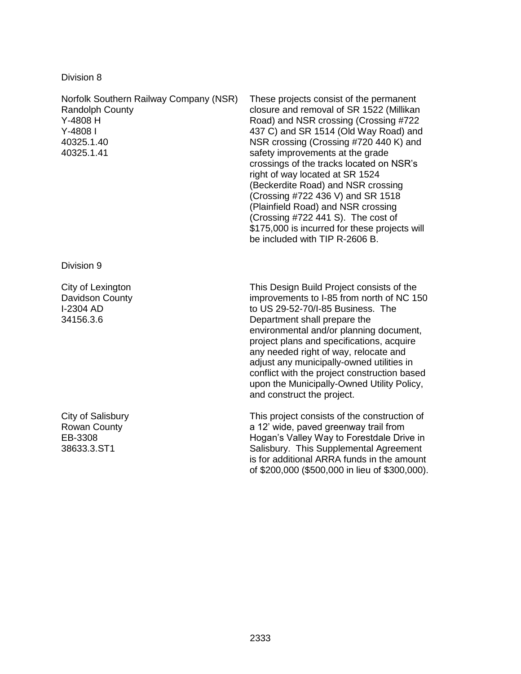Norfolk Southern Railway Company (NSR) Randolph County Y-4808 H Y-4808 I 40325.1.40 40325.1.41

Division 9

City of Lexington Davidson County I-2304 AD 34156.3.6

City of Salisbury Rowan County EB-3308 38633.3.ST1

These projects consist of the permanent closure and removal of SR 1522 (Millikan Road) and NSR crossing (Crossing #722 437 C) and SR 1514 (Old Way Road) and NSR crossing (Crossing #720 440 K) and safety improvements at the grade crossings of the tracks located on NSR's right of way located at SR 1524 (Beckerdite Road) and NSR crossing (Crossing #722 436 V) and SR 1518 (Plainfield Road) and NSR crossing (Crossing #722 441 S). The cost of \$175,000 is incurred for these projects will be included with TIP R-2606 B.

This Design Build Project consists of the improvements to I-85 from north of NC 150 to US 29-52-70/I-85 Business. The Department shall prepare the environmental and/or planning document, project plans and specifications, acquire any needed right of way, relocate and adjust any municipally-owned utilities in conflict with the project construction based upon the Municipally-Owned Utility Policy, and construct the project.

This project consists of the construction of a 12' wide, paved greenway trail from Hogan's Valley Way to Forestdale Drive in Salisbury. This Supplemental Agreement is for additional ARRA funds in the amount of \$200,000 (\$500,000 in lieu of \$300,000).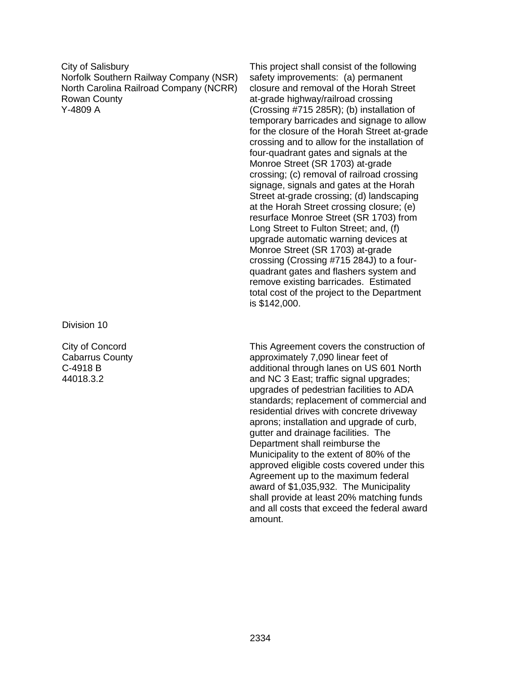City of Salisbury Norfolk Southern Railway Company (NSR) North Carolina Railroad Company (NCRR) Rowan County Y-4809 A

Division 10

City of Concord Cabarrus County C-4918 B 44018.3.2

This project shall consist of the following safety improvements: (a) permanent closure and removal of the Horah Street at-grade highway/railroad crossing (Crossing #715 285R); (b) installation of temporary barricades and signage to allow for the closure of the Horah Street at-grade crossing and to allow for the installation of four-quadrant gates and signals at the Monroe Street (SR 1703) at-grade crossing; (c) removal of railroad crossing signage, signals and gates at the Horah Street at-grade crossing; (d) landscaping at the Horah Street crossing closure; (e) resurface Monroe Street (SR 1703) from Long Street to Fulton Street; and, (f) upgrade automatic warning devices at Monroe Street (SR 1703) at-grade crossing (Crossing #715 284J) to a fourquadrant gates and flashers system and remove existing barricades. Estimated total cost of the project to the Department is \$142,000.

This Agreement covers the construction of approximately 7,090 linear feet of additional through lanes on US 601 North and NC 3 East; traffic signal upgrades; upgrades of pedestrian facilities to ADA standards; replacement of commercial and residential drives with concrete driveway aprons; installation and upgrade of curb, gutter and drainage facilities. The Department shall reimburse the Municipality to the extent of 80% of the approved eligible costs covered under this Agreement up to the maximum federal award of \$1,035,932. The Municipality shall provide at least 20% matching funds and all costs that exceed the federal award amount.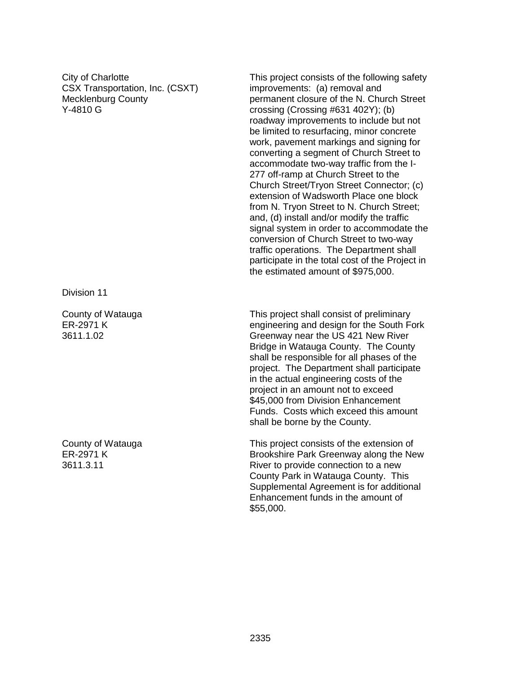City of Charlotte CSX Transportation, Inc. (CSXT) Mecklenburg County Y-4810 G

Division 11

County of Watauga ER-2971 K 3611.1.02

County of Watauga ER-2971 K 3611.3.11

This project consists of the following safety improvements: (a) removal and permanent closure of the N. Church Street crossing (Crossing #631 402Y); (b) roadway improvements to include but not be limited to resurfacing, minor concrete work, pavement markings and signing for converting a segment of Church Street to accommodate two-way traffic from the I-277 off-ramp at Church Street to the Church Street/Tryon Street Connector; (c) extension of Wadsworth Place one block from N. Tryon Street to N. Church Street; and, (d) install and/or modify the traffic signal system in order to accommodate the conversion of Church Street to two-way traffic operations. The Department shall participate in the total cost of the Project in the estimated amount of \$975,000.

This project shall consist of preliminary engineering and design for the South Fork Greenway near the US 421 New River Bridge in Watauga County. The County shall be responsible for all phases of the project. The Department shall participate in the actual engineering costs of the project in an amount not to exceed \$45,000 from Division Enhancement Funds. Costs which exceed this amount shall be borne by the County.

This project consists of the extension of Brookshire Park Greenway along the New River to provide connection to a new County Park in Watauga County. This Supplemental Agreement is for additional Enhancement funds in the amount of \$55,000.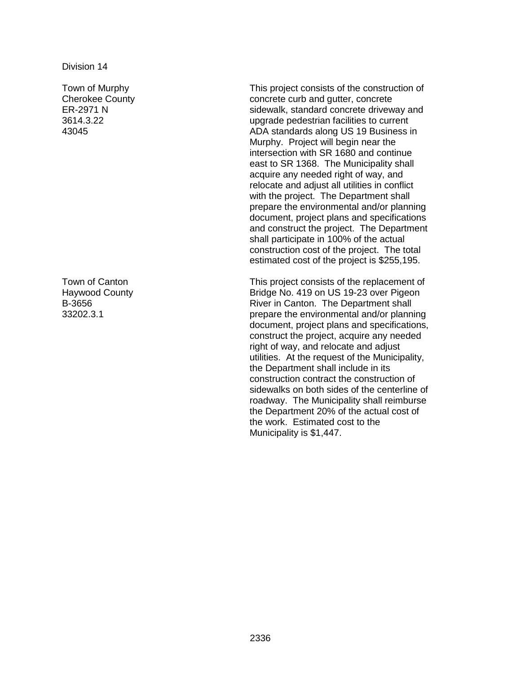Town of Murphy Cherokee County ER-2971 N 3614.3.22 43045

Town of Canton Haywood County B-3656 33202.3.1

This project consists of the construction of concrete curb and gutter, concrete sidewalk, standard concrete driveway and upgrade pedestrian facilities to current ADA standards along US 19 Business in Murphy. Project will begin near the intersection with SR 1680 and continue east to SR 1368. The Municipality shall acquire any needed right of way, and relocate and adjust all utilities in conflict with the project. The Department shall prepare the environmental and/or planning document, project plans and specifications and construct the project. The Department shall participate in 100% of the actual construction cost of the project. The total estimated cost of the project is \$255,195.

This project consists of the replacement of Bridge No. 419 on US 19-23 over Pigeon River in Canton. The Department shall prepare the environmental and/or planning document, project plans and specifications, construct the project, acquire any needed right of way, and relocate and adjust utilities. At the request of the Municipality, the Department shall include in its construction contract the construction of sidewalks on both sides of the centerline of roadway. The Municipality shall reimburse the Department 20% of the actual cost of the work. Estimated cost to the Municipality is \$1,447.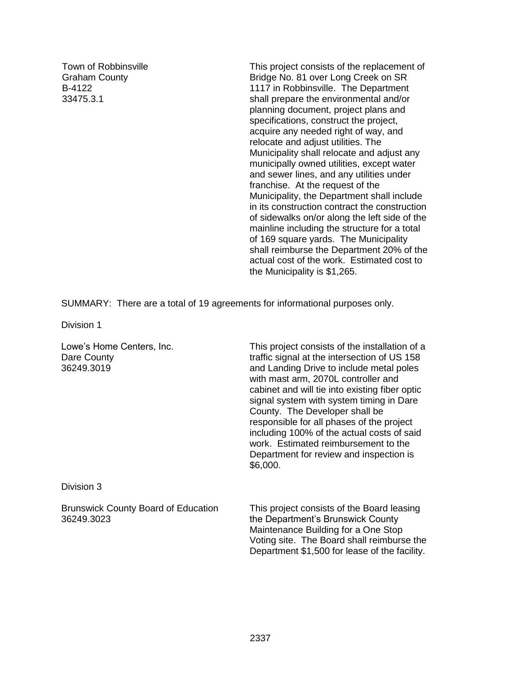Town of Robbinsville Graham County B-4122 33475.3.1

This project consists of the replacement of Bridge No. 81 over Long Creek on SR 1117 in Robbinsville. The Department shall prepare the environmental and/or planning document, project plans and specifications, construct the project, acquire any needed right of way, and relocate and adjust utilities. The Municipality shall relocate and adjust any municipally owned utilities, except water and sewer lines, and any utilities under franchise. At the request of the Municipality, the Department shall include in its construction contract the construction of sidewalks on/or along the left side of the mainline including the structure for a total of 169 square yards. The Municipality shall reimburse the Department 20% of the actual cost of the work. Estimated cost to the Municipality is \$1,265.

Department \$1,500 for lease of the facility.

SUMMARY: There are a total of 19 agreements for informational purposes only.

Division 1

| Lowe's Home Centers, Inc.<br>Dare County<br>36249.3019   | This project consists of the installation of a<br>traffic signal at the intersection of US 158<br>and Landing Drive to include metal poles<br>with mast arm, 2070L controller and<br>cabinet and will tie into existing fiber optic<br>signal system with system timing in Dare<br>County. The Developer shall be<br>responsible for all phases of the project<br>including 100% of the actual costs of said<br>work. Estimated reimbursement to the<br>Department for review and inspection is<br>\$6,000. |
|----------------------------------------------------------|-------------------------------------------------------------------------------------------------------------------------------------------------------------------------------------------------------------------------------------------------------------------------------------------------------------------------------------------------------------------------------------------------------------------------------------------------------------------------------------------------------------|
| Division 3                                               |                                                                                                                                                                                                                                                                                                                                                                                                                                                                                                             |
| <b>Brunswick County Board of Education</b><br>36249.3023 | This project consists of the Board leasing<br>the Department's Brunswick County<br>Maintenance Building for a One Stop<br>Voting site. The Board shall reimburse the                                                                                                                                                                                                                                                                                                                                        |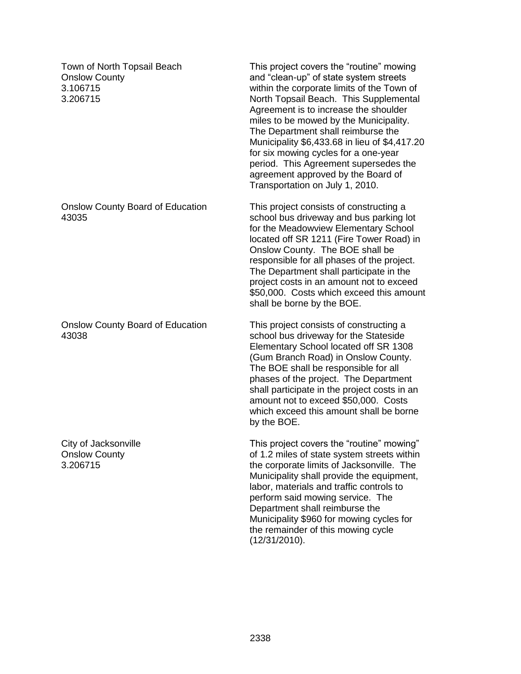Town of North Topsail Beach Onslow County 3.106715 3.206715 This project covers the "routine" mowing and "clean-up" of state system streets within the corporate limits of the Town of North Topsail Beach. This Supplemental Agreement is to increase the shoulder miles to be mowed by the Municipality. The Department shall reimburse the Municipality \$6,433.68 in lieu of \$4,417.20 for six mowing cycles for a one-year period. This Agreement supersedes the agreement approved by the Board of Transportation on July 1, 2010. Onslow County Board of Education 43035 This project consists of constructing a school bus driveway and bus parking lot for the Meadowview Elementary School located off SR 1211 (Fire Tower Road) in Onslow County. The BOE shall be responsible for all phases of the project. The Department shall participate in the project costs in an amount not to exceed \$50,000. Costs which exceed this amount shall be borne by the BOE. Onslow County Board of Education 43038 This project consists of constructing a school bus driveway for the Stateside Elementary School located off SR 1308 (Gum Branch Road) in Onslow County. The BOE shall be responsible for all phases of the project. The Department shall participate in the project costs in an amount not to exceed \$50,000. Costs which exceed this amount shall be borne by the BOE. City of Jacksonville Onslow County 3.206715 This project covers the "routine" mowing" of 1.2 miles of state system streets within the corporate limits of Jacksonville. The Municipality shall provide the equipment, labor, materials and traffic controls to perform said mowing service. The Department shall reimburse the Municipality \$960 for mowing cycles for the remainder of this mowing cycle (12/31/2010).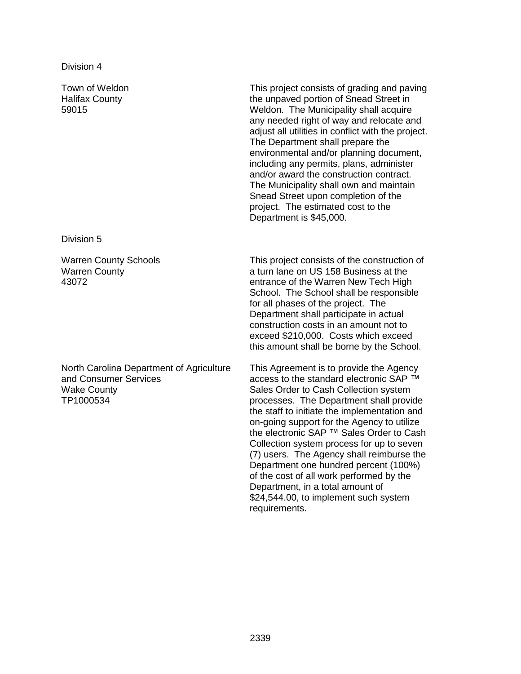Town of Weldon Halifax County 59015

This project consists of grading and paving the unpaved portion of Snead Street in Weldon. The Municipality shall acquire any needed right of way and relocate and adjust all utilities in conflict with the project. The Department shall prepare the environmental and/or planning document, including any permits, plans, administer and/or award the construction contract. The Municipality shall own and maintain Snead Street upon completion of the project. The estimated cost to the Department is \$45,000.

Division 5

Warren County Schools Warren County 43072

North Carolina Department of Agriculture and Consumer Services Wake County TP1000534

This project consists of the construction of a turn lane on US 158 Business at the entrance of the Warren New Tech High School. The School shall be responsible for all phases of the project. The Department shall participate in actual construction costs in an amount not to exceed \$210,000. Costs which exceed this amount shall be borne by the School.

This Agreement is to provide the Agency access to the standard electronic SAP ™ Sales Order to Cash Collection system processes. The Department shall provide the staff to initiate the implementation and on-going support for the Agency to utilize the electronic SAP ™ Sales Order to Cash Collection system process for up to seven (7) users. The Agency shall reimburse the Department one hundred percent (100%) of the cost of all work performed by the Department, in a total amount of \$24,544.00, to implement such system requirements.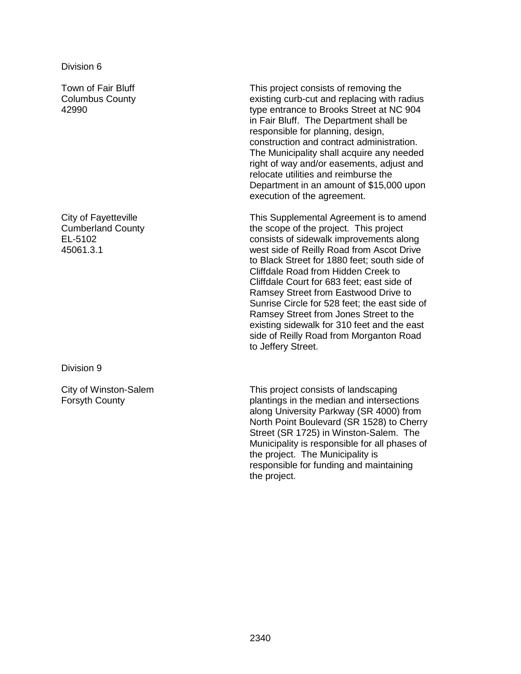Town of Fair Bluff Columbus County 42990

City of Fayetteville Cumberland County EL-5102 45061.3.1

Division 9

City of Winston-Salem Forsyth County

This project consists of removing the existing curb-cut and replacing with radius type entrance to Brooks Street at NC 904 in Fair Bluff. The Department shall be responsible for planning, design, construction and contract administration. The Municipality shall acquire any needed right of way and/or easements, adjust and relocate utilities and reimburse the Department in an amount of \$15,000 upon execution of the agreement.

This Supplemental Agreement is to amend the scope of the project. This project consists of sidewalk improvements along west side of Reilly Road from Ascot Drive to Black Street for 1880 feet; south side of Cliffdale Road from Hidden Creek to Cliffdale Court for 683 feet; east side of Ramsey Street from Eastwood Drive to Sunrise Circle for 528 feet; the east side of Ramsey Street from Jones Street to the existing sidewalk for 310 feet and the east side of Reilly Road from Morganton Road to Jeffery Street.

This project consists of landscaping plantings in the median and intersections along University Parkway (SR 4000) from North Point Boulevard (SR 1528) to Cherry Street (SR 1725) in Winston-Salem. The Municipality is responsible for all phases of the project. The Municipality is responsible for funding and maintaining the project.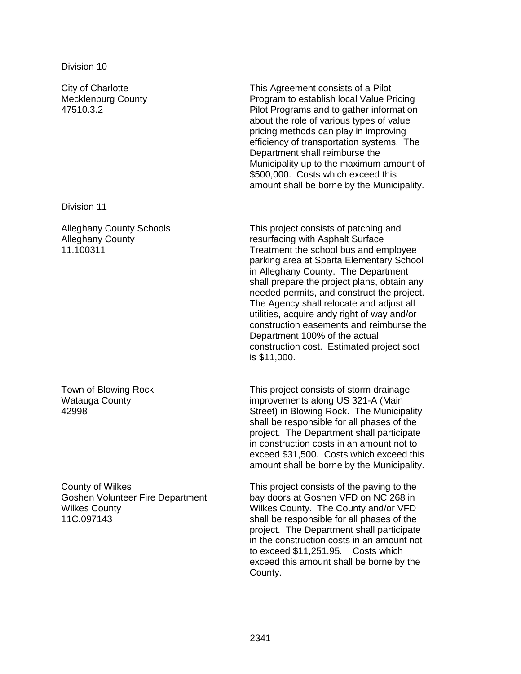City of Charlotte Mecklenburg County 47510.3.2

Division 11

Alleghany County Schools Alleghany County 11.100311

Town of Blowing Rock Watauga County 42998

County of Wilkes Goshen Volunteer Fire Department Wilkes County 11C.097143

This Agreement consists of a Pilot Program to establish local Value Pricing Pilot Programs and to gather information about the role of various types of value pricing methods can play in improving efficiency of transportation systems. The Department shall reimburse the Municipality up to the maximum amount of \$500,000. Costs which exceed this amount shall be borne by the Municipality.

This project consists of patching and resurfacing with Asphalt Surface Treatment the school bus and employee parking area at Sparta Elementary School in Alleghany County. The Department shall prepare the project plans, obtain any needed permits, and construct the project. The Agency shall relocate and adjust all utilities, acquire andy right of way and/or construction easements and reimburse the Department 100% of the actual construction cost. Estimated project soct is \$11,000.

This project consists of storm drainage improvements along US 321-A (Main Street) in Blowing Rock. The Municipality shall be responsible for all phases of the project. The Department shall participate in construction costs in an amount not to exceed \$31,500. Costs which exceed this amount shall be borne by the Municipality.

This project consists of the paving to the bay doors at Goshen VFD on NC 268 in Wilkes County. The County and/or VFD shall be responsible for all phases of the project. The Department shall participate in the construction costs in an amount not to exceed \$11,251.95. Costs which exceed this amount shall be borne by the County.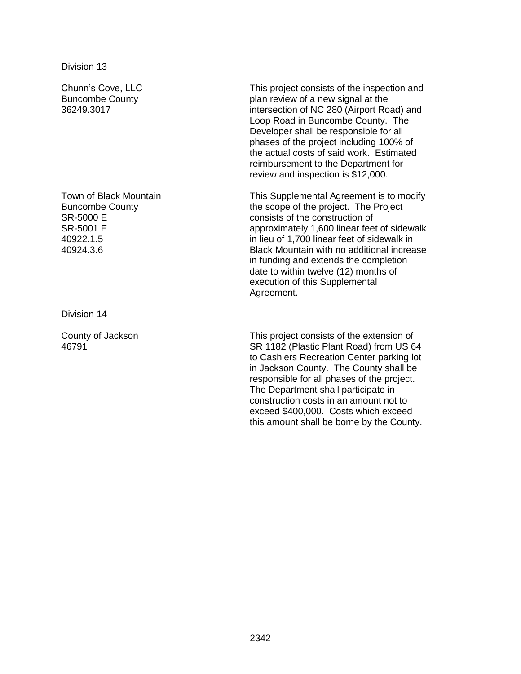Chunn's Cove, LLC Buncombe County 36249.3017

Town of Black Mountain Buncombe County SR-5000 E SR-5001 E 40922.1.5 40924.3.6

Division 14

County of Jackson 46791

This project consists of the inspection and plan review of a new signal at the intersection of NC 280 (Airport Road) and Loop Road in Buncombe County. The Developer shall be responsible for all phases of the project including 100% of the actual costs of said work. Estimated reimbursement to the Department for review and inspection is \$12,000.

This Supplemental Agreement is to modify the scope of the project. The Project consists of the construction of approximately 1,600 linear feet of sidewalk in lieu of 1,700 linear feet of sidewalk in Black Mountain with no additional increase in funding and extends the completion date to within twelve (12) months of execution of this Supplemental Agreement.

This project consists of the extension of SR 1182 (Plastic Plant Road) from US 64 to Cashiers Recreation Center parking lot in Jackson County. The County shall be responsible for all phases of the project. The Department shall participate in construction costs in an amount not to exceed \$400,000. Costs which exceed this amount shall be borne by the County.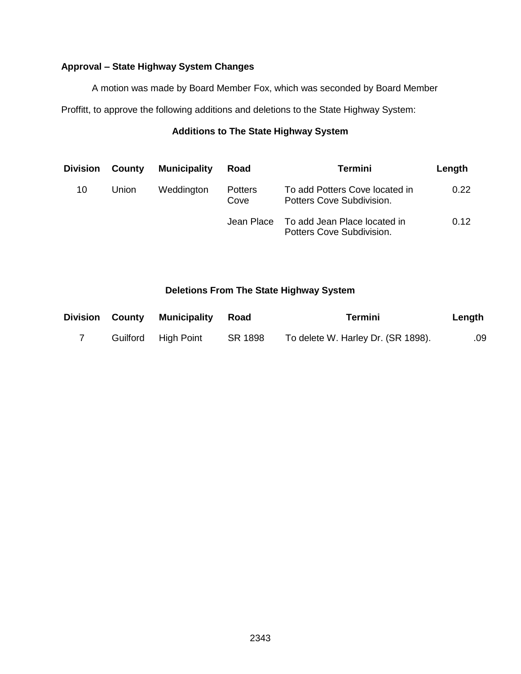## **Approval – State Highway System Changes**

A motion was made by Board Member Fox, which was seconded by Board Member

Proffitt, to approve the following additions and deletions to the State Highway System:

# **Additions to The State Highway System**

| <b>Division</b> | County | <b>Municipality</b> | Road                   | <b>Termini</b>                                              | Length |
|-----------------|--------|---------------------|------------------------|-------------------------------------------------------------|--------|
| 10              | Union  | Weddington          | <b>Potters</b><br>Cove | To add Potters Cove located in<br>Potters Cove Subdivision. | 0.22   |
|                 |        |                     | Jean Place             | To add Jean Place located in<br>Potters Cove Subdivision.   | 0.12   |

## **Deletions From The State Highway System**

|  | Division County Municipality Road |         | Termini                            | Length |
|--|-----------------------------------|---------|------------------------------------|--------|
|  | Guilford High Point               | SR 1898 | To delete W. Harley Dr. (SR 1898). | .09    |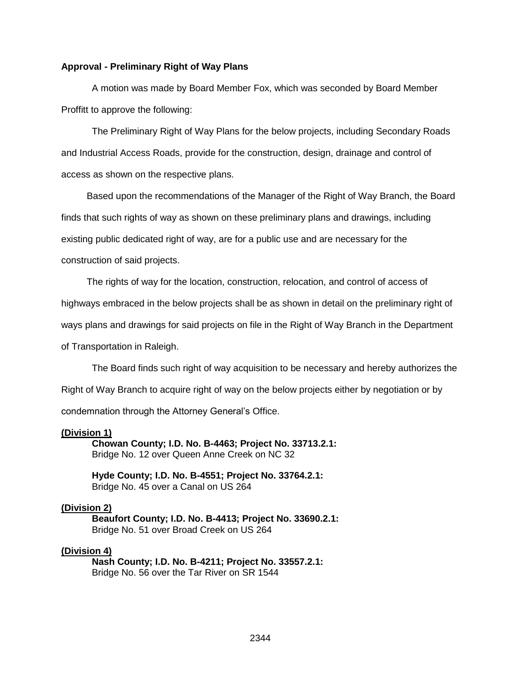#### **Approval - Preliminary Right of Way Plans**

A motion was made by Board Member Fox, which was seconded by Board Member Proffitt to approve the following:

The Preliminary Right of Way Plans for the below projects, including Secondary Roads and Industrial Access Roads, provide for the construction, design, drainage and control of access as shown on the respective plans.

Based upon the recommendations of the Manager of the Right of Way Branch, the Board finds that such rights of way as shown on these preliminary plans and drawings, including existing public dedicated right of way, are for a public use and are necessary for the construction of said projects.

The rights of way for the location, construction, relocation, and control of access of

highways embraced in the below projects shall be as shown in detail on the preliminary right of

ways plans and drawings for said projects on file in the Right of Way Branch in the Department

of Transportation in Raleigh.

The Board finds such right of way acquisition to be necessary and hereby authorizes the Right of Way Branch to acquire right of way on the below projects either by negotiation or by condemnation through the Attorney General's Office.

#### **(Division 1)**

**Chowan County; I.D. No. B-4463; Project No. 33713.2.1:** Bridge No. 12 over Queen Anne Creek on NC 32

**Hyde County; I.D. No. B-4551; Project No. 33764.2.1:** Bridge No. 45 over a Canal on US 264

#### **(Division 2)**

**Beaufort County; I.D. No. B-4413; Project No. 33690.2.1:** Bridge No. 51 over Broad Creek on US 264

#### **(Division 4)**

**Nash County; I.D. No. B-4211; Project No. 33557.2.1:** Bridge No. 56 over the Tar River on SR 1544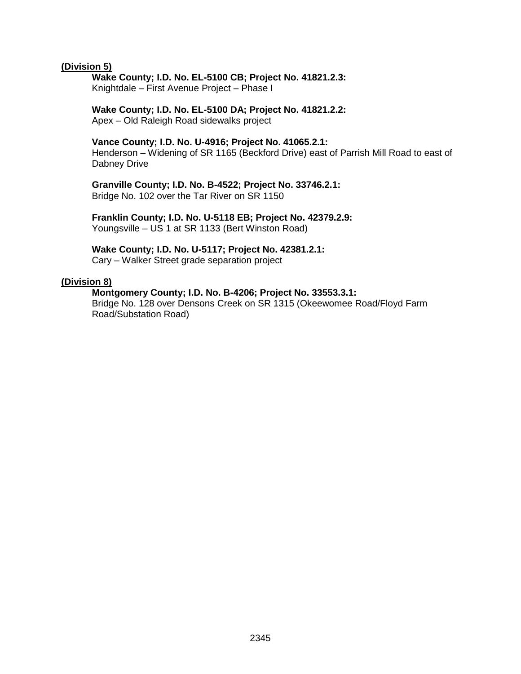#### **(Division 5)**

# **Wake County; I.D. No. EL-5100 CB; Project No. 41821.2.3:**

Knightdale – First Avenue Project – Phase I

#### **Wake County; I.D. No. EL-5100 DA; Project No. 41821.2.2:** Apex – Old Raleigh Road sidewalks project

#### **Vance County; I.D. No. U-4916; Project No. 41065.2.1:**

Henderson – Widening of SR 1165 (Beckford Drive) east of Parrish Mill Road to east of Dabney Drive

#### **Granville County; I.D. No. B-4522; Project No. 33746.2.1:** Bridge No. 102 over the Tar River on SR 1150

**Franklin County; I.D. No. U-5118 EB; Project No. 42379.2.9:** Youngsville – US 1 at SR 1133 (Bert Winston Road)

#### **Wake County; I.D. No. U-5117; Project No. 42381.2.1:**

Cary – Walker Street grade separation project

#### **(Division 8)**

#### **Montgomery County; I.D. No. B-4206; Project No. 33553.3.1:**

Bridge No. 128 over Densons Creek on SR 1315 (Okeewomee Road/Floyd Farm Road/Substation Road)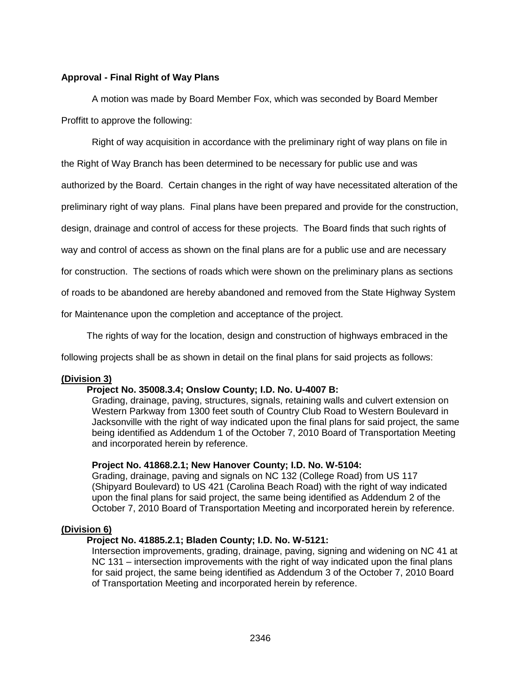#### **Approval - Final Right of Way Plans**

A motion was made by Board Member Fox, which was seconded by Board Member Proffitt to approve the following:

Right of way acquisition in accordance with the preliminary right of way plans on file in

the Right of Way Branch has been determined to be necessary for public use and was

authorized by the Board. Certain changes in the right of way have necessitated alteration of the

preliminary right of way plans. Final plans have been prepared and provide for the construction,

design, drainage and control of access for these projects. The Board finds that such rights of

way and control of access as shown on the final plans are for a public use and are necessary

for construction. The sections of roads which were shown on the preliminary plans as sections

of roads to be abandoned are hereby abandoned and removed from the State Highway System

for Maintenance upon the completion and acceptance of the project.

The rights of way for the location, design and construction of highways embraced in the

following projects shall be as shown in detail on the final plans for said projects as follows:

## **(Division 3)**

#### **Project No. 35008.3.4; Onslow County; I.D. No. U-4007 B:**

Grading, drainage, paving, structures, signals, retaining walls and culvert extension on Western Parkway from 1300 feet south of Country Club Road to Western Boulevard in Jacksonville with the right of way indicated upon the final plans for said project, the same being identified as Addendum 1 of the October 7, 2010 Board of Transportation Meeting and incorporated herein by reference.

#### **Project No. 41868.2.1; New Hanover County; I.D. No. W-5104:**

Grading, drainage, paving and signals on NC 132 (College Road) from US 117 (Shipyard Boulevard) to US 421 (Carolina Beach Road) with the right of way indicated upon the final plans for said project, the same being identified as Addendum 2 of the October 7, 2010 Board of Transportation Meeting and incorporated herein by reference.

#### **(Division 6)**

#### **Project No. 41885.2.1; Bladen County; I.D. No. W-5121:**

Intersection improvements, grading, drainage, paving, signing and widening on NC 41 at NC 131 – intersection improvements with the right of way indicated upon the final plans for said project, the same being identified as Addendum 3 of the October 7, 2010 Board of Transportation Meeting and incorporated herein by reference.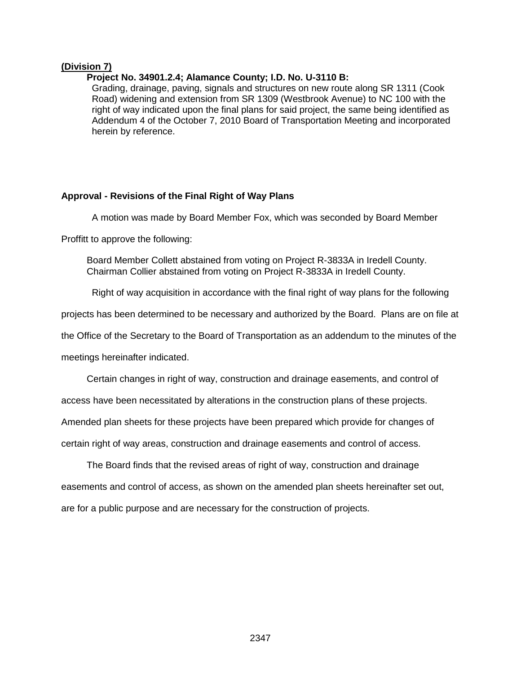#### **(Division 7)**

#### **Project No. 34901.2.4; Alamance County; I.D. No. U-3110 B:**

Grading, drainage, paving, signals and structures on new route along SR 1311 (Cook Road) widening and extension from SR 1309 (Westbrook Avenue) to NC 100 with the right of way indicated upon the final plans for said project, the same being identified as Addendum 4 of the October 7, 2010 Board of Transportation Meeting and incorporated herein by reference.

#### **Approval - Revisions of the Final Right of Way Plans**

A motion was made by Board Member Fox, which was seconded by Board Member

Proffitt to approve the following:

Board Member Collett abstained from voting on Project R-3833A in Iredell County. Chairman Collier abstained from voting on Project R-3833A in Iredell County.

Right of way acquisition in accordance with the final right of way plans for the following

projects has been determined to be necessary and authorized by the Board. Plans are on file at

the Office of the Secretary to the Board of Transportation as an addendum to the minutes of the

meetings hereinafter indicated.

Certain changes in right of way, construction and drainage easements, and control of

access have been necessitated by alterations in the construction plans of these projects.

Amended plan sheets for these projects have been prepared which provide for changes of

certain right of way areas, construction and drainage easements and control of access.

The Board finds that the revised areas of right of way, construction and drainage easements and control of access, as shown on the amended plan sheets hereinafter set out, are for a public purpose and are necessary for the construction of projects.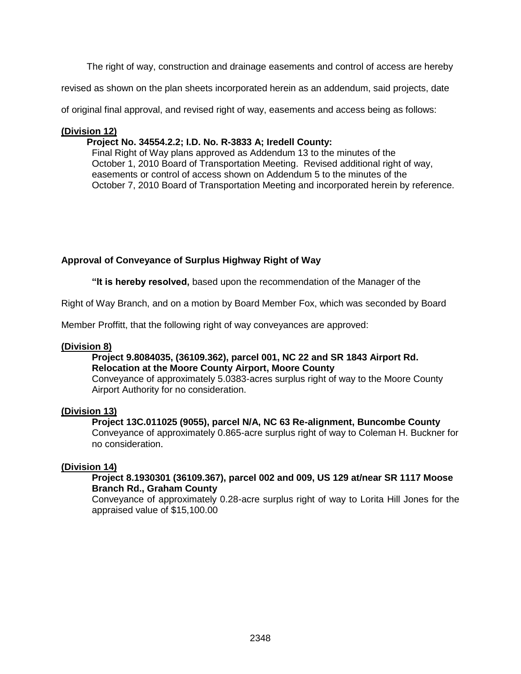The right of way, construction and drainage easements and control of access are hereby

revised as shown on the plan sheets incorporated herein as an addendum, said projects, date

of original final approval, and revised right of way, easements and access being as follows:

#### **(Division 12)**

#### **Project No. 34554.2.2; I.D. No. R-3833 A; Iredell County:**

Final Right of Way plans approved as Addendum 13 to the minutes of the October 1, 2010 Board of Transportation Meeting. Revised additional right of way, easements or control of access shown on Addendum 5 to the minutes of the October 7, 2010 Board of Transportation Meeting and incorporated herein by reference.

## **Approval of Conveyance of Surplus Highway Right of Way**

**"It is hereby resolved,** based upon the recommendation of the Manager of the

Right of Way Branch, and on a motion by Board Member Fox, which was seconded by Board

Member Proffitt, that the following right of way conveyances are approved:

#### **(Division 8)**

#### **Project 9.8084035, (36109.362), parcel 001, NC 22 and SR 1843 Airport Rd. Relocation at the Moore County Airport, Moore County**

Conveyance of approximately 5.0383-acres surplus right of way to the Moore County Airport Authority for no consideration.

## **(Division 13)**

#### **Project 13C.011025 (9055), parcel N/A, NC 63 Re-alignment, Buncombe County**

Conveyance of approximately 0.865-acre surplus right of way to Coleman H. Buckner for no consideration.

## **(Division 14)**

#### **Project 8.1930301 (36109.367), parcel 002 and 009, US 129 at/near SR 1117 Moose Branch Rd., Graham County**

Conveyance of approximately 0.28-acre surplus right of way to Lorita Hill Jones for the appraised value of \$15,100.00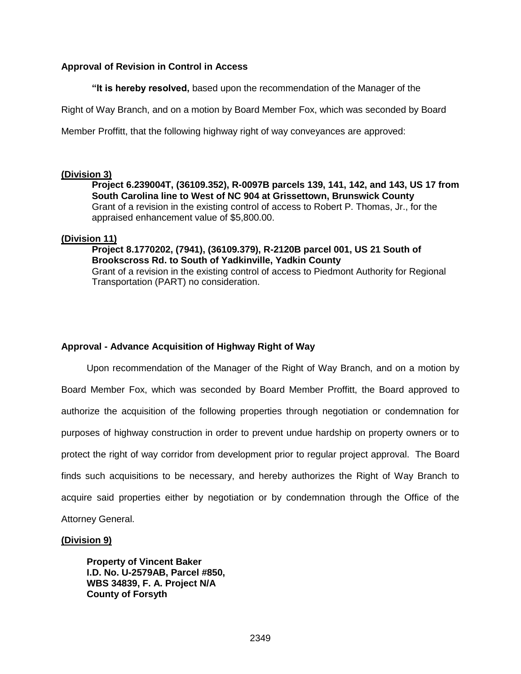## **Approval of Revision in Control in Access**

**"It is hereby resolved,** based upon the recommendation of the Manager of the

Right of Way Branch, and on a motion by Board Member Fox, which was seconded by Board

Member Proffitt, that the following highway right of way conveyances are approved:

#### **(Division 3)**

**Project 6.239004T, (36109.352), R-0097B parcels 139, 141, 142, and 143, US 17 from South Carolina line to West of NC 904 at Grissettown, Brunswick County** Grant of a revision in the existing control of access to Robert P. Thomas, Jr., for the appraised enhancement value of \$5,800.00.

## **(Division 11)**

**Project 8.1770202, (7941), (36109.379), R-2120B parcel 001, US 21 South of Brookscross Rd. to South of Yadkinville, Yadkin County** Grant of a revision in the existing control of access to Piedmont Authority for Regional Transportation (PART) no consideration.

## **Approval - Advance Acquisition of Highway Right of Way**

Upon recommendation of the Manager of the Right of Way Branch, and on a motion by Board Member Fox, which was seconded by Board Member Proffitt, the Board approved to authorize the acquisition of the following properties through negotiation or condemnation for purposes of highway construction in order to prevent undue hardship on property owners or to protect the right of way corridor from development prior to regular project approval. The Board finds such acquisitions to be necessary, and hereby authorizes the Right of Way Branch to acquire said properties either by negotiation or by condemnation through the Office of the Attorney General.

#### **(Division 9)**

**Property of Vincent Baker I.D. No. U-2579AB, Parcel #850, WBS 34839, F. A. Project N/A County of Forsyth**